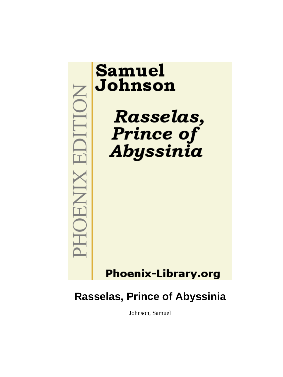

# **Rasselas, Prince of Abyssinia**

Johnson, Samuel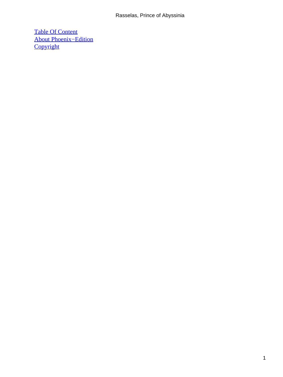#### Rasselas, Prince of Abyssinia

[Table Of Content](#page-100-0) [About Phoenix−Edition](#page-103-0) **[Copyright](#page-104-0)**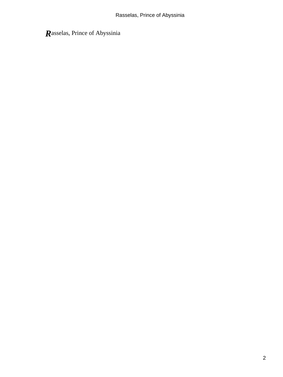*R*asselas, Prince of Abyssinia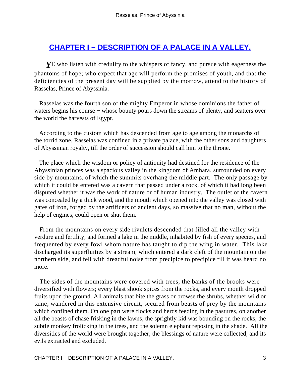# **[CHAPTER I − DESCRIPTION OF A PALACE IN A VALLEY.](#page-100-0)**

*Y*E who listen with credulity to the whispers of fancy, and pursue with eagerness the phantoms of hope; who expect that age will perform the promises of youth, and that the deficiencies of the present day will be supplied by the morrow, attend to the history of Rasselas, Prince of Abyssinia.

 Rasselas was the fourth son of the mighty Emperor in whose dominions the father of waters begins his course – whose bounty pours down the streams of plenty, and scatters over the world the harvests of Egypt.

 According to the custom which has descended from age to age among the monarchs of the torrid zone, Rasselas was confined in a private palace, with the other sons and daughters of Abyssinian royalty, till the order of succession should call him to the throne.

 The place which the wisdom or policy of antiquity had destined for the residence of the Abyssinian princes was a spacious valley in the kingdom of Amhara, surrounded on every side by mountains, of which the summits overhang the middle part. The only passage by which it could be entered was a cavern that passed under a rock, of which it had long been disputed whether it was the work of nature or of human industry. The outlet of the cavern was concealed by a thick wood, and the mouth which opened into the valley was closed with gates of iron, forged by the artificers of ancient days, so massive that no man, without the help of engines, could open or shut them.

 From the mountains on every side rivulets descended that filled all the valley with verdure and fertility, and formed a lake in the middle, inhabited by fish of every species, and frequented by every fowl whom nature has taught to dip the wing in water. This lake discharged its superfluities by a stream, which entered a dark cleft of the mountain on the northern side, and fell with dreadful noise from precipice to precipice till it was heard no more.

 The sides of the mountains were covered with trees, the banks of the brooks were diversified with flowers; every blast shook spices from the rocks, and every month dropped fruits upon the ground. All animals that bite the grass or browse the shrubs, whether wild or tame, wandered in this extensive circuit, secured from beasts of prey by the mountains which confined them. On one part were flocks and herds feeding in the pastures, on another all the beasts of chase frisking in the lawns, the sprightly kid was bounding on the rocks, the subtle monkey frolicking in the trees, and the solemn elephant reposing in the shade. All the diversities of the world were brought together, the blessings of nature were collected, and its evils extracted and excluded.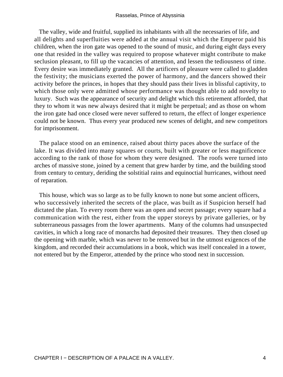The valley, wide and fruitful, supplied its inhabitants with all the necessaries of life, and all delights and superfluities were added at the annual visit which the Emperor paid his children, when the iron gate was opened to the sound of music, and during eight days every one that resided in the valley was required to propose whatever might contribute to make seclusion pleasant, to fill up the vacancies of attention, and lessen the tediousness of time. Every desire was immediately granted. All the artificers of pleasure were called to gladden the festivity; the musicians exerted the power of harmony, and the dancers showed their activity before the princes, in hopes that they should pass their lives in blissful captivity, to which those only were admitted whose performance was thought able to add novelty to luxury. Such was the appearance of security and delight which this retirement afforded, that they to whom it was new always desired that it might be perpetual; and as those on whom the iron gate had once closed were never suffered to return, the effect of longer experience could not be known. Thus every year produced new scenes of delight, and new competitors for imprisonment.

 The palace stood on an eminence, raised about thirty paces above the surface of the lake. It was divided into many squares or courts, built with greater or less magnificence according to the rank of those for whom they were designed. The roofs were turned into arches of massive stone, joined by a cement that grew harder by time, and the building stood from century to century, deriding the solstitial rains and equinoctial hurricanes, without need of reparation.

 This house, which was so large as to be fully known to none but some ancient officers, who successively inherited the secrets of the place, was built as if Suspicion herself had dictated the plan. To every room there was an open and secret passage; every square had a communication with the rest, either from the upper storeys by private galleries, or by subterraneous passages from the lower apartments. Many of the columns had unsuspected cavities, in which a long race of monarchs had deposited their treasures. They then closed up the opening with marble, which was never to be removed but in the utmost exigences of the kingdom, and recorded their accumulations in a book, which was itself concealed in a tower, not entered but by the Emperor, attended by the prince who stood next in succession.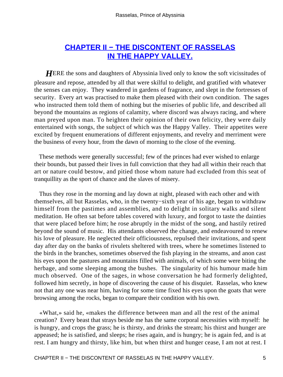# **[CHAPTER II − THE DISCONTENT OF RASSELAS](#page-100-0) [IN THE HAPPY VALLEY.](#page-100-0)**

**HERE** the sons and daughters of Abyssinia lived only to know the soft vicissitudes of pleasure and repose, attended by all that were skilful to delight, and gratified with whatever the senses can enjoy. They wandered in gardens of fragrance, and slept in the fortresses of security. Every art was practised to make them pleased with their own condition. The sages who instructed them told them of nothing but the miseries of public life, and described all beyond the mountains as regions of calamity, where discord was always racing, and where man preyed upon man. To heighten their opinion of their own felicity, they were daily entertained with songs, the subject of which was the Happy Valley. Their appetites were excited by frequent enumerations of different enjoyments, and revelry and merriment were the business of every hour, from the dawn of morning to the close of the evening.

 These methods were generally successful; few of the princes had ever wished to enlarge their bounds, but passed their lives in full conviction that they had all within their reach that art or nature could bestow, and pitied those whom nature had excluded from this seat of tranquillity as the sport of chance and the slaves of misery.

 Thus they rose in the morning and lay down at night, pleased with each other and with themselves, all but Rasselas, who, in the twenty−sixth year of his age, began to withdraw himself from the pastimes and assemblies, and to delight in solitary walks and silent meditation. He often sat before tables covered with luxury, and forgot to taste the dainties that were placed before him; he rose abruptly in the midst of the song, and hastily retired beyond the sound of music. His attendants observed the change, and endeavoured to renew his love of pleasure. He neglected their officiousness, repulsed their invitations, and spent day after day on the banks of rivulets sheltered with trees, where he sometimes listened to the birds in the branches, sometimes observed the fish playing in the streams, and anon cast his eyes upon the pastures and mountains filled with animals, of which some were biting the herbage, and some sleeping among the bushes. The singularity of his humour made him much observed. One of the sages, in whose conversation he had formerly delighted, followed him secretly, in hope of discovering the cause of his disquiet. Rasselas, who knew not that any one was near him, having for some time fixed his eyes upon the goats that were browsing among the rocks, began to compare their condition with his own.

 «What,» said he, «makes the difference between man and all the rest of the animal creation? Every beast that strays beside me has the same corporal necessities with myself: he is hungry, and crops the grass; he is thirsty, and drinks the stream; his thirst and hunger are appeased; he is satisfied, and sleeps; he rises again, and is hungry; he is again fed, and is at rest. I am hungry and thirsty, like him, but when thirst and hunger cease, I am not at rest. I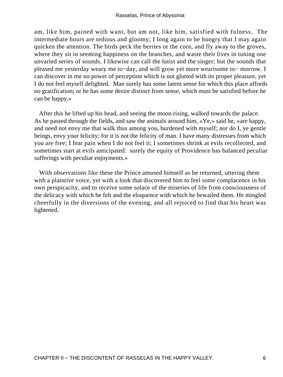am, like him, pained with want, but am not, like him, satisfied with fulness. The intermediate hours are tedious and gloomy; I long again to be hungry that I may again quicken the attention. The birds peck the berries or the corn, and fly away to the groves, where they sit in seeming happiness on the branches, and waste their lives in tuning one unvaried series of sounds. I likewise can call the lutist and the singer; but the sounds that pleased me yesterday weary me to−day, and will grow yet more wearisome to− morrow. I can discover in me no power of perception which is not glutted with its proper pleasure, yet I do not feel myself delighted. Man surely has some latent sense for which this place affords no gratification; or he has some desire distinct from sense, which must be satisfied before he can be happy.»

 After this he lifted up his head, and seeing the moon rising, walked towards the palace. As he passed through the fields, and saw the animals around him, «Ye,» said he, «are happy, and need not envy me that walk thus among you, burdened with myself; nor do I, ye gentle beings, envy your felicity; for it is not the felicity of man. I have many distresses from which you are free; I fear pain when I do not feel it; I sometimes shrink at evils recollected, and sometimes start at evils anticipated: surely the equity of Providence has balanced peculiar sufferings with peculiar enjoyments.»

 With observations like these the Prince amused himself as he returned, uttering them with a plaintive voice, yet with a look that discovered him to feel some complacence in his own perspicacity, and to receive some solace of the miseries of life from consciousness of the delicacy with which he felt and the eloquence with which he bewailed them. He mingled cheerfully in the diversions of the evening, and all rejoiced to find that his heart was lightened.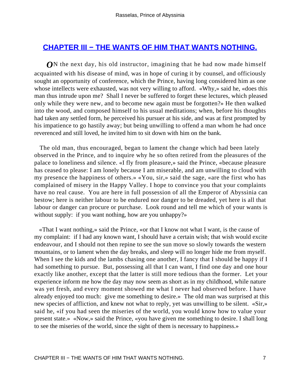#### **[CHAPTER III − THE WANTS OF HIM THAT WANTS NOTHING.](#page-100-0)**

*O*N the next day, his old instructor, imagining that he had now made himself acquainted with his disease of mind, was in hope of curing it by counsel, and officiously sought an opportunity of conference, which the Prince, having long considered him as one whose intellects were exhausted, was not very willing to afford. «Why,» said he, «does this man thus intrude upon me? Shall I never be suffered to forget these lectures, which pleased only while they were new, and to become new again must be forgotten?» He then walked into the wood, and composed himself to his usual meditations; when, before his thoughts had taken any settled form, he perceived his pursuer at his side, and was at first prompted by his impatience to go hastily away; but being unwilling to offend a man whom he had once reverenced and still loved, he invited him to sit down with him on the bank.

 The old man, thus encouraged, began to lament the change which had been lately observed in the Prince, and to inquire why he so often retired from the pleasures of the palace to loneliness and silence. «I fly from pleasure,» said the Prince, «because pleasure has ceased to please: I am lonely because I am miserable, and am unwilling to cloud with my presence the happiness of others.» «You, sir,» said the sage, «are the first who has complained of misery in the Happy Valley. I hope to convince you that your complaints have no real cause. You are here in full possession of all the Emperor of Abyssinia can bestow; here is neither labour to be endured nor danger to be dreaded, yet here is all that labour or danger can procure or purchase. Look round and tell me which of your wants is without supply: if you want nothing, how are you unhappy?»

 «That I want nothing,» said the Prince, «or that I know not what I want, is the cause of my complaint: if I had any known want, I should have a certain wish; that wish would excite endeavour, and I should not then repine to see the sun move so slowly towards the western mountains, or to lament when the day breaks, and sleep will no longer hide me from myself. When I see the kids and the lambs chasing one another, I fancy that I should be happy if I had something to pursue. But, possessing all that I can want, I find one day and one hour exactly like another, except that the latter is still more tedious than the former. Let your experience inform me how the day may now seem as short as in my childhood, while nature was yet fresh, and every moment showed me what I never had observed before. I have already enjoyed too much: give me something to desire.» The old man was surprised at this new species of affliction, and knew not what to reply, yet was unwilling to be silent. «Sir,» said he, «if you had seen the miseries of the world, you would know how to value your present state.» «Now,» said the Prince, «you have given me something to desire. I shall long to see the miseries of the world, since the sight of them is necessary to happiness.»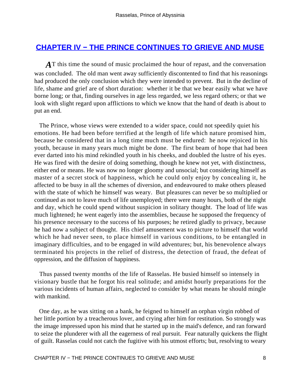#### **[CHAPTER IV − THE PRINCE CONTINUES TO GRIEVE AND MUSE](#page-100-0)**

AT this time the sound of music proclaimed the hour of repast, and the conversation was concluded. The old man went away sufficiently discontented to find that his reasonings had produced the only conclusion which they were intended to prevent. But in the decline of life, shame and grief are of short duration: whether it be that we bear easily what we have borne long; or that, finding ourselves in age less regarded, we less regard others; or that we look with slight regard upon afflictions to which we know that the hand of death is about to put an end.

 The Prince, whose views were extended to a wider space, could not speedily quiet his emotions. He had been before terrified at the length of life which nature promised him, because he considered that in a long time much must be endured: he now rejoiced in his youth, because in many years much might be done. The first beam of hope that had been ever darted into his mind rekindled youth in his cheeks, and doubled the lustre of his eyes. He was fired with the desire of doing something, though he knew not yet, with distinctness, either end or means. He was now no longer gloomy and unsocial; but considering himself as master of a secret stock of happiness, which he could only enjoy by concealing it, he affected to be busy in all the schemes of diversion, and endeavoured to make others pleased with the state of which he himself was weary. But pleasures can never be so multiplied or continued as not to leave much of life unemployed; there were many hours, both of the night and day, which he could spend without suspicion in solitary thought. The load of life was much lightened; he went eagerly into the assemblies, because he supposed the frequency of his presence necessary to the success of his purposes; he retired gladly to privacy, because he had now a subject of thought. His chief amusement was to picture to himself that world which he had never seen, to place himself in various conditions, to be entangled in imaginary difficulties, and to be engaged in wild adventures; but, his benevolence always terminated his projects in the relief of distress, the detection of fraud, the defeat of oppression, and the diffusion of happiness.

 Thus passed twenty months of the life of Rasselas. He busied himself so intensely in visionary bustle that he forgot his real solitude; and amidst hourly preparations for the various incidents of human affairs, neglected to consider by what means he should mingle with mankind.

 One day, as he was sitting on a bank, he feigned to himself an orphan virgin robbed of her little portion by a treacherous lover, and crying after him for restitution. So strongly was the image impressed upon his mind that he started up in the maid's defence, and ran forward to seize the plunderer with all the eagerness of real pursuit. Fear naturally quickens the flight of guilt. Rasselas could not catch the fugitive with his utmost efforts; but, resolving to weary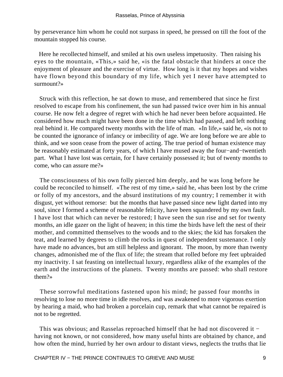by perseverance him whom he could not surpass in speed, he pressed on till the foot of the mountain stopped his course.

 Here he recollected himself, and smiled at his own useless impetuosity. Then raising his eyes to the mountain, «This,» said he, «is the fatal obstacle that hinders at once the enjoyment of pleasure and the exercise of virtue. How long is it that my hopes and wishes have flown beyond this boundary of my life, which yet I never have attempted to surmount?»

 Struck with this reflection, he sat down to muse, and remembered that since he first resolved to escape from his confinement, the sun had passed twice over him in his annual course. He now felt a degree of regret with which he had never been before acquainted. He considered how much might have been done in the time which had passed, and left nothing real behind it. He compared twenty months with the life of man. «In life,» said he, «is not to be counted the ignorance of infancy or imbecility of age. We are long before we are able to think, and we soon cease from the power of acting. The true period of human existence may be reasonably estimated at forty years, of which I have mused away the four−and−twentieth part. What I have lost was certain, for I have certainly possessed it; but of twenty months to come, who can assure me?»

 The consciousness of his own folly pierced him deeply, and he was long before he could be reconciled to himself. «The rest of my time,» said he, «has been lost by the crime or folly of my ancestors, and the absurd institutions of my country; I remember it with disgust, yet without remorse: but the months that have passed since new light darted into my soul, since I formed a scheme of reasonable felicity, have been squandered by my own fault. I have lost that which can never be restored; I have seen the sun rise and set for twenty months, an idle gazer on the light of heaven; in this time the birds have left the nest of their mother, and committed themselves to the woods and to the skies; the kid has forsaken the teat, and learned by degrees to climb the rocks in quest of independent sustenance. I only have made no advances, but am still helpless and ignorant. The moon, by more than twenty changes, admonished me of the flux of life; the stream that rolled before my feet upbraided my inactivity. I sat feasting on intellectual luxury, regardless alike of the examples of the earth and the instructions of the planets. Twenty months are passed: who shall restore them?»

 These sorrowful meditations fastened upon his mind; he passed four months in resolving to lose no more time in idle resolves, and was awakened to more vigorous exertion by hearing a maid, who had broken a porcelain cup, remark that what cannot be repaired is not to be regretted.

 This was obvious; and Rasselas reproached himself that he had not discovered it − having not known, or not considered, how many useful hints are obtained by chance, and how often the mind, hurried by her own ardour to distant views, neglects the truths that lie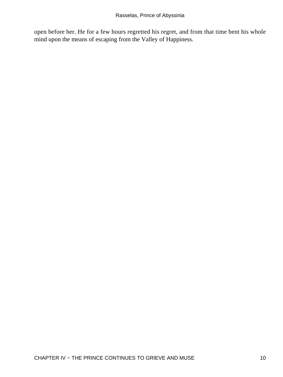open before her. He for a few hours regretted his regret, and from that time bent his whole mind upon the means of escaping from the Valley of Happiness.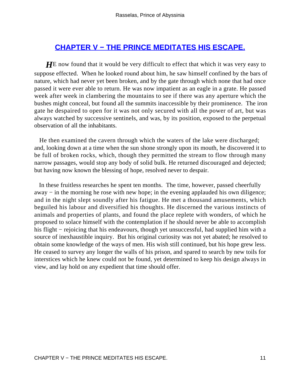# **[CHAPTER V − THE PRINCE MEDITATES HIS ESCAPE.](#page-100-0)**

**HE** now found that it would be very difficult to effect that which it was very easy to suppose effected. When he looked round about him, he saw himself confined by the bars of nature, which had never yet been broken, and by the gate through which none that had once passed it were ever able to return. He was now impatient as an eagle in a grate. He passed week after week in clambering the mountains to see if there was any aperture which the bushes might conceal, but found all the summits inaccessible by their prominence. The iron gate he despaired to open for it was not only secured with all the power of art, but was always watched by successive sentinels, and was, by its position, exposed to the perpetual observation of all the inhabitants.

 He then examined the cavern through which the waters of the lake were discharged; and, looking down at a time when the sun shone strongly upon its mouth, he discovered it to be full of broken rocks, which, though they permitted the stream to flow through many narrow passages, would stop any body of solid bulk. He returned discouraged and dejected; but having now known the blessing of hope, resolved never to despair.

 In these fruitless researches he spent ten months. The time, however, passed cheerfully away − in the morning he rose with new hope; in the evening applauded his own diligence; and in the night slept soundly after his fatigue. He met a thousand amusements, which beguiled his labour and diversified his thoughts. He discerned the various instincts of animals and properties of plants, and found the place replete with wonders, of which he proposed to solace himself with the contemplation if he should never be able to accomplish his flight − rejoicing that his endeavours, though yet unsuccessful, had supplied him with a source of inexhaustible inquiry. But his original curiosity was not yet abated; he resolved to obtain some knowledge of the ways of men. His wish still continued, but his hope grew less. He ceased to survey any longer the walls of his prison, and spared to search by new toils for interstices which he knew could not be found, yet determined to keep his design always in view, and lay hold on any expedient that time should offer.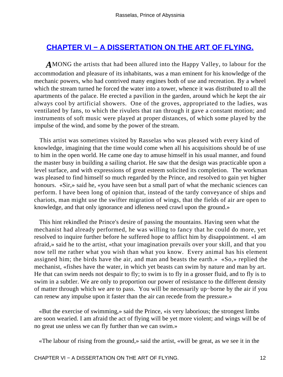# **[CHAPTER VI − A DISSERTATION ON THE ART OF FLYING.](#page-100-0)**

*A*MONG the artists that had been allured into the Happy Valley, to labour for the accommodation and pleasure of its inhabitants, was a man eminent for his knowledge of the mechanic powers, who had contrived many engines both of use and recreation. By a wheel which the stream turned he forced the water into a tower, whence it was distributed to all the apartments of the palace. He erected a pavilion in the garden, around which he kept the air always cool by artificial showers. One of the groves, appropriated to the ladies, was ventilated by fans, to which the rivulets that ran through it gave a constant motion; and instruments of soft music were played at proper distances, of which some played by the impulse of the wind, and some by the power of the stream.

 This artist was sometimes visited by Rasselas who was pleased with every kind of knowledge, imagining that the time would come when all his acquisitions should be of use to him in the open world. He came one day to amuse himself in his usual manner, and found the master busy in building a sailing chariot. He saw that the design was practicable upon a level surface, and with expressions of great esteem solicited its completion. The workman was pleased to find himself so much regarded by the Prince, and resolved to gain yet higher honours. «Sir,» said he, «you have seen but a small part of what the mechanic sciences can perform. I have been long of opinion that, instead of the tardy conveyance of ships and chariots, man might use the swifter migration of wings, that the fields of air are open to knowledge, and that only ignorance and idleness need crawl upon the ground.»

 This hint rekindled the Prince's desire of passing the mountains. Having seen what the mechanist had already performed, he was willing to fancy that he could do more, yet resolved to inquire further before he suffered hope to afflict him by disappointment. «I am afraid,» said he to the artist, «that your imagination prevails over your skill, and that you now tell me rather what you wish than what you know. Every animal has his element assigned him; the birds have the air, and man and beasts the earth.» «So,» replied the mechanist, «fishes have the water, in which yet beasts can swim by nature and man by art. He that can swim needs not despair to fly; to swim is to fly in a grosser fluid, and to fly is to swim in a subtler. We are only to proportion our power of resistance to the different density of matter through which we are to pass. You will be necessarily up−borne by the air if you can renew any impulse upon it faster than the air can recede from the pressure.»

 «But the exercise of swimming,» said the Prince, «is very laborious; the strongest limbs are soon wearied. I am afraid the act of flying will be yet more violent; and wings will be of no great use unless we can fly further than we can swim.»

«The labour of rising from the ground,» said the artist, «will be great, as we see it in the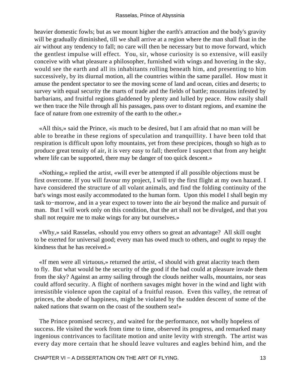heavier domestic fowls; but as we mount higher the earth's attraction and the body's gravity will be gradually diminished, till we shall arrive at a region where the man shall float in the air without any tendency to fall; no care will then be necessary but to move forward, which the gentlest impulse will effect. You, sir, whose curiosity is so extensive, will easily conceive with what pleasure a philosopher, furnished with wings and hovering in the sky, would see the earth and all its inhabitants rolling beneath him, and presenting to him successively, by its diurnal motion, all the countries within the same parallel. How must it amuse the pendent spectator to see the moving scene of land and ocean, cities and deserts; to survey with equal security the marts of trade and the fields of battle; mountains infested by barbarians, and fruitful regions gladdened by plenty and lulled by peace. How easily shall we then trace the Nile through all his passages, pass over to distant regions, and examine the face of nature from one extremity of the earth to the other.»

 «All this,» said the Prince, «is much to be desired, but I am afraid that no man will be able to breathe in these regions of speculation and tranquillity. I have been told that respiration is difficult upon lofty mountains, yet from these precipices, though so high as to produce great tenuity of air, it is very easy to fall; therefore I suspect that from any height where life can be supported, there may be danger of too quick descent.»

 «Nothing,» replied the artist, «will ever be attempted if all possible objections must be first overcome. If you will favour my project, I will try the first flight at my own hazard. I have considered the structure of all volant animals, and find the folding continuity of the bat's wings most easily accommodated to the human form. Upon this model I shall begin my task to−morrow, and in a year expect to tower into the air beyond the malice and pursuit of man. But I will work only on this condition, that the art shall not be divulged, and that you shall not require me to make wings for any but ourselves.»

 «Why,» said Rasselas, «should you envy others so great an advantage? All skill ought to be exerted for universal good; every man has owed much to others, and ought to repay the kindness that he has received.»

 «If men were all virtuous,» returned the artist, «I should with great alacrity teach them to fly. But what would be the security of the good if the bad could at pleasure invade them from the sky? Against an army sailing through the clouds neither walls, mountains, nor seas could afford security. A flight of northern savages might hover in the wind and light with irresistible violence upon the capital of a fruitful reason. Even this valley, the retreat of princes, the abode of happiness, might be violated by the sudden descent of some of the naked nations that swarm on the coast of the southern sea!»

 The Prince promised secrecy, and waited for the performance, not wholly hopeless of success. He visited the work from time to time, observed its progress, and remarked many ingenious contrivances to facilitate motion and unite levity with strength. The artist was every day more certain that he should leave vultures and eagles behind him, and the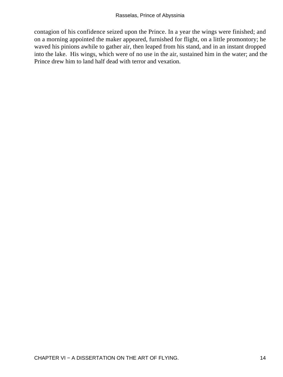contagion of his confidence seized upon the Prince. In a year the wings were finished; and on a morning appointed the maker appeared, furnished for flight, on a little promontory; he waved his pinions awhile to gather air, then leaped from his stand, and in an instant dropped into the lake. His wings, which were of no use in the air, sustained him in the water; and the Prince drew him to land half dead with terror and vexation.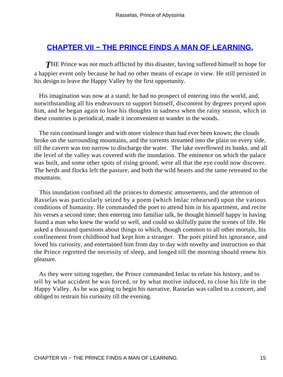## **[CHAPTER VII − THE PRINCE FINDS A MAN OF LEARNING.](#page-100-0)**

**THE Prince was not much afflicted by this disaster, having suffered himself to hope for** a happier event only because he had no other means of escape in view. He still persisted in his design to leave the Happy Valley by the first opportunity.

 His imagination was now at a stand; he had no prospect of entering into the world, and, notwithstanding all his endeavours to support himself, discontent by degrees preyed upon him, and he began again to lose his thoughts in sadness when the rainy season, which in these countries is periodical, made it inconvenient to wander in the woods.

 The rain continued longer and with more violence than had ever been known; the clouds broke on the surrounding mountains, and the torrents streamed into the plain on every side, till the cavern was too narrow to discharge the water. The lake overflowed its banks, and all the level of the valley was covered with the inundation. The eminence on which the palace was built, and some other spots of rising ground, were all that the eye could now discover. The herds and flocks left the pasture, and both the wild beasts and the tame retreated to the mountains.

 This inundation confined all the princes to domestic amusements, and the attention of Rasselas was particularly seized by a poem (which Imlac rehearsed) upon the various conditions of humanity. He commanded the poet to attend him in his apartment, and recite his verses a second time; then entering into familiar talk, he thought himself happy in having found a man who knew the world so well, and could so skilfully paint the scenes of life. He asked a thousand questions about things to which, though common to all other mortals, his confinement from childhood had kept him a stranger. The poet pitied his ignorance, and loved his curiosity, and entertained him from day to day with novelty and instruction so that the Prince regretted the necessity of sleep, and longed till the morning should renew his pleasure.

 As they were sitting together, the Prince commanded Imlac to relate his history, and to tell by what accident he was forced, or by what motive induced, to close his life in the Happy Valley. As he was going to begin his narrative, Rasselas was called to a concert, and obliged to restrain his curiosity till the evening.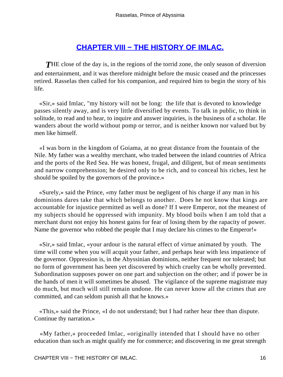# **[CHAPTER VIII − THE HISTORY OF IMLAC.](#page-100-0)**

**THE** close of the day is, in the regions of the torrid zone, the only season of diversion and entertainment, and it was therefore midnight before the music ceased and the princesses retired. Rasselas then called for his companion, and required him to begin the story of his life.

 «Sir,» said Imlac, "my history will not be long: the life that is devoted to knowledge passes silently away, and is very little diversified by events. To talk in public, to think in solitude, to read and to hear, to inquire and answer inquiries, is the business of a scholar. He wanders about the world without pomp or terror, and is neither known nor valued but by men like himself.

 «I was born in the kingdom of Goiama, at no great distance from the fountain of the Nile. My father was a wealthy merchant, who traded between the inland countries of Africa and the ports of the Red Sea. He was honest, frugal, and diligent, but of mean sentiments and narrow comprehension; he desired only to be rich, and to conceal his riches, lest he should be spoiled by the governors of the province.»

 «Surely,» said the Prince, «my father must be negligent of his charge if any man in his dominions dares take that which belongs to another. Does he not know that kings are accountable for injustice permitted as well as done? If I were Emperor, not the meanest of my subjects should he oppressed with impunity. My blood boils when I am told that a merchant durst not enjoy his honest gains for fear of losing them by the rapacity of power. Name the governor who robbed the people that I may declare his crimes to the Emperor!»

 «Sir,» said Imlac, «your ardour is the natural effect of virtue animated by youth. The time will come when you will acquit your father, and perhaps hear with less impatience of the governor. Oppression is, in the Abyssinian dominions, neither frequent nor tolerated; but no form of government has been yet discovered by which cruelty can be wholly prevented. Subordination supposes power on one part and subjection on the other; and if power be in the hands of men it will sometimes be abused. The vigilance of the supreme magistrate may do much, but much will still remain undone. He can never know all the crimes that are committed, and can seldom punish all that he knows.»

 «This,» said the Prince, «I do not understand; but I had rather hear thee than dispute. Continue thy narration.»

 «My father,» proceeded Imlac, «originally intended that I should have no other education than such as might qualify me for commerce; and discovering in me great strength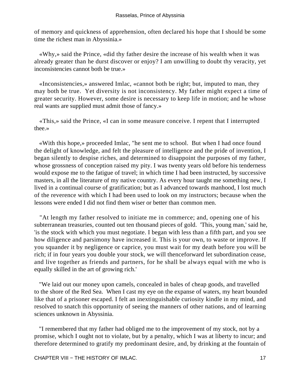of memory and quickness of apprehension, often declared his hope that I should be some time the richest man in Abyssinia.»

 «Why,» said the Prince, «did thy father desire the increase of his wealth when it was already greater than he durst discover or enjoy? I am unwilling to doubt thy veracity, yet inconsistencies cannot both be true.»

 «Inconsistencies,» answered Imlac, «cannot both be right; but, imputed to man, they may both be true. Yet diversity is not inconsistency. My father might expect a time of greater security. However, some desire is necessary to keep life in motion; and he whose real wants are supplied must admit those of fancy.»

 «This,» said the Prince, «I can in some measure conceive. I repent that I interrupted thee.»

 «With this hope,» proceeded Imlac, "he sent me to school. But when I had once found the delight of knowledge, and felt the pleasure of intelligence and the pride of invention, I began silently to despise riches, and determined to disappoint the purposes of my father, whose grossness of conception raised my pity. I was twenty years old before his tenderness would expose me to the fatigue of travel; in which time I had been instructed, by successive masters, in all the literature of my native country. As every hour taught me something new, I lived in a continual course of gratification; but as I advanced towards manhood, I lost much of the reverence with which I had been used to look on my instructors; because when the lessons were ended I did not find them wiser or better than common men.

 "At length my father resolved to initiate me in commerce; and, opening one of his subterranean treasuries, counted out ten thousand pieces of gold. 'This, young man,' said he, 'is the stock with which you must negotiate. I began with less than a fifth part, and you see how diligence and parsimony have increased it. This is your own, to waste or improve. If you squander it by negligence or caprice, you must wait for my death before you will be rich; if in four years you double your stock, we will thenceforward let subordination cease, and live together as friends and partners, for he shall be always equal with me who is equally skilled in the art of growing rich.'

 "We laid out our money upon camels, concealed in bales of cheap goods, and travelled to the shore of the Red Sea. When I cast my eye on the expanse of waters, my heart bounded like that of a prisoner escaped. I felt an inextinguishable curiosity kindle in my mind, and resolved to snatch this opportunity of seeing the manners of other nations, and of learning sciences unknown in Abyssinia.

 "I remembered that my father had obliged me to the improvement of my stock, not by a promise, which I ought not to violate, but by a penalty, which I was at liberty to incur; and therefore determined to gratify my predominant desire, and, by drinking at the fountain of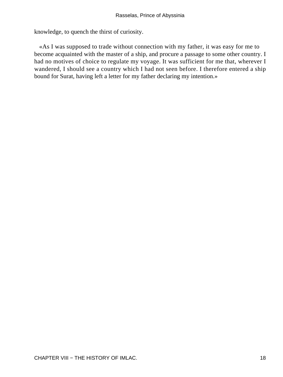knowledge, to quench the thirst of curiosity.

 «As I was supposed to trade without connection with my father, it was easy for me to become acquainted with the master of a ship, and procure a passage to some other country. I had no motives of choice to regulate my voyage. It was sufficient for me that, wherever I wandered, I should see a country which I had not seen before. I therefore entered a ship bound for Surat, having left a letter for my father declaring my intention.»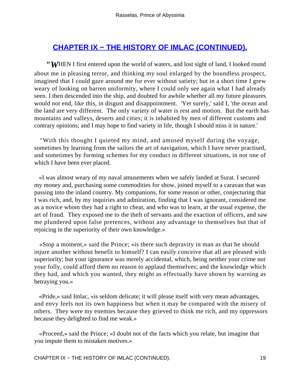# **[CHAPTER IX − THE HISTORY OF IMLAC \(CONTINUED\).](#page-100-0)**

*"W*HEN I first entered upon the world of waters, and lost sight of land, I looked round about me in pleasing terror, and thinking my soul enlarged by the boundless prospect, imagined that I could gaze around me for ever without satiety; but in a short time I grew weary of looking on barren uniformity, where I could only see again what I had already seen. I then descended into the ship, and doubted for awhile whether all my future pleasures would not end, like this, in disgust and disappointment. 'Yet surely,' said I, 'the ocean and the land are very different. The only variety of water is rest and motion. But the earth has mountains and valleys, deserts and cities; it is inhabited by men of different customs and contrary opinions; and I may hope to find variety in life, though I should miss it in nature.'

 "With this thought I quieted my mind, and amused myself during the voyage, sometimes by learning from the sailors the art of navigation, which I have never practised, and sometimes by forming schemes for my conduct in different situations, in not one of which I have been ever placed.

 «I was almost weary of my naval amusements when we safely landed at Surat. I secured my money and, purchasing some commodities for show, joined myself to a caravan that was passing into the inland country. My companions, for some reason or other, conjecturing that I was rich, and, by my inquiries and admiration, finding that I was ignorant, considered me as a novice whom they had a right to cheat, and who was to learn, at the usual expense, the art of fraud. They exposed me to the theft of servants and the exaction of officers, and saw me plundered upon false pretences, without any advantage to themselves but that of rejoicing in the superiority of their own knowledge.»

 «Stop a moment,» said the Prince; «is there such depravity in man as that he should injure another without benefit to himself? I can easily conceive that all are pleased with superiority; but your ignorance was merely accidental, which, being neither your crime nor your folly, could afford them no reason to applaud themselves; and the knowledge which they had, and which you wanted, they might as effectually have shown by warning as betraying you.»

 «Pride,» said Imlac, «is seldom delicate; it will please itself with very mean advantages, and envy feels not its own happiness but when it may be compared with the misery of others. They were my enemies because they grieved to think me rich, and my oppressors because they delighted to find me weak.»

 «Proceed,» said the Prince; «I doubt not of the facts which you relate, but imagine that you impute them to mistaken motives.»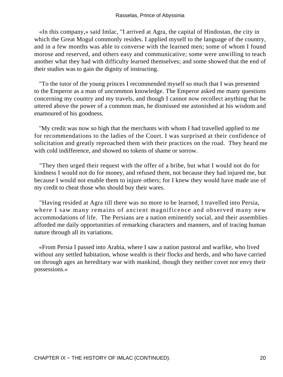«In this company,» said Imlac, "I arrived at Agra, the capital of Hindostan, the city in which the Great Mogul commonly resides. I applied myself to the language of the country, and in a few months was able to converse with the learned men; some of whom I found morose and reserved, and others easy and communicative; some were unwilling to teach another what they had with difficulty learned themselves; and some showed that the end of their studies was to gain the dignity of instructing.

 "To the tutor of the young princes I recommended myself so much that I was presented to the Emperor as a man of uncommon knowledge. The Emperor asked me many questions concerning my country and my travels, and though I cannot now recollect anything that he uttered above the power of a common man, he dismissed me astonished at his wisdom and enamoured of his goodness.

 "My credit was now so high that the merchants with whom I had travelled applied to me for recommendations to the ladies of the Court. I was surprised at their confidence of solicitation and greatly reproached them with their practices on the road. They heard me with cold indifference, and showed no tokens of shame or sorrow.

 "They then urged their request with the offer of a bribe, but what I would not do for kindness I would not do for money, and refused them, not because they had injured me, but because I would not enable them to injure others; for I knew they would have made use of my credit to cheat those who should buy their wares.

 "Having resided at Agra till there was no more to be learned, I travelled into Persia, where I saw many remains of ancient magnificence and observed many new accommodations of life. The Persians are a nation eminently social, and their assemblies afforded me daily opportunities of remarking characters and manners, and of tracing human nature through all its variations.

 «From Persia I passed into Arabia, where I saw a nation pastoral and warlike, who lived without any settled habitation, whose wealth is their flocks and herds, and who have carried on through ages an hereditary war with mankind, though they neither covet nor envy their possessions.»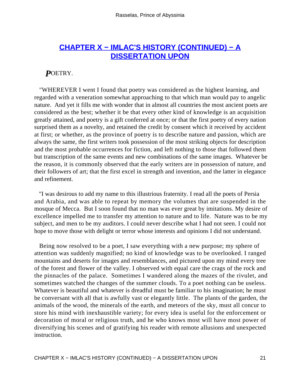## **[CHAPTER X − IMLAC'S HISTORY \(CONTINUED\) − A](#page-100-0) [DISSERTATION UPON](#page-100-0)**

#### *P*OETRY.

 "WHEREVER I went I found that poetry was considered as the highest learning, and regarded with a veneration somewhat approaching to that which man would pay to angelic nature. And yet it fills me with wonder that in almost all countries the most ancient poets are considered as the best; whether it be that every other kind of knowledge is an acquisition greatly attained, and poetry is a gift conferred at once; or that the first poetry of every nation surprised them as a novelty, and retained the credit by consent which it received by accident at first; or whether, as the province of poetry is to describe nature and passion, which are always the same, the first writers took possession of the most striking objects for description and the most probable occurrences for fiction, and left nothing to those that followed them but transcription of the same events and new combinations of the same images. Whatever be the reason, it is commonly observed that the early writers are in possession of nature, and their followers of art; that the first excel in strength and invention, and the latter in elegance and refinement.

 "I was desirous to add my name to this illustrious fraternity. I read all the poets of Persia and Arabia, and was able to repeat by memory the volumes that are suspended in the mosque of Mecca. But I soon found that no man was ever great by imitations. My desire of excellence impelled me to transfer my attention to nature and to life. Nature was to be my subject, and men to be my auditors. I could never describe what I had not seen. I could not hope to move those with delight or terror whose interests and opinions I did not understand.

 Being now resolved to be a poet, I saw everything with a new purpose; my sphere of attention was suddenly magnified; no kind of knowledge was to be overlooked. I ranged mountains and deserts for images and resemblances, and pictured upon my mind every tree of the forest and flower of the valley. I observed with equal care the crags of the rock and the pinnacles of the palace. Sometimes I wandered along the mazes of the rivulet, and sometimes watched the changes of the summer clouds. To a poet nothing can be useless. Whatever is beautiful and whatever is dreadful must be familiar to his imagination; he must be conversant with all that is awfully vast or elegantly little. The plants of the garden, the animals of the wood, the minerals of the earth, and meteors of the sky, must all concur to store his mind with inexhaustible variety; for every idea is useful for the enforcement or decoration of moral or religious truth, and he who knows most will have most power of diversifying his scenes and of gratifying his reader with remote allusions and unexpected instruction.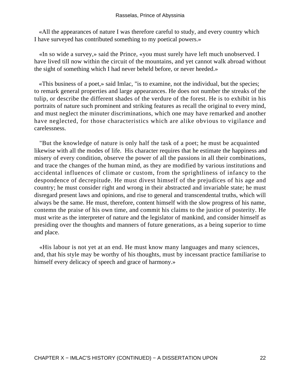«All the appearances of nature I was therefore careful to study, and every country which I have surveyed has contributed something to my poetical powers.»

 «In so wide a survey,» said the Prince, «you must surely have left much unobserved. I have lived till now within the circuit of the mountains, and yet cannot walk abroad without the sight of something which I had never beheld before, or never heeded.»

 «This business of a poet,» said Imlac, "is to examine, not the individual, but the species; to remark general properties and large appearances. He does not number the streaks of the tulip, or describe the different shades of the verdure of the forest. He is to exhibit in his portraits of nature such prominent and striking features as recall the original to every mind, and must neglect the minuter discriminations, which one may have remarked and another have neglected, for those characteristics which are alike obvious to vigilance and carelessness.

 "But the knowledge of nature is only half the task of a poet; he must be acquainted likewise with all the modes of life. His character requires that he estimate the happiness and misery of every condition, observe the power of all the passions in all their combinations, and trace the changes of the human mind, as they are modified by various institutions and accidental influences of climate or custom, from the sprightliness of infancy to the despondence of decrepitude. He must divest himself of the prejudices of his age and country; he must consider right and wrong in their abstracted and invariable state; he must disregard present laws and opinions, and rise to general and transcendental truths, which will always be the same. He must, therefore, content himself with the slow progress of his name, contemn the praise of his own time, and commit his claims to the justice of posterity. He must write as the interpreter of nature and the legislator of mankind, and consider himself as presiding over the thoughts and manners of future generations, as a being superior to time and place.

 «His labour is not yet at an end. He must know many languages and many sciences, and, that his style may be worthy of his thoughts, must by incessant practice familiarise to himself every delicacy of speech and grace of harmony.»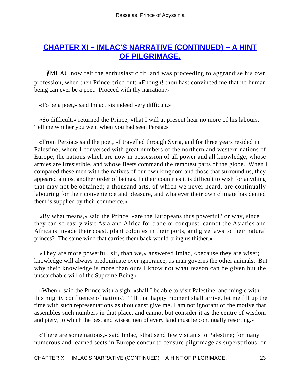# **[CHAPTER XI − IMLAC'S NARRATIVE \(CONTINUED\) − A HINT](#page-100-0) [OF PILGRIMAGE.](#page-100-0)**

*I*MLAC now felt the enthusiastic fit, and was proceeding to aggrandise his own profession, when then Prince cried out: «Enough! thou hast convinced me that no human being can ever be a poet. Proceed with thy narration.»

«To be a poet,» said Imlac, «is indeed very difficult.»

 «So difficult,» returned the Prince, «that I will at present hear no more of his labours. Tell me whither you went when you had seen Persia.»

 «From Persia,» said the poet, «I travelled through Syria, and for three years resided in Palestine, where I conversed with great numbers of the northern and western nations of Europe, the nations which are now in possession of all power and all knowledge, whose armies are irresistible, and whose fleets command the remotest parts of the globe. When I compared these men with the natives of our own kingdom and those that surround us, they appeared almost another order of beings. In their countries it is difficult to wish for anything that may not be obtained; a thousand arts, of which we never heard, are continually labouring for their convenience and pleasure, and whatever their own climate has denied them is supplied by their commerce.»

 «By what means,» said the Prince, «are the Europeans thus powerful? or why, since they can so easily visit Asia and Africa for trade or conquest, cannot the Asiatics and Africans invade their coast, plant colonies in their ports, and give laws to their natural princes? The same wind that carries them back would bring us thither.»

 «They are more powerful, sir, than we,» answered Imlac, «because they are wiser; knowledge will always predominate over ignorance, as man governs the other animals. But why their knowledge is more than ours I know not what reason can be given but the unsearchable will of the Supreme Being.»

 «When,» said the Prince with a sigh, «shall I be able to visit Palestine, and mingle with this mighty confluence of nations? Till that happy moment shall arrive, let me fill up the time with such representations as thou canst give me. I am not ignorant of the motive that assembles such numbers in that place, and cannot but consider it as the centre of wisdom and piety, to which the best and wisest men of every land must be continually resorting.»

 «There are some nations,» said Imlac, «that send few visitants to Palestine; for many numerous and learned sects in Europe concur to censure pilgrimage as superstitious, or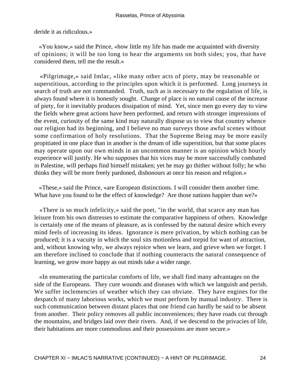deride it as ridiculous.»

 «You know,» said the Prince, «how little my life has made me acquainted with diversity of opinions; it will be too long to hear the arguments on both sides; you, that have considered them, tell me the result.»

 «Pilgrimage,» said Imlac, «like many other acts of piety, may be reasonable or superstitious, according to the principles upon which it is performed. Long journeys in search of truth are not commanded. Truth, such as is necessary to the regulation of life, is always found where it is honestly sought. Change of place is no natural cause of the increase of piety, for it inevitably produces dissipation of mind. Yet, since men go every day to view the fields where great actions have been performed, and return with stronger impressions of the event, curiosity of the same kind may naturally dispose us to view that country whence our religion had its beginning, and I believe no man surveys those awful scenes without some confirmation of holy resolutions. That the Supreme Being may be more easily propitiated in one place than in another is the dream of idle superstition, but that some places may operate upon our own minds in an uncommon manner is an opinion which hourly experience will justify. He who supposes that his vices may be more successfully combated in Palestine, will perhaps find himself mistaken; yet he may go thither without folly; he who thinks they will be more freely pardoned, dishonours at once his reason and religion.»

 «These,» said the Prince, «are European distinctions. I will consider them another time. What have you found to be the effect of knowledge? Are those nations happier than we?»

 «There is so much infelicity,» said the poet, "in the world, that scarce any man has leisure from his own distresses to estimate the comparative happiness of others. Knowledge is certainly one of the means of pleasure, as is confessed by the natural desire which every mind feels of increasing its ideas. Ignorance is mere privation, by which nothing can be produced; it is a vacuity in which the soul sits motionless and torpid for want of attraction, and, without knowing why, we always rejoice when we learn, and grieve when we forget. I am therefore inclined to conclude that if nothing counteracts the natural consequence of learning, we grow more happy as out minds take a wider range.

 «In enumerating the particular comforts of life, we shall find many advantages on the side of the Europeans. They cure wounds and diseases with which we languish and perish. We suffer inclemencies of weather which they can obviate. They have engines for the despatch of many laborious works, which we must perform by manual industry. There is such communication between distant places that one friend can hardly be said to be absent from another. Their policy removes all public inconveniences; they have roads cut through the mountains, and bridges laid over their rivers. And, if we descend to the privacies of life, their habitations are more commodious and their possessions are more secure.»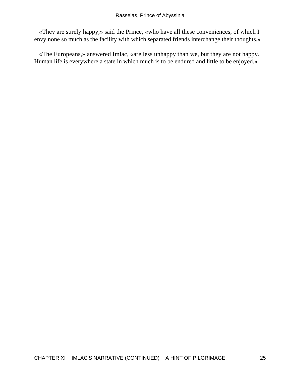«They are surely happy,» said the Prince, «who have all these conveniences, of which I envy none so much as the facility with which separated friends interchange their thoughts.»

 «The Europeans,» answered Imlac, «are less unhappy than we, but they are not happy. Human life is everywhere a state in which much is to be endured and little to be enjoyed.»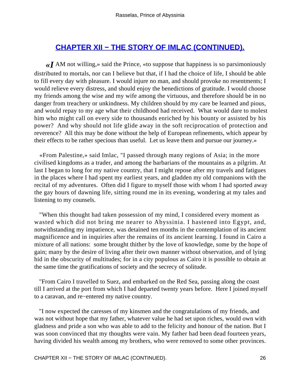# **[CHAPTER XII − THE STORY OF IMLAC \(CONTINUED\).](#page-100-0)**

*«I* AM not willing,» said the Prince, «to suppose that happiness is so parsimoniously distributed to mortals, nor can I believe but that, if I had the choice of life, I should be able to fill every day with pleasure. I would injure no man, and should provoke no resentments; I would relieve every distress, and should enjoy the benedictions of gratitude. I would choose my friends among the wise and my wife among the virtuous, and therefore should be in no danger from treachery or unkindness. My children should by my care be learned and pious, and would repay to my age what their childhood had received. What would dare to molest him who might call on every side to thousands enriched by his bounty or assisted by his power? And why should not life glide away in the soft reciprocation of protection and reverence? All this may be done without the help of European refinements, which appear by their effects to be rather specious than useful. Let us leave them and pursue our journey.»

 «From Palestine,» said Imlac, "I passed through many regions of Asia; in the more civilised kingdoms as a trader, and among the barbarians of the mountains as a pilgrim. At last I began to long for my native country, that I might repose after my travels and fatigues in the places where I had spent my earliest years, and gladden my old companions with the recital of my adventures. Often did I figure to myself those with whom I had sported away the gay hours of dawning life, sitting round me in its evening, wondering at my tales and listening to my counsels.

 "When this thought had taken possession of my mind, I considered every moment as wasted which did not bring me nearer to Abyssinia. I hastened into Egypt, and, notwithstanding my impatience, was detained ten months in the contemplation of its ancient magnificence and in inquiries after the remains of its ancient learning. I found in Cairo a mixture of all nations: some brought thither by the love of knowledge, some by the hope of gain; many by the desire of living after their own manner without observation, and of lying hid in the obscurity of multitudes; for in a city populous as Cairo it is possible to obtain at the same time the gratifications of society and the secrecy of solitude.

 "From Cairo I travelled to Suez, and embarked on the Red Sea, passing along the coast till I arrived at the port from which I had departed twenty years before. Here I joined myself to a caravan, and re−entered my native country.

 "I now expected the caresses of my kinsmen and the congratulations of my friends, and was not without hope that my father, whatever value he had set upon riches, would own with gladness and pride a son who was able to add to the felicity and honour of the nation. But I was soon convinced that my thoughts were vain. My father had been dead fourteen years, having divided his wealth among my brothers, who were removed to some other provinces.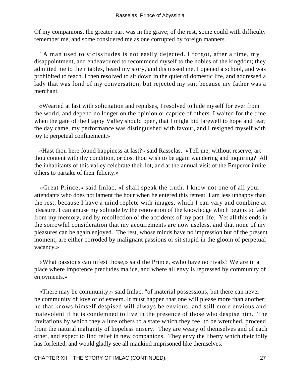Of my companions, the greater part was in the grave; of the rest, some could with difficulty remember me, and some considered me as one corrupted by foreign manners.

 "A man used to vicissitudes is not easily dejected. I forgot, after a time, my disappointment, and endeavoured to recommend myself to the nobles of the kingdom; they admitted me to their tables, heard my story, and dismissed me. I opened a school, and was prohibited to teach. I then resolved to sit down in the quiet of domestic life, and addressed a lady that was fond of my conversation, but rejected my suit because my father was a merchant.

 «Wearied at last with solicitation and repulses, I resolved to hide myself for ever from the world, and depend no longer on the opinion or caprice of others. I waited for the time when the gate of the Happy Valley should open, that I might bid farewell to hope and fear; the day came, my performance was distinguished with favour, and I resigned myself with joy to perpetual confinement.»

 «Hast thou here found happiness at last?» said Rasselas. «Tell me, without reserve, art thou content with thy condition, or dost thou wish to be again wandering and inquiring? All the inhabitants of this valley celebrate their lot, and at the annual visit of the Emperor invite others to partake of their felicity.»

 «Great Prince,» said Imlac, «I shall speak the truth. I know not one of all your attendants who does not lament the hour when he entered this retreat. I am less unhappy than the rest, because I have a mind replete with images, which I can vary and combine at pleasure. I can amuse my solitude by the renovation of the knowledge which begins to fade from my memory, and by recollection of the accidents of my past life. Yet all this ends in the sorrowful consideration that my acquirements are now useless, and that none of my pleasures can be again enjoyed. The rest, whose minds have no impression but of the present moment, are either corroded by malignant passions or sit stupid in the gloom of perpetual vacancy.»

 «What passions can infest those,» said the Prince, «who have no rivals? We are in a place where impotence precludes malice, and where all envy is repressed by community of enjoyments.»

 «There may be community,» said Imlac, "of material possessions, but there can never be community of love or of esteem. It must happen that one will please more than another; he that knows himself despised will always be envious, and still more envious and malevolent if he is condemned to live in the presence of those who despise him. The invitations by which they allure others to a state which they feel to be wretched, proceed from the natural malignity of hopeless misery. They are weary of themselves and of each other, and expect to find relief in new companions. They envy the liberty which their folly has forfeited, and would gladly see all mankind imprisoned like themselves.

CHAPTER XII − THE STORY OF IMLAC (CONTINUED). 27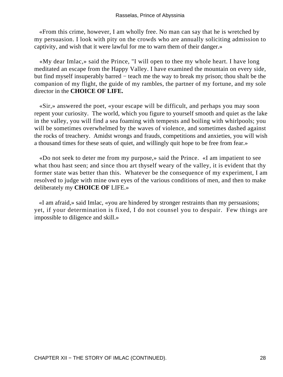«From this crime, however, I am wholly free. No man can say that he is wretched by my persuasion. I look with pity on the crowds who are annually soliciting admission to captivity, and wish that it were lawful for me to warn them of their danger.»

 «My dear Imlac,» said the Prince, "I will open to thee my whole heart. I have long meditated an escape from the Happy Valley. I have examined the mountain on every side, but find myself insuperably barred − teach me the way to break my prison; thou shalt be the companion of my flight, the guide of my rambles, the partner of my fortune, and my sole director in the **CHOICE OF LIFE.**

 «Sir,» answered the poet, «your escape will be difficult, and perhaps you may soon repent your curiosity. The world, which you figure to yourself smooth and quiet as the lake in the valley, you will find a sea foaming with tempests and boiling with whirlpools; you will be sometimes overwhelmed by the waves of violence, and sometimes dashed against the rocks of treachery. Amidst wrongs and frauds, competitions and anxieties, you will wish a thousand times for these seats of quiet, and willingly quit hope to be free from fear.»

 «Do not seek to deter me from my purpose,» said the Prince. «I am impatient to see what thou hast seen; and since thou art thyself weary of the valley, it is evident that thy former state was better than this. Whatever be the consequence of my experiment, I am resolved to judge with mine own eyes of the various conditions of men, and then to make deliberately my **CHOICE OF** LIFE.»

 «I am afraid,» said Imlac, «you are hindered by stronger restraints than my persuasions; yet, if your determination is fixed, I do not counsel you to despair. Few things are impossible to diligence and skill.»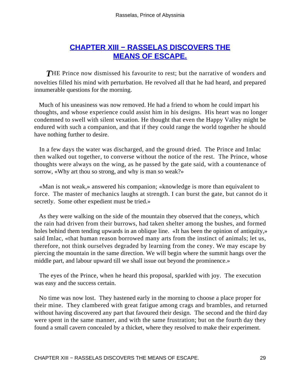# **[CHAPTER XIII − RASSELAS DISCOVERS THE](#page-100-0) [MEANS OF ESCAPE.](#page-100-0)**

**THE Prince now dismissed his favourite to rest; but the narrative of wonders and** novelties filled his mind with perturbation. He revolved all that he had heard, and prepared innumerable questions for the morning.

 Much of his uneasiness was now removed. He had a friend to whom he could impart his thoughts, and whose experience could assist him in his designs. His heart was no longer condemned to swell with silent vexation. He thought that even the Happy Valley might be endured with such a companion, and that if they could range the world together he should have nothing further to desire.

 In a few days the water was discharged, and the ground dried. The Prince and Imlac then walked out together, to converse without the notice of the rest. The Prince, whose thoughts were always on the wing, as he passed by the gate said, with a countenance of sorrow, «Why art thou so strong, and why is man so weak?»

 «Man is not weak,» answered his companion; «knowledge is more than equivalent to force. The master of mechanics laughs at strength. I can burst the gate, but cannot do it secretly. Some other expedient must be tried.»

 As they were walking on the side of the mountain they observed that the coneys, which the rain had driven from their burrows, had taken shelter among the bushes, and formed holes behind them tending upwards in an oblique line. «It has been the opinion of antiquity,» said Imlac, «that human reason borrowed many arts from the instinct of animals; let us, therefore, not think ourselves degraded by learning from the coney. We may escape by piercing the mountain in the same direction. We will begin where the summit hangs over the middle part, and labour upward till we shall issue out beyond the prominence.»

 The eyes of the Prince, when he heard this proposal, sparkled with joy. The execution was easy and the success certain.

 No time was now lost. They hastened early in the morning to choose a place proper for their mine. They clambered with great fatigue among crags and brambles, and returned without having discovered any part that favoured their design. The second and the third day were spent in the same manner, and with the same frustration; but on the fourth day they found a small cavern concealed by a thicket, where they resolved to make their experiment.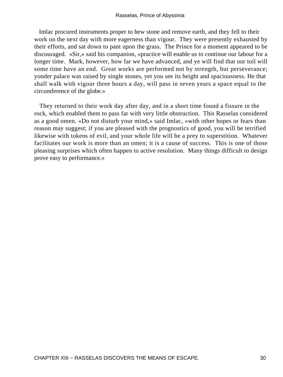Imlac procured instruments proper to hew stone and remove earth, and they fell to their work on the next day with more eagerness than vigour. They were presently exhausted by their efforts, and sat down to pant upon the grass. The Prince for a moment appeared to be discouraged. «Sir,» said his companion, «practice will enable us to continue our labour for a longer time. Mark, however, how far we have advanced, and ye will find that our toil will some time have an end. Great works are performed not by strength, but perseverance; yonder palace was raised by single stones, yet you see its height and spaciousness. He that shall walk with vigour three hours a day, will pass in seven years a space equal to the circumference of the globe.»

 They returned to their work day after day, and in a short time found a fissure in the rock, which enabled them to pass far with very little obstruction. This Rasselas considered as a good omen. «Do not disturb your mind,» said Imlac, «with other hopes or fears than reason may suggest; if you are pleased with the prognostics of good, you will be terrified likewise with tokens of evil, and your whole life will be a prey to superstition. Whatever facilitates our work is more than an omen; it is a cause of success. This is one of those pleasing surprises which often happen to active resolution. Many things difficult to design prove easy to performance.»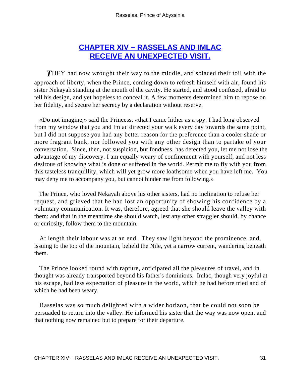# **[CHAPTER XIV − RASSELAS AND IMLAC](#page-100-0) [RECEIVE AN UNEXPECTED VISIT.](#page-100-0)**

**THEY** had now wrought their way to the middle, and solaced their toil with the approach of liberty, when the Prince, coming down to refresh himself with air, found his sister Nekayah standing at the mouth of the cavity. He started, and stood confused, afraid to tell his design, and yet hopeless to conceal it. A few moments determined him to repose on her fidelity, and secure her secrecy by a declaration without reserve.

 «Do not imagine,» said the Princess, «that I came hither as a spy. I had long observed from my window that you and Imlac directed your walk every day towards the same point, but I did not suppose you had any better reason for the preference than a cooler shade or more fragrant bank, nor followed you with any other design than to partake of your conversation. Since, then, not suspicion, but fondness, has detected you, let me not lose the advantage of my discovery. I am equally weary of confinement with yourself, and not less desirous of knowing what is done or suffered in the world. Permit me to fly with you from this tasteless tranquillity, which will yet grow more loathsome when you have left me. You may deny me to accompany you, but cannot hinder me from following.»

 The Prince, who loved Nekayah above his other sisters, had no inclination to refuse her request, and grieved that he had lost an opportunity of showing his confidence by a voluntary communication. It was, therefore, agreed that she should leave the valley with them; and that in the meantime she should watch, lest any other straggler should, by chance or curiosity, follow them to the mountain.

 At length their labour was at an end. They saw light beyond the prominence, and, issuing to the top of the mountain, beheld the Nile, yet a narrow current, wandering beneath them.

 The Prince looked round with rapture, anticipated all the pleasures of travel, and in thought was already transported beyond his father's dominions. Imlac, though very joyful at his escape, had less expectation of pleasure in the world, which he had before tried and of which he had been weary.

 Rasselas was so much delighted with a wider horizon, that he could not soon be persuaded to return into the valley. He informed his sister that the way was now open, and that nothing now remained but to prepare for their departure.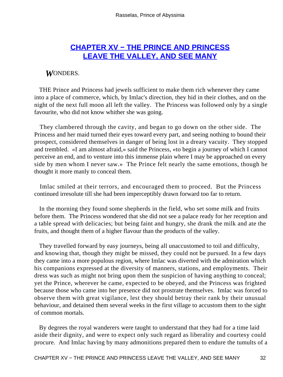# **[CHAPTER XV − THE PRINCE AND PRINCESS](#page-100-0) [LEAVE THE VALLEY, AND SEE MANY](#page-100-0)**

#### *W*ONDERS.

 THE Prince and Princess had jewels sufficient to make them rich whenever they came into a place of commerce, which, by Imlac's direction, they hid in their clothes, and on the night of the next full moon all left the valley. The Princess was followed only by a single favourite, who did not know whither she was going.

 They clambered through the cavity, and began to go down on the other side. The Princess and her maid turned their eyes toward every part, and seeing nothing to bound their prospect, considered themselves in danger of being lost in a dreary vacuity. They stopped and trembled. «I am almost afraid,» said the Princess, «to begin a journey of which I cannot perceive an end, and to venture into this immense plain where I may be approached on every side by men whom I never saw.» The Prince felt nearly the same emotions, though he thought it more manly to conceal them.

 Imlac smiled at their terrors, and encouraged them to proceed. But the Princess continued irresolute till she had been imperceptibly drawn forward too far to return.

 In the morning they found some shepherds in the field, who set some milk and fruits before them. The Princess wondered that she did not see a palace ready for her reception and a table spread with delicacies; but being faint and hungry, she drank the milk and ate the fruits, and thought them of a higher flavour than the products of the valley.

 They travelled forward by easy journeys, being all unaccustomed to toil and difficulty, and knowing that, though they might be missed, they could not be pursued. In a few days they came into a more populous region, where Imlac was diverted with the admiration which his companions expressed at the diversity of manners, stations, and employments. Their dress was such as might not bring upon them the suspicion of having anything to conceal; yet the Prince, wherever he came, expected to be obeyed, and the Princess was frighted because those who came into her presence did not prostrate themselves. Imlac was forced to observe them with great vigilance, lest they should betray their rank by their unusual behaviour, and detained them several weeks in the first village to accustom them to the sight of common mortals.

 By degrees the royal wanderers were taught to understand that they had for a time laid aside their dignity, and were to expect only such regard as liberality and courtesy could procure. And Imlac having by many admonitions prepared them to endure the tumults of a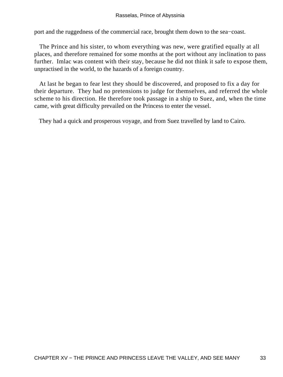port and the ruggedness of the commercial race, brought them down to the sea−coast.

 The Prince and his sister, to whom everything was new, were gratified equally at all places, and therefore remained for some months at the port without any inclination to pass further. Imlac was content with their stay, because he did not think it safe to expose them, unpractised in the world, to the hazards of a foreign country.

 At last he began to fear lest they should be discovered, and proposed to fix a day for their departure. They had no pretensions to judge for themselves, and referred the whole scheme to his direction. He therefore took passage in a ship to Suez, and, when the time came, with great difficulty prevailed on the Princess to enter the vessel.

They had a quick and prosperous voyage, and from Suez travelled by land to Cairo.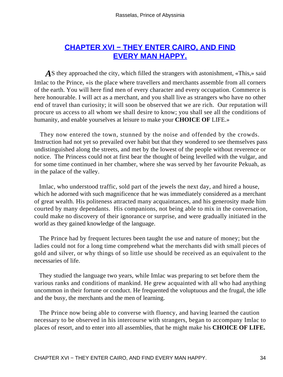# **[CHAPTER XVI − THEY ENTER CAIRO, AND FIND](#page-100-0) [EVERY MAN HAPPY.](#page-100-0)**

A S they approached the city, which filled the strangers with astonishment, «This,» said Imlac to the Prince, «is the place where travellers and merchants assemble from all corners of the earth. You will here find men of every character and every occupation. Commerce is here honourable. I will act as a merchant, and you shall live as strangers who have no other end of travel than curiosity; it will soon be observed that we are rich. Our reputation will procure us access to all whom we shall desire to know; you shall see all the conditions of humanity, and enable yourselves at leisure to make your **CHOICE OF** LIFE.»

 They now entered the town, stunned by the noise and offended by the crowds. Instruction had not yet so prevailed over habit but that they wondered to see themselves pass undistinguished along the streets, and met by the lowest of the people without reverence or notice. The Princess could not at first bear the thought of being levelled with the vulgar, and for some time continued in her chamber, where she was served by her favourite Pekuah, as in the palace of the valley.

 Imlac, who understood traffic, sold part of the jewels the next day, and hired a house, which he adorned with such magnificence that he was immediately considered as a merchant of great wealth. His politeness attracted many acquaintances, and his generosity made him courted by many dependants. His companions, not being able to mix in the conversation, could make no discovery of their ignorance or surprise, and were gradually initiated in the world as they gained knowledge of the language.

 The Prince had by frequent lectures been taught the use and nature of money; but the ladies could not for a long time comprehend what the merchants did with small pieces of gold and silver, or why things of so little use should be received as an equivalent to the necessaries of life.

 They studied the language two years, while Imlac was preparing to set before them the various ranks and conditions of mankind. He grew acquainted with all who had anything uncommon in their fortune or conduct. He frequented the voluptuous and the frugal, the idle and the busy, the merchants and the men of learning.

 The Prince now being able to converse with fluency, and having learned the caution necessary to be observed in his intercourse with strangers, began to accompany Imlac to places of resort, and to enter into all assemblies, that he might make his **CHOICE OF LIFE.**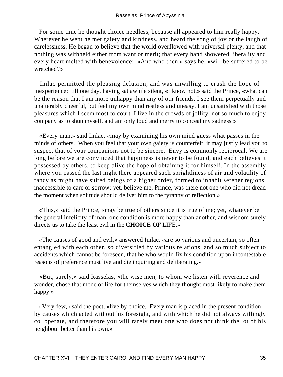For some time he thought choice needless, because all appeared to him really happy. Wherever he went he met gaiety and kindness, and heard the song of joy or the laugh of carelessness. He began to believe that the world overflowed with universal plenty, and that nothing was withheld either from want or merit; that every hand showered liberality and every heart melted with benevolence: «And who then,» says he, «will be suffered to be wretched?»

 Imlac permitted the pleasing delusion, and was unwilling to crush the hope of inexperience: till one day, having sat awhile silent, «I know not,» said the Prince, «what can be the reason that I am more unhappy than any of our friends. I see them perpetually and unalterably cheerful, but feel my own mind restless and uneasy. I am unsatisfied with those pleasures which I seem most to court. I live in the crowds of jollity, not so much to enjoy company as to shun myself, and am only loud and merry to conceal my sadness.»

 «Every man,» said Imlac, «may by examining his own mind guess what passes in the minds of others. When you feel that your own gaiety is counterfeit, it may justly lead you to suspect that of your companions not to be sincere. Envy is commonly reciprocal. We are long before we are convinced that happiness is never to be found, and each believes it possessed by others, to keep alive the hope of obtaining it for himself. In the assembly where you passed the last night there appeared such sprightliness of air and volatility of fancy as might have suited beings of a higher order, formed to inhabit serener regions, inaccessible to care or sorrow; yet, believe me, Prince, was there not one who did not dread the moment when solitude should deliver him to the tyranny of reflection.»

 «This,» said the Prince, «may be true of others since it is true of me; yet, whatever be the general infelicity of man, one condition is more happy than another, and wisdom surely directs us to take the least evil in the **CHOICE OF** LIFE.»

 «The causes of good and evil,» answered Imlac, «are so various and uncertain, so often entangled with each other, so diversified by various relations, and so much subject to accidents which cannot be foreseen, that he who would fix his condition upon incontestable reasons of preference must live and die inquiring and deliberating.»

 «But, surely,» said Rasselas, «the wise men, to whom we listen with reverence and wonder, chose that mode of life for themselves which they thought most likely to make them happy.»

 «Very few,» said the poet, «live by choice. Every man is placed in the present condition by causes which acted without his foresight, and with which he did not always willingly co−operate, and therefore you will rarely meet one who does not think the lot of his neighbour better than his own.»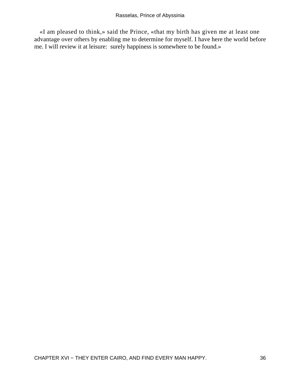«I am pleased to think,» said the Prince, «that my birth has given me at least one advantage over others by enabling me to determine for myself. I have here the world before me. I will review it at leisure: surely happiness is somewhere to be found.»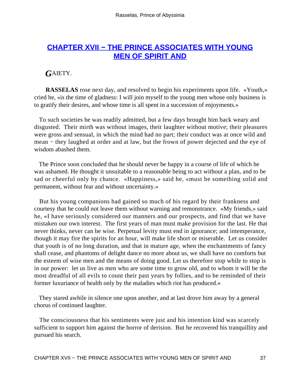## **[CHAPTER XVII − THE PRINCE ASSOCIATES WITH YOUNG](#page-100-0) [MEN OF SPIRIT AND](#page-100-0)**

#### *G*AIETY.

**RASSELAS** rose next day, and resolved to begin his experiments upon life. «Youth,» cried he, «is the time of gladness: I will join myself to the young men whose only business is to gratify their desires, and whose time is all spent in a succession of enjoyments.»

 To such societies he was readily admitted, but a few days brought him back weary and disgusted. Their mirth was without images, their laughter without motive; their pleasures were gross and sensual, in which the mind had no part; their conduct was at once wild and mean – they laughed at order and at law, but the frown of power dejected and the eye of wisdom abashed them.

 The Prince soon concluded that he should never be happy in a course of life of which he was ashamed. He thought it unsuitable to a reasonable being to act without a plan, and to be sad or cheerful only by chance. «Happiness,» said he, «must be something solid and permanent, without fear and without uncertainty.»

 But his young companions had gained so much of his regard by their frankness and courtesy that he could not leave them without warning and remonstrance. «My friends,» said he, «I have seriously considered our manners and our prospects, and find that we have mistaken our own interest. The first years of man must make provision for the last. He that never thinks, never can be wise. Perpetual levity must end in ignorance; and intemperance, though it may fire the spirits for an hour, will make life short or miserable. Let us consider that youth is of no long duration, and that in mature age, when the enchantments of fancy shall cease, and phantoms of delight dance no more about us, we shall have no comforts but the esteem of wise men and the means of doing good. Let us therefore stop while to stop is in our power: let us live as men who are some time to grow old, and to whom it will be the most dreadful of all evils to count their past years by follies, and to be reminded of their former luxuriance of health only by the maladies which riot has produced.»

 They stared awhile in silence one upon another, and at last drove him away by a general chorus of continued laughter.

 The consciousness that his sentiments were just and his intention kind was scarcely sufficient to support him against the horror of derision. But he recovered his tranquillity and pursued his search.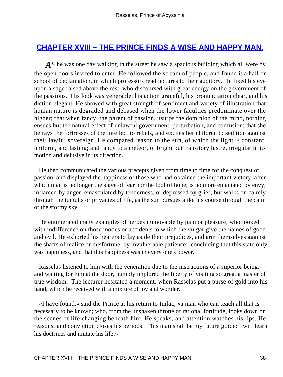### **CHAPTER XVIII – THE PRINCE FINDS A WISE AND HAPPY MAN.**

AS he was one day walking in the street he saw a spacious building which all were by the open doors invited to enter. He followed the stream of people, and found it a hall or school of declamation, in which professors read lectures to their auditory. He fixed his eye upon a sage raised above the rest, who discoursed with great energy on the government of the passions. His look was venerable, his action graceful, his pronunciation clear, and his diction elegant. He showed with great strength of sentiment and variety of illustration that human nature is degraded and debased when the lower faculties predominate over the higher; that when fancy, the parent of passion, usurps the dominion of the mind, nothing ensues but the natural effect of unlawful government, perturbation, and confusion; that she betrays the fortresses of the intellect to rebels, and excites her children to sedition against their lawful sovereign. He compared reason to the sun, of which the light is constant, uniform, and lasting; and fancy to a meteor, of bright but transitory lustre, irregular in its motion and delusive in its direction.

 He then communicated the various precepts given from time to time for the conquest of passion, and displayed the happiness of those who had obtained the important victory, after which man is no longer the slave of fear nor the fool of hope; is no more emaciated by envy, inflamed by anger, emasculated by tenderness, or depressed by grief; but walks on calmly through the tumults or privacies of life, as the sun pursues alike his course through the calm or the stormy sky.

 He enumerated many examples of heroes immovable by pain or pleasure, who looked with indifference on those modes or accidents to which the vulgar give the names of good and evil. He exhorted his hearers to lay aside their prejudices, and arm themselves against the shafts of malice or misfortune, by invulnerable patience: concluding that this state only was happiness, and that this happiness was in every one's power.

 Rasselas listened to him with the veneration due to the instructions of a superior being, and waiting for him at the door, humbly implored the liberty of visiting so great a master of true wisdom. The lecturer hesitated a moment, when Rasselas put a purse of gold into his hand, which he received with a mixture of joy and wonder.

 «I have found,» said the Prince at his return to Imlac, «a man who can teach all that is necessary to be known; who, from the unshaken throne of rational fortitude, looks down on the scenes of life changing beneath him. He speaks, and attention watches his lips. He reasons, and conviction closes his periods. This man shall be my future guide: I will learn his doctrines and imitate his life.»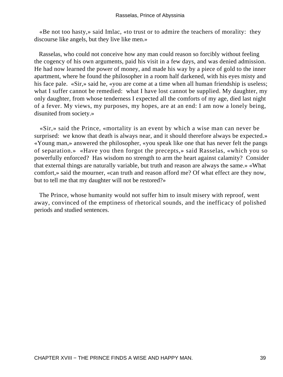«Be not too hasty,» said Imlac, «to trust or to admire the teachers of morality: they discourse like angels, but they live like men.»

 Rasselas, who could not conceive how any man could reason so forcibly without feeling the cogency of his own arguments, paid his visit in a few days, and was denied admission. He had now learned the power of money, and made his way by a piece of gold to the inner apartment, where he found the philosopher in a room half darkened, with his eyes misty and his face pale. «Sir,» said he, «you are come at a time when all human friendship is useless; what I suffer cannot be remedied: what I have lost cannot be supplied. My daughter, my only daughter, from whose tenderness I expected all the comforts of my age, died last night of a fever. My views, my purposes, my hopes, are at an end: I am now a lonely being, disunited from society.»

 «Sir,» said the Prince, «mortality is an event by which a wise man can never be surprised: we know that death is always near, and it should therefore always be expected.» «Young man,» answered the philosopher, «you speak like one that has never felt the pangs of separation.» «Have you then forgot the precepts,» said Rasselas, «which you so powerfully enforced? Has wisdom no strength to arm the heart against calamity? Consider that external things are naturally variable, but truth and reason are always the same.» «What comfort,» said the mourner, «can truth and reason afford me? Of what effect are they now, but to tell me that my daughter will not be restored?»

 The Prince, whose humanity would not suffer him to insult misery with reproof, went away, convinced of the emptiness of rhetorical sounds, and the inefficacy of polished periods and studied sentences.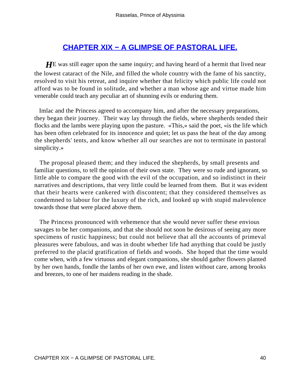## **[CHAPTER XIX − A GLIMPSE OF PASTORAL LIFE.](#page-100-0)**

**HE** was still eager upon the same inquiry; and having heard of a hermit that lived near the lowest cataract of the Nile, and filled the whole country with the fame of his sanctity, resolved to visit his retreat, and inquire whether that felicity which public life could not afford was to be found in solitude, and whether a man whose age and virtue made him venerable could teach any peculiar art of shunning evils or enduring them.

 Imlac and the Princess agreed to accompany him, and after the necessary preparations, they began their journey. Their way lay through the fields, where shepherds tended their flocks and the lambs were playing upon the pasture. «This,» said the poet, «is the life which has been often celebrated for its innocence and quiet; let us pass the heat of the day among the shepherds' tents, and know whether all our searches are not to terminate in pastoral simplicity.»

 The proposal pleased them; and they induced the shepherds, by small presents and familiar questions, to tell the opinion of their own state. They were so rude and ignorant, so little able to compare the good with the evil of the occupation, and so indistinct in their narratives and descriptions, that very little could be learned from them. But it was evident that their hearts were cankered with discontent; that they considered themselves as condemned to labour for the luxury of the rich, and looked up with stupid malevolence towards those that were placed above them.

 The Princess pronounced with vehemence that she would never suffer these envious savages to be her companions, and that she should not soon be desirous of seeing any more specimens of rustic happiness; but could not believe that all the accounts of primeval pleasures were fabulous, and was in doubt whether life had anything that could be justly preferred to the placid gratification of fields and woods. She hoped that the time would come when, with a few virtuous and elegant companions, she should gather flowers planted by her own hands, fondle the lambs of her own ewe, and listen without care, among brooks and breezes, to one of her maidens reading in the shade.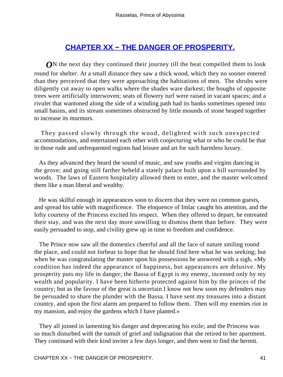# **[CHAPTER XX − THE DANGER OF PROSPERITY.](#page-101-0)**

*O***N** the next day they continued their journey till the heat compelled them to look round for shelter. At a small distance they saw a thick wood, which they no sooner entered than they perceived that they were approaching the habitations of men. The shrubs were diligently cut away to open walks where the shades ware darkest; the boughs of opposite trees were artificially interwoven; seats of flowery turf were raised in vacant spaces; and a rivulet that wantoned along the side of a winding path had its banks sometimes opened into small basins, and its stream sometimes obstructed by little mounds of stone heaped together to increase its murmurs.

 They passed slowly through the wood, delighted with such unexpected accommodations, and entertained each other with conjecturing what or who he could be that in those rude and unfrequented regions had leisure and art for such harmless luxury.

 As they advanced they heard the sound of music, and saw youths and virgins dancing in the grove; and going still farther beheld a stately palace built upon a hill surrounded by woods. The laws of Eastern hospitality allowed them to enter, and the master welcomed them like a man liberal and wealthy.

 He was skilful enough in appearances soon to discern that they were no common guests, and spread his table with magnificence. The eloquence of Imlac caught his attention, and the lofty courtesy of the Princess excited his respect. When they offered to depart, he entreated their stay, and was the next day more unwilling to dismiss them than before. They were easily persuaded to stop, and civility grew up in time to freedom and confidence.

 The Prince now saw all the domestics cheerful and all the face of nature smiling round the place, and could not forbear to hope that he should find here what he was seeking; but when he was congratulating the master upon his possessions he answered with a sigh, «My condition has indeed the appearance of happiness, but appearances are delusive. My prosperity puts my life in danger; the Bassa of Egypt is my enemy, incensed only by my wealth and popularity. I have been hitherto protected against him by the princes of the country; but as the favour of the great is uncertain I know not how soon my defenders may be persuaded to share the plunder with the Bassa. I have sent my treasures into a distant country, and upon the first alarm am prepared to follow them. Then will my enemies riot in my mansion, and enjoy the gardens which I have planted.»

 They all joined in lamenting his danger and deprecating his exile; and the Princess was so much disturbed with the tumult of grief and indignation that she retired to her apartment. They continued with their kind inviter a few days longer, and then went to find the hermit.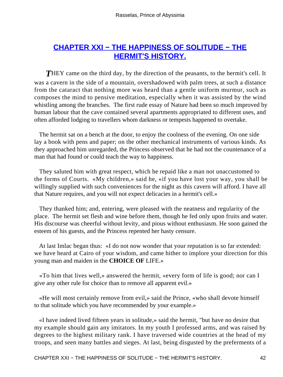# **[CHAPTER XXI − THE HAPPINESS OF SOLITUDE − THE](#page-101-0) [HERMIT'S HISTORY.](#page-101-0)**

**THEY** came on the third day, by the direction of the peasants, to the hermit's cell. It was a cavern in the side of a mountain, overshadowed with palm trees, at such a distance from the cataract that nothing more was heard than a gentle uniform murmur, such as composes the mind to pensive meditation, especially when it was assisted by the wind whistling among the branches. The first rude essay of Nature had been so much improved by human labour that the cave contained several apartments appropriated to different uses, and often afforded lodging to travellers whom darkness or tempests happened to overtake.

 The hermit sat on a bench at the door, to enjoy the coolness of the evening. On one side lay a book with pens and paper; on the other mechanical instruments of various kinds. As they approached him unregarded, the Princess observed that he had not the countenance of a man that had found or could teach the way to happiness.

 They saluted him with great respect, which he repaid like a man not unaccustomed to the forms of Courts. «My children,» said he, «if you have lost your way, you shall be willingly supplied with such conveniences for the night as this cavern will afford. I have all that Nature requires, and you will not expect delicacies in a hermit's cell.»

 They thanked him; and, entering, were pleased with the neatness and regularity of the place. The hermit set flesh and wine before them, though he fed only upon fruits and water. His discourse was cheerful without levity, and pious without enthusiasm. He soon gained the esteem of his guests, and the Princess repented her hasty censure.

 At last Imlac began thus: «I do not now wonder that your reputation is so far extended: we have heard at Cairo of your wisdom, and came hither to implore your direction for this young man and maiden in the **CHOICE OF** LIFE.»

 «To him that lives well,» answered the hermit, «every form of life is good; nor can I give any other rule for choice than to remove all apparent evil.»

 «He will most certainly remove from evil,» said the Prince, «who shall devote himself to that solitude which you have recommended by your example.»

 «I have indeed lived fifteen years in solitude,» said the hermit, "but have no desire that my example should gain any imitators. In my youth I professed arms, and was raised by degrees to the highest military rank. I have traversed wide countries at the head of my troops, and seen many battles and sieges. At last, being disgusted by the preferments of a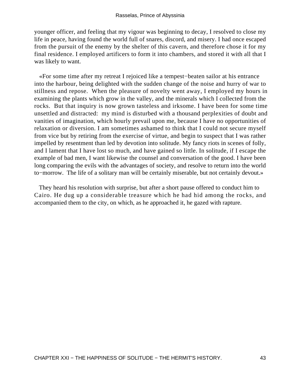younger officer, and feeling that my vigour was beginning to decay, I resolved to close my life in peace, having found the world full of snares, discord, and misery. I had once escaped from the pursuit of the enemy by the shelter of this cavern, and therefore chose it for my final residence. I employed artificers to form it into chambers, and stored it with all that I was likely to want.

 «For some time after my retreat I rejoiced like a tempest−beaten sailor at his entrance into the harbour, being delighted with the sudden change of the noise and hurry of war to stillness and repose. When the pleasure of novelty went away, I employed my hours in examining the plants which grow in the valley, and the minerals which I collected from the rocks. But that inquiry is now grown tasteless and irksome. I have been for some time unsettled and distracted: my mind is disturbed with a thousand perplexities of doubt and vanities of imagination, which hourly prevail upon me, because I have no opportunities of relaxation or diversion. I am sometimes ashamed to think that I could not secure myself from vice but by retiring from the exercise of virtue, and begin to suspect that I was rather impelled by resentment than led by devotion into solitude. My fancy riots in scenes of folly, and I lament that I have lost so much, and have gained so little. In solitude, if I escape the example of bad men, I want likewise the counsel and conversation of the good. I have been long comparing the evils with the advantages of society, and resolve to return into the world to−morrow. The life of a solitary man will be certainly miserable, but not certainly devout.»

 They heard his resolution with surprise, but after a short pause offered to conduct him to Cairo. He dug up a considerable treasure which he had hid among the rocks, and accompanied them to the city, on which, as he approached it, he gazed with rapture.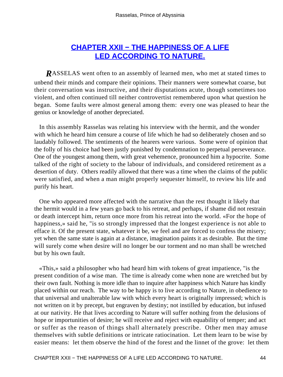# **[CHAPTER XXII − THE HAPPINESS OF A LIFE](#page-101-0) [LED ACCORDING TO NATURE.](#page-101-0)**

*R*ASSELAS went often to an assembly of learned men, who met at stated times to unbend their minds and compare their opinions. Their manners were somewhat coarse, but their conversation was instructive, and their disputations acute, though sometimes too violent, and often continued till neither controvertist remembered upon what question he began. Some faults were almost general among them: every one was pleased to hear the genius or knowledge of another depreciated.

 In this assembly Rasselas was relating his interview with the hermit, and the wonder with which he heard him censure a course of life which he had so deliberately chosen and so laudably followed. The sentiments of the hearers were various. Some were of opinion that the folly of his choice had been justly punished by condemnation to perpetual perseverance. One of the youngest among them, with great vehemence, pronounced him a hypocrite. Some talked of the right of society to the labour of individuals, and considered retirement as a desertion of duty. Others readily allowed that there was a time when the claims of the public were satisfied, and when a man might properly sequester himself, to review his life and purify his heart.

 One who appeared more affected with the narrative than the rest thought it likely that the hermit would in a few years go back to his retreat, and perhaps, if shame did not restrain or death intercept him, return once more from his retreat into the world. «For the hope of happiness,» said he, "is so strongly impressed that the longest experience is not able to efface it. Of the present state, whatever it be, we feel and are forced to confess the misery; yet when the same state is again at a distance, imagination paints it as desirable. But the time will surely come when desire will no longer be our torment and no man shall be wretched but by his own fault.

 «This,» said a philosopher who had heard him with tokens of great impatience, "is the present condition of a wise man. The time is already come when none are wretched but by their own fault. Nothing is more idle than to inquire after happiness which Nature has kindly placed within our reach. The way to be happy is to live according to Nature, in obedience to that universal and unalterable law with which every heart is originally impressed; which is not written on it by precept, but engraven by destiny; not instilled by education, but infused at our nativity. He that lives according to Nature will suffer nothing from the delusions of hope or importunities of desire; he will receive and reject with equability of temper; and act or suffer as the reason of things shall alternately prescribe. Other men may amuse themselves with subtle definitions or intricate ratiocination. Let them learn to be wise by easier means: let them observe the hind of the forest and the linnet of the grove: let them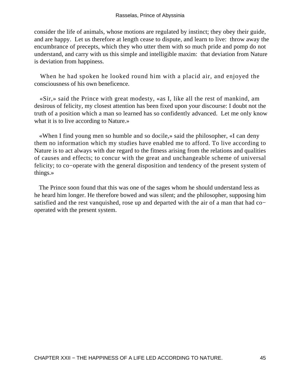consider the life of animals, whose motions are regulated by instinct; they obey their guide, and are happy. Let us therefore at length cease to dispute, and learn to live: throw away the encumbrance of precepts, which they who utter them with so much pride and pomp do not understand, and carry with us this simple and intelligible maxim: that deviation from Nature is deviation from happiness.

 When he had spoken he looked round him with a placid air, and enjoyed the consciousness of his own beneficence.

 «Sir,» said the Prince with great modesty, «as I, like all the rest of mankind, am desirous of felicity, my closest attention has been fixed upon your discourse: I doubt not the truth of a position which a man so learned has so confidently advanced. Let me only know what it is to live according to Nature.»

 «When I find young men so humble and so docile,» said the philosopher, «I can deny them no information which my studies have enabled me to afford. To live according to Nature is to act always with due regard to the fitness arising from the relations and qualities of causes and effects; to concur with the great and unchangeable scheme of universal felicity; to co−operate with the general disposition and tendency of the present system of things.»

 The Prince soon found that this was one of the sages whom he should understand less as he heard him longer. He therefore bowed and was silent; and the philosopher, supposing him satisfied and the rest vanquished, rose up and departed with the air of a man that had co− operated with the present system.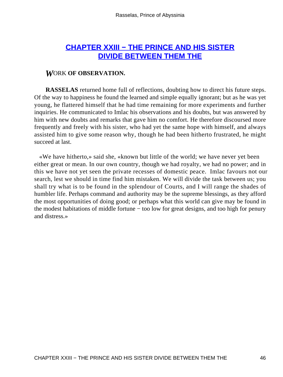## **[CHAPTER XXIII − THE PRINCE AND HIS SISTER](#page-101-0) [DIVIDE BETWEEN THEM THE](#page-101-0)**

#### *W*ORK **OF OBSERVATION.**

**RASSELAS** returned home full of reflections, doubting how to direct his future steps. Of the way to happiness he found the learned and simple equally ignorant; but as he was yet young, he flattered himself that he had time remaining for more experiments and further inquiries. He communicated to Imlac his observations and his doubts, but was answered by him with new doubts and remarks that gave him no comfort. He therefore discoursed more frequently and freely with his sister, who had yet the same hope with himself, and always assisted him to give some reason why, though he had been hitherto frustrated, he might succeed at last.

 «We have hitherto,» said she, «known but little of the world; we have never yet been either great or mean. In our own country, though we had royalty, we had no power; and in this we have not yet seen the private recesses of domestic peace. Imlac favours not our search, lest we should in time find him mistaken. We will divide the task between us; you shall try what is to be found in the splendour of Courts, and I will range the shades of humbler life. Perhaps command and authority may be the supreme blessings, as they afford the most opportunities of doing good; or perhaps what this world can give may be found in the modest habitations of middle fortune − too low for great designs, and too high for penury and distress.»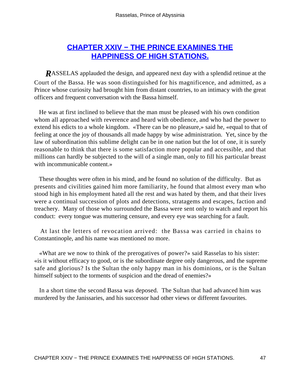## **[CHAPTER XXIV − THE PRINCE EXAMINES THE](#page-101-0) [HAPPINESS OF HIGH STATIONS.](#page-101-0)**

*R*ASSELAS applauded the design, and appeared next day with a splendid retinue at the Court of the Bassa. He was soon distinguished for his magnificence, and admitted, as a Prince whose curiosity had brought him from distant countries, to an intimacy with the great officers and frequent conversation with the Bassa himself.

 He was at first inclined to believe that the man must be pleased with his own condition whom all approached with reverence and heard with obedience, and who had the power to extend his edicts to a whole kingdom. «There can be no pleasure,» said he, «equal to that of feeling at once the joy of thousands all made happy by wise administration. Yet, since by the law of subordination this sublime delight can be in one nation but the lot of one, it is surely reasonable to think that there is some satisfaction more popular and accessible, and that millions can hardly be subjected to the will of a single man, only to fill his particular breast with incommunicable content.»

 These thoughts were often in his mind, and he found no solution of the difficulty. But as presents and civilities gained him more familiarity, he found that almost every man who stood high in his employment hated all the rest and was hated by them, and that their lives were a continual succession of plots and detections, stratagems and escapes, faction and treachery. Many of those who surrounded the Bassa were sent only to watch and report his conduct: every tongue was muttering censure, and every eye was searching for a fault.

 At last the letters of revocation arrived: the Bassa was carried in chains to Constantinople, and his name was mentioned no more.

 «What are we now to think of the prerogatives of power?» said Rasselas to his sister: «is it without efficacy to good, or is the subordinate degree only dangerous, and the supreme safe and glorious? Is the Sultan the only happy man in his dominions, or is the Sultan himself subject to the torments of suspicion and the dread of enemies?»

 In a short time the second Bassa was deposed. The Sultan that had advanced him was murdered by the Janissaries, and his successor had other views or different favourites.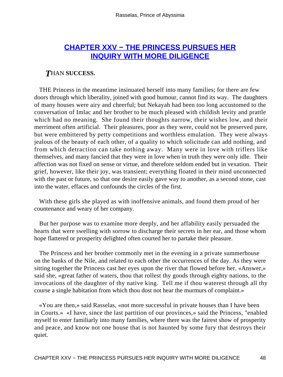## **[CHAPTER XXV − THE PRINCESS PURSUES HER](#page-101-0) [INQUIRY WITH MORE DILIGENCE](#page-101-0)**

#### *T*HAN **SUCCESS.**

 THE Princess in the meantime insinuated herself into many families; for there are few doors through which liberality, joined with good humour, cannot find its way. The daughters of many houses were airy and cheerful; but Nekayah had been too long accustomed to the conversation of Imlac and her brother to be much pleased with childish levity and prattle which had no meaning. She found their thoughts narrow, their wishes low, and their merriment often artificial. Their pleasures, poor as they were, could not be preserved pure, but were embittered by petty competitions and worthless emulation. They were always jealous of the beauty of each other, of a quality to which solicitude can add nothing, and from which detraction can take nothing away. Many were in love with triflers like themselves, and many fancied that they were in love when in truth they were only idle. Their affection was not fixed on sense or virtue, and therefore seldom ended but in vexation. Their grief, however, like their joy, was transient; everything floated in their mind unconnected with the past or future, so that one desire easily gave way to another, as a second stone, cast into the water, effaces and confounds the circles of the first.

 With these girls she played as with inoffensive animals, and found them proud of her countenance and weary of her company.

 But her purpose was to examine more deeply, and her affability easily persuaded the hearts that were swelling with sorrow to discharge their secrets in her ear, and those whom hope flattered or prosperity delighted often courted her to partake their pleasure.

 The Princess and her brother commonly met in the evening in a private summerhouse on the banks of the Nile, and related to each other the occurrences of the day. As they were sitting together the Princess cast her eyes upon the river that flowed before her. «Answer,» said she, «great father of waters, thou that rollest thy goods through eighty nations, to the invocations of the daughter of thy native king. Tell me if thou waterest through all thy course a single habitation from which thou dost not hear the murmurs of complaint.»

 «You are then,» said Rasselas, «not more successful in private houses than I have been in Courts.» «I have, since the last partition of our provinces,» said the Princess, "enabled myself to enter familiarly into many families, where there was the fairest show of prosperity and peace, and know not one house that is not haunted by some fury that destroys their quiet.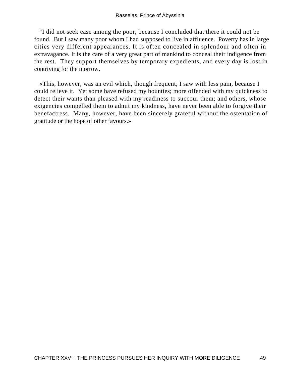"I did not seek ease among the poor, because I concluded that there it could not be found. But I saw many poor whom I had supposed to live in affluence. Poverty has in large cities very different appearances. It is often concealed in splendour and often in extravagance. It is the care of a very great part of mankind to conceal their indigence from the rest. They support themselves by temporary expedients, and every day is lost in contriving for the morrow.

 «This, however, was an evil which, though frequent, I saw with less pain, because I could relieve it. Yet some have refused my bounties; more offended with my quickness to detect their wants than pleased with my readiness to succour them; and others, whose exigencies compelled them to admit my kindness, have never been able to forgive their benefactress. Many, however, have been sincerely grateful without the ostentation of gratitude or the hope of other favours.»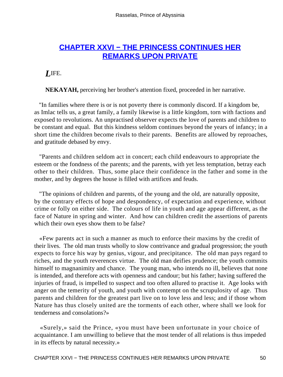## **[CHAPTER XXVI − THE PRINCESS CONTINUES HER](#page-101-0) [REMARKS UPON PRIVATE](#page-101-0)**

*L*IFE.

**NEKAYAH,** perceiving her brother's attention fixed, proceeded in her narrative.

 "In families where there is or is not poverty there is commonly discord. If a kingdom be, as Imlac tells us, a great family, a family likewise is a little kingdom, torn with factions and exposed to revolutions. An unpractised observer expects the love of parents and children to be constant and equal. But this kindness seldom continues beyond the years of infancy; in a short time the children become rivals to their parents. Benefits are allowed by reproaches, and gratitude debased by envy.

 "Parents and children seldom act in concert; each child endeavours to appropriate the esteem or the fondness of the parents; and the parents, with yet less temptation, betray each other to their children. Thus, some place their confidence in the father and some in the mother, and by degrees the house is filled with artifices and feuds.

 "The opinions of children and parents, of the young and the old, are naturally opposite, by the contrary effects of hope and despondency, of expectation and experience, without crime or folly on either side. The colours of life in youth and age appear different, as the face of Nature in spring and winter. And how can children credit the assertions of parents which their own eyes show them to be false?

 «Few parents act in such a manner as much to enforce their maxims by the credit of their lives. The old man trusts wholly to slow contrivance and gradual progression; the youth expects to force his way by genius, vigour, and precipitance. The old man pays regard to riches, and the youth reverences virtue. The old man deifies prudence; the youth commits himself to magnanimity and chance. The young man, who intends no ill, believes that none is intended, and therefore acts with openness and candour; but his father; having suffered the injuries of fraud, is impelled to suspect and too often allured to practise it. Age looks with anger on the temerity of youth, and youth with contempt on the scrupulosity of age. Thus parents and children for the greatest part live on to love less and less; and if those whom Nature has thus closely united are the torments of each other, where shall we look for tenderness and consolations?»

 «Surely,» said the Prince, «you must have been unfortunate in your choice of acquaintance. I am unwilling to believe that the most tender of all relations is thus impeded in its effects by natural necessity.»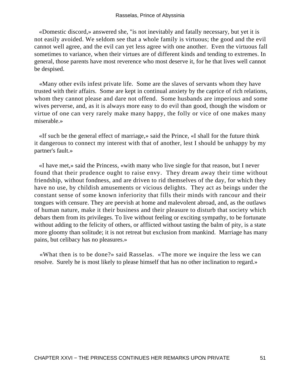«Domestic discord,» answered she, "is not inevitably and fatally necessary, but yet it is not easily avoided. We seldom see that a whole family is virtuous; the good and the evil cannot well agree, and the evil can yet less agree with one another. Even the virtuous fall sometimes to variance, when their virtues are of different kinds and tending to extremes. In general, those parents have most reverence who most deserve it, for he that lives well cannot be despised.

 «Many other evils infest private life. Some are the slaves of servants whom they have trusted with their affairs. Some are kept in continual anxiety by the caprice of rich relations, whom they cannot please and dare not offend. Some husbands are imperious and some wives perverse, and, as it is always more easy to do evil than good, though the wisdom or virtue of one can very rarely make many happy, the folly or vice of one makes many miserable.»

 «If such be the general effect of marriage,» said the Prince, «I shall for the future think it dangerous to connect my interest with that of another, lest I should be unhappy by my partner's fault.»

 «I have met,» said the Princess, «with many who live single for that reason, but I never found that their prudence ought to raise envy. They dream away their time without friendship, without fondness, and are driven to rid themselves of the day, for which they have no use, by childish amusements or vicious delights. They act as beings under the constant sense of some known inferiority that fills their minds with rancour and their tongues with censure. They are peevish at home and malevolent abroad, and, as the outlaws of human nature, make it their business and their pleasure to disturb that society which debars them from its privileges. To live without feeling or exciting sympathy, to be fortunate without adding to the felicity of others, or afflicted without tasting the balm of pity, is a state more gloomy than solitude; it is not retreat but exclusion from mankind. Marriage has many pains, but celibacy has no pleasures.»

 «What then is to be done?» said Rasselas. «The more we inquire the less we can resolve. Surely he is most likely to please himself that has no other inclination to regard.»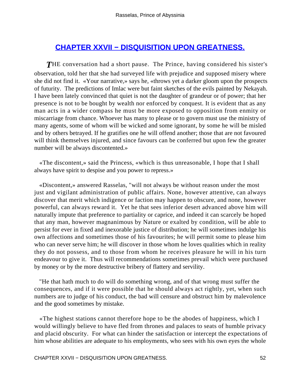## **[CHAPTER XXVII − DISQUISITION UPON GREATNESS.](#page-101-0)**

**THE** conversation had a short pause. The Prince, having considered his sister's observation, told her that she had surveyed life with prejudice and supposed misery where she did not find it. «Your narrative,» says he, «throws yet a darker gloom upon the prospects of futurity. The predictions of Imlac were but faint sketches of the evils painted by Nekayah. I have been lately convinced that quiet is not the daughter of grandeur or of power; that her presence is not to be bought by wealth nor enforced by conquest. It is evident that as any man acts in a wider compass he must be more exposed to opposition from enmity or miscarriage from chance. Whoever has many to please or to govern must use the ministry of many agents, some of whom will be wicked and some ignorant, by some he will be misled and by others betrayed. If he gratifies one he will offend another; those that are not favoured will think themselves injured, and since favours can be conferred but upon few the greater number will be always discontented.»

 «The discontent,» said the Princess, «which is thus unreasonable, I hope that I shall always have spirit to despise and you power to repress.»

 «Discontent,» answered Rasselas, "will not always be without reason under the most just and vigilant administration of public affairs. None, however attentive, can always discover that merit which indigence or faction may happen to obscure, and none, however powerful, can always reward it. Yet he that sees inferior desert advanced above him will naturally impute that preference to partiality or caprice, and indeed it can scarcely be hoped that any man, however magnanimous by Nature or exalted by condition, will be able to persist for ever in fixed and inexorable justice of distribution; he will sometimes indulge his own affections and sometimes those of his favourites; he will permit some to please him who can never serve him; he will discover in those whom he loves qualities which in reality they do not possess, and to those from whom he receives pleasure he will in his turn endeavour to give it. Thus will recommendations sometimes prevail which were purchased by money or by the more destructive bribery of flattery and servility.

 "He that hath much to do will do something wrong, and of that wrong must suffer the consequences, and if it were possible that he should always act rightly, yet, when such numbers are to judge of his conduct, the bad will censure and obstruct him by malevolence and the good sometimes by mistake.

 «The highest stations cannot therefore hope to be the abodes of happiness, which I would willingly believe to have fled from thrones and palaces to seats of humble privacy and placid obscurity. For what can hinder the satisfaction or intercept the expectations of him whose abilities are adequate to his employments, who sees with his own eyes the whole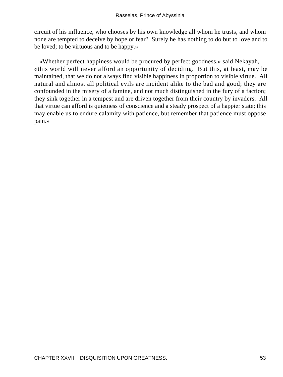circuit of his influence, who chooses by his own knowledge all whom he trusts, and whom none are tempted to deceive by hope or fear? Surely he has nothing to do but to love and to be loved; to be virtuous and to be happy.»

 «Whether perfect happiness would be procured by perfect goodness,» said Nekayah, «this world will never afford an opportunity of deciding. But this, at least, may be maintained, that we do not always find visible happiness in proportion to visible virtue. All natural and almost all political evils are incident alike to the bad and good; they are confounded in the misery of a famine, and not much distinguished in the fury of a faction; they sink together in a tempest and are driven together from their country by invaders. All that virtue can afford is quietness of conscience and a steady prospect of a happier state; this may enable us to endure calamity with patience, but remember that patience must oppose pain.»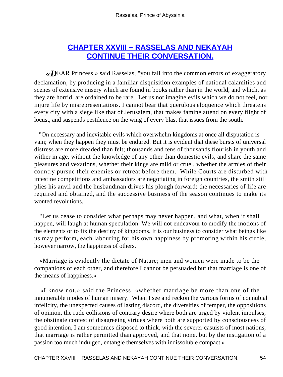# **[CHAPTER XXVIII − RASSELAS AND NEKAYAH](#page-101-0) [CONTINUE THEIR CONVERSATION.](#page-101-0)**

*«D*EAR Princess,» said Rasselas, "you fall into the common errors of exaggeratory declamation, by producing in a familiar disquisition examples of national calamities and scenes of extensive misery which are found in books rather than in the world, and which, as they are horrid, are ordained to be rare. Let us not imagine evils which we do not feel, nor injure life by misrepresentations. I cannot bear that querulous eloquence which threatens every city with a siege like that of Jerusalem, that makes famine attend on every flight of locust, and suspends pestilence on the wing of every blast that issues from the south.

 "On necessary and inevitable evils which overwhelm kingdoms at once all disputation is vain; when they happen they must be endured. But it is evident that these bursts of universal distress are more dreaded than felt; thousands and tens of thousands flourish in youth and wither in age, without the knowledge of any other than domestic evils, and share the same pleasures and vexations, whether their kings are mild or cruel, whether the armies of their country pursue their enemies or retreat before them. While Courts are disturbed with intestine competitions and ambassadors are negotiating in foreign countries, the smith still plies his anvil and the husbandman drives his plough forward; the necessaries of life are required and obtained, and the successive business of the season continues to make its wonted revolutions.

 "Let us cease to consider what perhaps may never happen, and what, when it shall happen, will laugh at human speculation. We will not endeavour to modify the motions of the elements or to fix the destiny of kingdoms. It is our business to consider what beings like us may perform, each labouring for his own happiness by promoting within his circle, however narrow, the happiness of others.

 «Marriage is evidently the dictate of Nature; men and women were made to be the companions of each other, and therefore I cannot be persuaded but that marriage is one of the means of happiness.»

 «I know not,» said the Princess, «whether marriage be more than one of the innumerable modes of human misery. When I see and reckon the various forms of connubial infelicity, the unexpected causes of lasting discord, the diversities of temper, the oppositions of opinion, the rude collisions of contrary desire where both are urged by violent impulses, the obstinate contest of disagreeing virtues where both are supported by consciousness of good intention, I am sometimes disposed to think, with the severer casuists of most nations, that marriage is rather permitted than approved, and that none, but by the instigation of a passion too much indulged, entangle themselves with indissoluble compact.»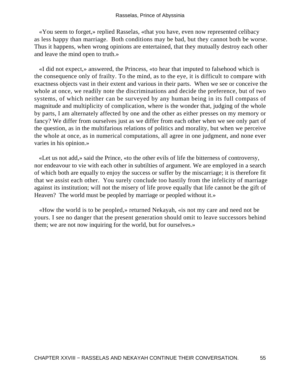«You seem to forget,» replied Rasselas, «that you have, even now represented celibacy as less happy than marriage. Both conditions may be bad, but they cannot both be worse. Thus it happens, when wrong opinions are entertained, that they mutually destroy each other and leave the mind open to truth.»

 «I did not expect,» answered, the Princess, «to hear that imputed to falsehood which is the consequence only of frailty. To the mind, as to the eye, it is difficult to compare with exactness objects vast in their extent and various in their parts. When we see or conceive the whole at once, we readily note the discriminations and decide the preference, but of two systems, of which neither can be surveyed by any human being in its full compass of magnitude and multiplicity of complication, where is the wonder that, judging of the whole by parts, I am alternately affected by one and the other as either presses on my memory or fancy? We differ from ourselves just as we differ from each other when we see only part of the question, as in the multifarious relations of politics and morality, but when we perceive the whole at once, as in numerical computations, all agree in one judgment, and none ever varies in his opinion.»

 «Let us not add,» said the Prince, «to the other evils of life the bitterness of controversy, nor endeavour to vie with each other in subtilties of argument. We are employed in a search of which both are equally to enjoy the success or suffer by the miscarriage; it is therefore fit that we assist each other. You surely conclude too hastily from the infelicity of marriage against its institution; will not the misery of life prove equally that life cannot be the gift of Heaven? The world must be peopled by marriage or peopled without it.»

 «How the world is to be peopled,» returned Nekayah, «is not my care and need not be yours. I see no danger that the present generation should omit to leave successors behind them; we are not now inquiring for the world, but for ourselves.»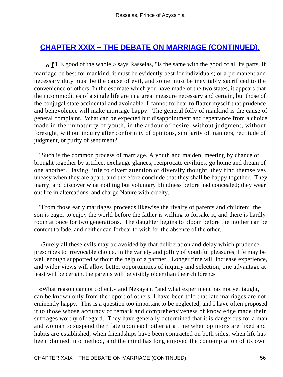# **[CHAPTER XXIX − THE DEBATE ON MARRIAGE \(CONTINUED\).](#page-101-0)**

*«T*HE good of the whole,» says Rasselas, "is the same with the good of all its parts. If marriage be best for mankind, it must be evidently best for individuals; or a permanent and necessary duty must be the cause of evil, and some must be inevitably sacrificed to the convenience of others. In the estimate which you have made of the two states, it appears that the incommodities of a single life are in a great measure necessary and certain, but those of the conjugal state accidental and avoidable. I cannot forbear to flatter myself that prudence and benevolence will make marriage happy. The general folly of mankind is the cause of general complaint. What can be expected but disappointment and repentance from a choice made in the immaturity of youth, in the ardour of desire, without judgment, without foresight, without inquiry after conformity of opinions, similarity of manners, rectitude of judgment, or purity of sentiment?

 "Such is the common process of marriage. A youth and maiden, meeting by chance or brought together by artifice, exchange glances, reciprocate civilities, go home and dream of one another. Having little to divert attention or diversify thought, they find themselves uneasy when they are apart, and therefore conclude that they shall be happy together. They marry, and discover what nothing but voluntary blindness before had concealed; they wear out life in altercations, and charge Nature with cruelty.

 "From those early marriages proceeds likewise the rivalry of parents and children: the son is eager to enjoy the world before the father is willing to forsake it, and there is hardly room at once for two generations. The daughter begins to bloom before the mother can be content to fade, and neither can forbear to wish for the absence of the other.

 «Surely all these evils may be avoided by that deliberation and delay which prudence prescribes to irrevocable choice. In the variety and jollity of youthful pleasures, life may be well enough supported without the help of a partner. Longer time will increase experience, and wider views will allow better opportunities of inquiry and selection; one advantage at least will be certain, the parents will be visibly older than their children.»

 «What reason cannot collect,» and Nekayah, "and what experiment has not yet taught, can be known only from the report of others. I have been told that late marriages are not eminently happy. This is a question too important to be neglected; and I have often proposed it to those whose accuracy of remark and comprehensiveness of knowledge made their suffrages worthy of regard. They have generally determined that it is dangerous for a man and woman to suspend their fate upon each other at a time when opinions are fixed and habits are established, when friendships have been contracted on both sides, when life has been planned into method, and the mind has long enjoyed the contemplation of its own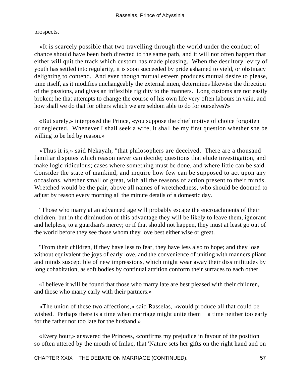prospects.

 «It is scarcely possible that two travelling through the world under the conduct of chance should have been both directed to the same path, and it will not often happen that either will quit the track which custom has made pleasing. When the desultory levity of youth has settled into regularity, it is soon succeeded by pride ashamed to yield, or obstinacy delighting to contend. And even though mutual esteem produces mutual desire to please, time itself, as it modifies unchangeably the external mien, determines likewise the direction of the passions, and gives an inflexible rigidity to the manners. Long customs are not easily broken; he that attempts to change the course of his own life very often labours in vain, and how shall we do that for others which we are seldom able to do for ourselves?»

 «But surely,» interposed the Prince, «you suppose the chief motive of choice forgotten or neglected. Whenever I shall seek a wife, it shall be my first question whether she be willing to be led by reason.»

 «Thus it is,» said Nekayah, "that philosophers are deceived. There are a thousand familiar disputes which reason never can decide; questions that elude investigation, and make logic ridiculous; cases where something must be done, and where little can be said. Consider the state of mankind, and inquire how few can be supposed to act upon any occasions, whether small or great, with all the reasons of action present to their minds. Wretched would be the pair, above all names of wretchedness, who should be doomed to adjust by reason every morning all the minute details of a domestic day.

 "Those who marry at an advanced age will probably escape the encroachments of their children, but in the diminution of this advantage they will be likely to leave them, ignorant and helpless, to a guardian's mercy; or if that should not happen, they must at least go out of the world before they see those whom they love best either wise or great.

 "From their children, if they have less to fear, they have less also to hope; and they lose without equivalent the joys of early love, and the convenience of uniting with manners pliant and minds susceptible of new impressions, which might wear away their dissimilitudes by long cohabitation, as soft bodies by continual attrition conform their surfaces to each other.

 «I believe it will be found that those who marry late are best pleased with their children, and those who marry early with their partners.»

 «The union of these two affections,» said Rasselas, «would produce all that could be wished. Perhaps there is a time when marriage might unite them − a time neither too early for the father nor too late for the husband.»

 «Every hour,» answered the Princess, «confirms my prejudice in favour of the position so often uttered by the mouth of Imlac, that 'Nature sets her gifts on the right hand and on

CHAPTER XXIX − THE DEBATE ON MARRIAGE (CONTINUED). 57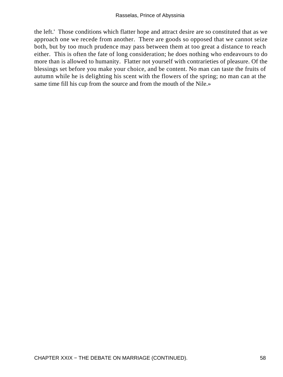the left.' Those conditions which flatter hope and attract desire are so constituted that as we approach one we recede from another. There are goods so opposed that we cannot seize both, but by too much prudence may pass between them at too great a distance to reach either. This is often the fate of long consideration; he does nothing who endeavours to do more than is allowed to humanity. Flatter not yourself with contrarieties of pleasure. Of the blessings set before you make your choice, and be content. No man can taste the fruits of autumn while he is delighting his scent with the flowers of the spring; no man can at the same time fill his cup from the source and from the mouth of the Nile.»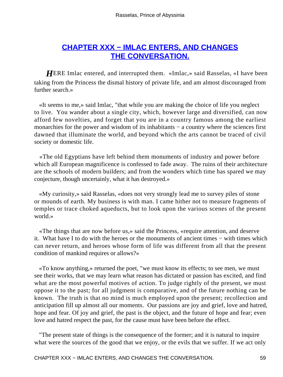# **[CHAPTER XXX − IMLAC ENTERS, AND CHANGES](#page-101-0) [THE CONVERSATION.](#page-101-0)**

*HERE Imlac entered, and interrupted them.* «Imlac,» said Rasselas, «I have been taking from the Princess the dismal history of private life, and am almost discouraged from further search.»

 «It seems to me,» said Imlac, "that while you are making the choice of life you neglect to live. You wander about a single city, which, however large and diversified, can now afford few novelties, and forget that you are in a country famous among the earliest monarchies for the power and wisdom of its inhabitants – a country where the sciences first dawned that illuminate the world, and beyond which the arts cannot be traced of civil society or domestic life.

 «The old Egyptians have left behind them monuments of industry and power before which all European magnificence is confessed to fade away. The ruins of their architecture are the schools of modern builders; and from the wonders which time has spared we may conjecture, though uncertainly, what it has destroyed.»

 «My curiosity,» said Rasselas, «does not very strongly lead me to survey piles of stone or mounds of earth. My business is with man. I came hither not to measure fragments of temples or trace choked aqueducts, but to look upon the various scenes of the present world.»

 «The things that are now before us,» said the Princess, «require attention, and deserve it. What have I to do with the heroes or the monuments of ancient times − with times which can never return, and heroes whose form of life was different from all that the present condition of mankind requires or allows?»

 «To know anything,» returned the poet, "we must know its effects; to see men, we must see their works, that we may learn what reason has dictated or passion has excited, and find what are the most powerful motives of action. To judge rightly of the present, we must oppose it to the past; for all judgment is comparative, and of the future nothing can be known. The truth is that no mind is much employed upon the present; recollection and anticipation fill up almost all our moments. Our passions are joy and grief, love and hatred, hope and fear. Of joy and grief, the past is the object, and the future of hope and fear; even love and hatred respect the past, for the cause must have been before the effect.

 "The present state of things is the consequence of the former; and it is natural to inquire what were the sources of the good that we enjoy, or the evils that we suffer. If we act only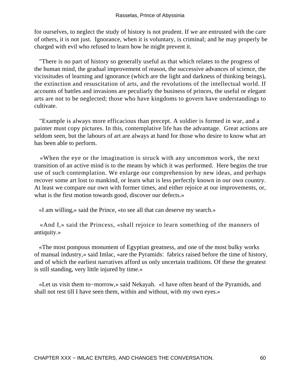for ourselves, to neglect the study of history is not prudent. If we are entrusted with the care of others, it is not just. Ignorance, when it is voluntary, is criminal; and he may properly be charged with evil who refused to learn how he might prevent it.

 "There is no part of history so generally useful as that which relates to the progress of the human mind, the gradual improvement of reason, the successive advances of science, the vicissitudes of learning and ignorance (which are the light and darkness of thinking beings), the extinction and resuscitation of arts, and the revolutions of the intellectual world. If accounts of battles and invasions are peculiarly the business of princes, the useful or elegant arts are not to be neglected; those who have kingdoms to govern have understandings to cultivate.

 "Example is always more efficacious than precept. A soldier is formed in war, and a painter must copy pictures. In this, contemplative life has the advantage. Great actions are seldom seen, but the labours of art are always at hand for those who desire to know what art has been able to perform.

 «When the eye or the imagination is struck with any uncommon work, the next transition of an active mind is to the means by which it was performed. Here begins the true use of such contemplation. We enlarge our comprehension by new ideas, and perhaps recover some art lost to mankind, or learn what is less perfectly known in our own country. At least we compare our own with former times, and either rejoice at our improvements, or, what is the first motion towards good, discover our defects.»

«I am willing,» said the Prince, «to see all that can deserve my search.»

 «And I,» said the Princess, «shall rejoice to learn something of the manners of antiquity.»

 «The most pompous monument of Egyptian greatness, and one of the most bulky works of manual industry,» said Imlac, «are the Pyramids: fabrics raised before the time of history, and of which the earliest narratives afford us only uncertain traditions. Of these the greatest is still standing, very little injured by time.»

 «Let us visit them to−morrow,» said Nekayah. «I have often heard of the Pyramids, and shall not rest till I have seen them, within and without, with my own eyes.»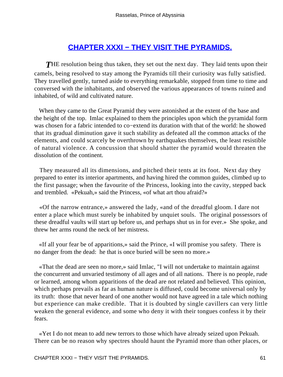# **[CHAPTER XXXI − THEY VISIT THE PYRAMIDS.](#page-101-0)**

**THE** resolution being thus taken, they set out the next day. They laid tents upon their camels, being resolved to stay among the Pyramids till their curiosity was fully satisfied. They travelled gently, turned aside to everything remarkable, stopped from time to time and conversed with the inhabitants, and observed the various appearances of towns ruined and inhabited, of wild and cultivated nature.

 When they came to the Great Pyramid they were astonished at the extent of the base and the height of the top. Imlac explained to them the principles upon which the pyramidal form was chosen for a fabric intended to co−extend its duration with that of the world: he showed that its gradual diminution gave it such stability as defeated all the common attacks of the elements, and could scarcely be overthrown by earthquakes themselves, the least resistible of natural violence. A concussion that should shatter the pyramid would threaten the dissolution of the continent.

 They measured all its dimensions, and pitched their tents at its foot. Next day they prepared to enter its interior apartments, and having hired the common guides, climbed up to the first passage; when the favourite of the Princess, looking into the cavity, stepped back and trembled. «Pekuah,» said the Princess, «of what art thou afraid?»

 «Of the narrow entrance,» answered the lady, «and of the dreadful gloom. I dare not enter a place which must surely be inhabited by unquiet souls. The original possessors of these dreadful vaults will start up before us, and perhaps shut us in for ever.» She spoke, and threw her arms round the neck of her mistress.

 «If all your fear be of apparitions,» said the Prince, «I will promise you safety. There is no danger from the dead: he that is once buried will be seen no more.»

 «That the dead are seen no more,» said Imlac, "I will not undertake to maintain against the concurrent and unvaried testimony of all ages and of all nations. There is no people, rude or learned, among whom apparitions of the dead are not related and believed. This opinion, which perhaps prevails as far as human nature is diffused, could become universal only by its truth: those that never heard of one another would not have agreed in a tale which nothing but experience can make credible. That it is doubted by single cavillers can very little weaken the general evidence, and some who deny it with their tongues confess it by their fears.

 «Yet I do not mean to add new terrors to those which have already seized upon Pekuah. There can be no reason why spectres should haunt the Pyramid more than other places, or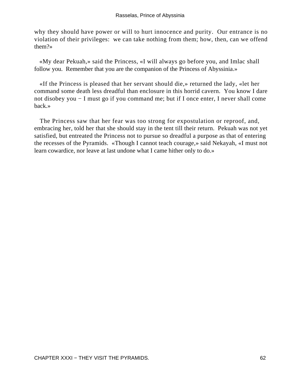why they should have power or will to hurt innocence and purity. Our entrance is no violation of their privileges: we can take nothing from them; how, then, can we offend them?»

 «My dear Pekuah,» said the Princess, «I will always go before you, and Imlac shall follow you. Remember that you are the companion of the Princess of Abyssinia.»

 «If the Princess is pleased that her servant should die,» returned the lady, «let her command some death less dreadful than enclosure in this horrid cavern. You know I dare not disobey you − I must go if you command me; but if I once enter, I never shall come back.»

 The Princess saw that her fear was too strong for expostulation or reproof, and, embracing her, told her that she should stay in the tent till their return. Pekuah was not yet satisfied, but entreated the Princess not to pursue so dreadful a purpose as that of entering the recesses of the Pyramids. «Though I cannot teach courage,» said Nekayah, «I must not learn cowardice, nor leave at last undone what I came hither only to do.»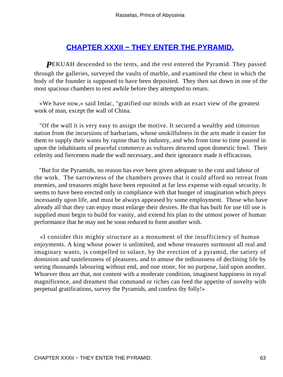## **CHAPTER XXXII – THEY ENTER THE PYRAMID.**

**PEKUAH** descended to the tents, and the rest entered the Pyramid. They passed through the galleries, surveyed the vaults of marble, and examined the chest in which the body of the founder is supposed to have been deposited. They then sat down in one of the most spacious chambers to rest awhile before they attempted to return.

 «We have now,» said Imlac, "gratified our minds with an exact view of the greatest work of man, except the wall of China.

 "Of the wall it is very easy to assign the motive. It secured a wealthy and timorous nation from the incursions of barbarians, whose unskilfulness in the arts made it easier for them to supply their wants by rapine than by industry, and who from time to time poured in upon the inhabitants of peaceful commerce as vultures descend upon domestic fowl. Their celerity and fierceness made the wall necessary, and their ignorance made it efficacious.

 "But for the Pyramids, no reason has ever been given adequate to the cost and labour of the work. The narrowness of the chambers proves that it could afford no retreat from enemies, and treasures might have been reposited at far less expense with equal security. It seems to have been erected only in compliance with that hunger of imagination which preys incessantly upon life, and must be always appeased by some employment. Those who have already all that they can enjoy must enlarge their desires. He that has built for use till use is supplied must begin to build for vanity, and extend his plan to the utmost power of human performance that he may not be soon reduced to form another wish.

 «I consider this mighty structure as a monument of the insufficiency of human enjoyments. A king whose power is unlimited, and whose treasures surmount all real and imaginary wants, is compelled to solace, by the erection of a pyramid, the satiety of dominion and tastelessness of pleasures, and to amuse the tediousness of declining life by seeing thousands labouring without end, and one stone, for no purpose, laid upon another. Whoever thou art that, not content with a moderate condition, imaginest happiness in royal magnificence, and dreamest that command or riches can feed the appetite of novelty with perpetual gratifications, survey the Pyramids, and confess thy folly!»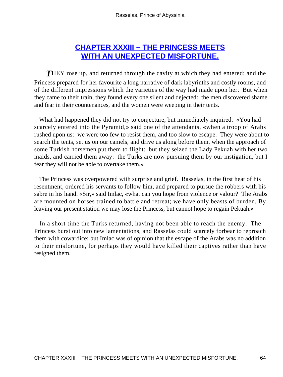# **[CHAPTER XXXIII − THE PRINCESS MEETS](#page-101-0) [WITH AN UNEXPECTED MISFORTUNE.](#page-101-0)**

**THEY** rose up, and returned through the cavity at which they had entered; and the Princess prepared for her favourite a long narrative of dark labyrinths and costly rooms, and of the different impressions which the varieties of the way had made upon her. But when they came to their train, they found every one silent and dejected: the men discovered shame and fear in their countenances, and the women were weeping in their tents.

 What had happened they did not try to conjecture, but immediately inquired. «You had scarcely entered into the Pyramid,» said one of the attendants, «when a troop of Arabs rushed upon us: we were too few to resist them, and too slow to escape. They were about to search the tents, set us on our camels, and drive us along before them, when the approach of some Turkish horsemen put them to flight: but they seized the Lady Pekuah with her two maids, and carried them away: the Turks are now pursuing them by our instigation, but I fear they will not be able to overtake them.»

 The Princess was overpowered with surprise and grief. Rasselas, in the first heat of his resentment, ordered his servants to follow him, and prepared to pursue the robbers with his sabre in his hand. «Sir,» said Imlac, «what can you hope from violence or valour? The Arabs are mounted on horses trained to battle and retreat; we have only beasts of burden. By leaving our present station we may lose the Princess, but cannot hope to regain Pekuah.»

 In a short time the Turks returned, having not been able to reach the enemy. The Princess burst out into new lamentations, and Rasselas could scarcely forbear to reproach them with cowardice; but Imlac was of opinion that the escape of the Arabs was no addition to their misfortune, for perhaps they would have killed their captives rather than have resigned them.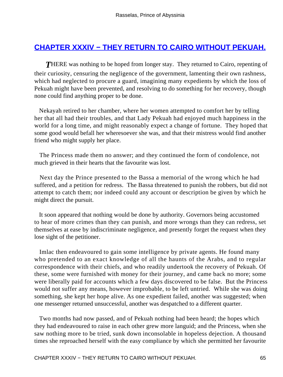## **[CHAPTER XXXIV − THEY RETURN TO CAIRO WITHOUT PEKUAH.](#page-101-0)**

**THERE** was nothing to be hoped from longer stay. They returned to Cairo, repenting of their curiosity, censuring the negligence of the government, lamenting their own rashness, which had neglected to procure a guard, imagining many expedients by which the loss of Pekuah might have been prevented, and resolving to do something for her recovery, though none could find anything proper to be done.

 Nekayah retired to her chamber, where her women attempted to comfort her by telling her that all had their troubles, and that Lady Pekuah had enjoyed much happiness in the world for a long time, and might reasonably expect a change of fortune. They hoped that some good would befall her wheresoever she was, and that their mistress would find another friend who might supply her place.

 The Princess made them no answer; and they continued the form of condolence, not much grieved in their hearts that the favourite was lost.

 Next day the Prince presented to the Bassa a memorial of the wrong which he had suffered, and a petition for redress. The Bassa threatened to punish the robbers, but did not attempt to catch them; nor indeed could any account or description be given by which he might direct the pursuit.

 It soon appeared that nothing would be done by authority. Governors being accustomed to hear of more crimes than they can punish, and more wrongs than they can redress, set themselves at ease by indiscriminate negligence, and presently forget the request when they lose sight of the petitioner.

 Imlac then endeavoured to gain some intelligence by private agents. He found many who pretended to an exact knowledge of all the haunts of the Arabs, and to regular correspondence with their chiefs, and who readily undertook the recovery of Pekuah. Of these, some were furnished with money for their journey, and came back no more; some were liberally paid for accounts which a few days discovered to be false. But the Princess would not suffer any means, however improbable, to be left untried. While she was doing something, she kept her hope alive. As one expedient failed, another was suggested; when one messenger returned unsuccessful, another was despatched to a different quarter.

 Two months had now passed, and of Pekuah nothing had been heard; the hopes which they had endeavoured to raise in each other grew more languid; and the Princess, when she saw nothing more to be tried, sunk down inconsolable in hopeless dejection. A thousand times she reproached herself with the easy compliance by which she permitted her favourite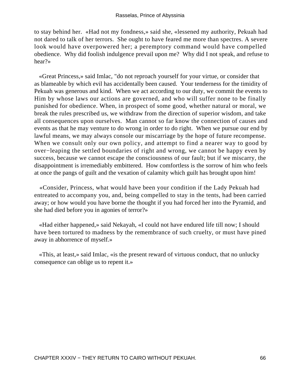to stay behind her. «Had not my fondness,» said she, «lessened my authority, Pekuah had not dared to talk of her terrors. She ought to have feared me more than spectres. A severe look would have overpowered her; a peremptory command would have compelled obedience. Why did foolish indulgence prevail upon me? Why did I not speak, and refuse to hear?»

 «Great Princess,» said Imlac, "do not reproach yourself for your virtue, or consider that as blameable by which evil has accidentally been caused. Your tenderness for the timidity of Pekuah was generous and kind. When we act according to our duty, we commit the events to Him by whose laws our actions are governed, and who will suffer none to be finally punished for obedience. When, in prospect of some good, whether natural or moral, we break the rules prescribed us, we withdraw from the direction of superior wisdom, and take all consequences upon ourselves. Man cannot so far know the connection of causes and events as that he may venture to do wrong in order to do right. When we pursue our end by lawful means, we may always console our miscarriage by the hope of future recompense. When we consult only our own policy, and attempt to find a nearer way to good by over−leaping the settled boundaries of right and wrong, we cannot be happy even by success, because we cannot escape the consciousness of our fault; but if we miscarry, the disappointment is irremediably embittered. How comfortless is the sorrow of him who feels at once the pangs of guilt and the vexation of calamity which guilt has brought upon him!

 «Consider, Princess, what would have been your condition if the Lady Pekuah had entreated to accompany you, and, being compelled to stay in the tents, had been carried away; or how would you have borne the thought if you had forced her into the Pyramid, and she had died before you in agonies of terror?»

 «Had either happened,» said Nekayah, «I could not have endured life till now; I should have been tortured to madness by the remembrance of such cruelty, or must have pined away in abhorrence of myself.»

 «This, at least,» said Imlac, «is the present reward of virtuous conduct, that no unlucky consequence can oblige us to repent it.»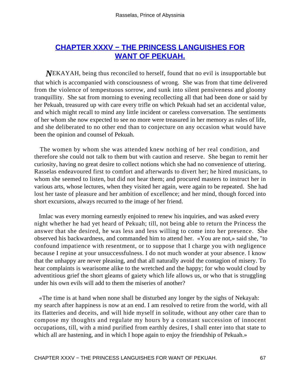# **[CHAPTER XXXV − THE PRINCESS LANGUISHES FOR](#page-101-0) [WANT OF PEKUAH.](#page-101-0)**

*N*EKAYAH, being thus reconciled to herself, found that no evil is insupportable but that which is accompanied with consciousness of wrong. She was from that time delivered from the violence of tempestuous sorrow, and sunk into silent pensiveness and gloomy tranquillity. She sat from morning to evening recollecting all that had been done or said by her Pekuah, treasured up with care every trifle on which Pekuah had set an accidental value, and which might recall to mind any little incident or careless conversation. The sentiments of her whom she now expected to see no more were treasured in her memory as rules of life, and she deliberated to no other end than to conjecture on any occasion what would have been the opinion and counsel of Pekuah.

 The women by whom she was attended knew nothing of her real condition, and therefore she could not talk to them but with caution and reserve. She began to remit her curiosity, having no great desire to collect notions which she had no convenience of uttering. Rasselas endeavoured first to comfort and afterwards to divert her; he hired musicians, to whom she seemed to listen, but did not hear them; and procured masters to instruct her in various arts, whose lectures, when they visited her again, were again to be repeated. She had lost her taste of pleasure and her ambition of excellence; and her mind, though forced into short excursions, always recurred to the image of her friend.

 Imlac was every morning earnestly enjoined to renew his inquiries, and was asked every night whether he had yet heard of Pekuah; till, not being able to return the Princess the answer that she desired, he was less and less willing to come into her presence. She observed his backwardness, and commanded him to attend her. «You are not,» said she, "to confound impatience with resentment, or to suppose that I charge you with negligence because I repine at your unsuccessfulness. I do not much wonder at your absence. I know that the unhappy are never pleasing, and that all naturally avoid the contagion of misery. To hear complaints is wearisome alike to the wretched and the happy; for who would cloud by adventitious grief the short gleams of gaiety which life allows us, or who that is struggling under his own evils will add to them the miseries of another?

 «The time is at hand when none shall be disturbed any longer by the sighs of Nekayah: my search after happiness is now at an end. I am resolved to retire from the world, with all its flatteries and deceits, and will hide myself in solitude, without any other care than to compose my thoughts and regulate my hours by a constant succession of innocent occupations, till, with a mind purified from earthly desires, I shall enter into that state to which all are hastening, and in which I hope again to enjoy the friendship of Pekuah.»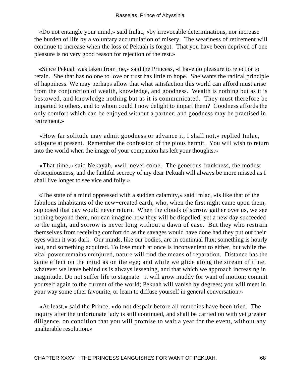«Do not entangle your mind,» said Imlac, «by irrevocable determinations, nor increase the burden of life by a voluntary accumulation of misery. The weariness of retirement will continue to increase when the loss of Pekuah is forgot. That you have been deprived of one pleasure is no very good reason for rejection of the rest.»

 «Since Pekuah was taken from me,» said the Princess, «I have no pleasure to reject or to retain. She that has no one to love or trust has little to hope. She wants the radical principle of happiness. We may perhaps allow that what satisfaction this world can afford must arise from the conjunction of wealth, knowledge, and goodness. Wealth is nothing but as it is bestowed, and knowledge nothing but as it is communicated. They must therefore be imparted to others, and to whom could I now delight to impart them? Goodness affords the only comfort which can be enjoyed without a partner, and goodness may be practised in retirement.»

 «How far solitude may admit goodness or advance it, I shall not,» replied Imlac, «dispute at present. Remember the confession of the pious hermit. You will wish to return into the world when the image of your companion has left your thoughts.»

 «That time,» said Nekayah, «will never come. The generous frankness, the modest obsequiousness, and the faithful secrecy of my dear Pekuah will always be more missed as I shall live longer to see vice and folly.»

 «The state of a mind oppressed with a sudden calamity,» said Imlac, «is like that of the fabulous inhabitants of the new−created earth, who, when the first night came upon them, supposed that day would never return. When the clouds of sorrow gather over us, we see nothing beyond them, nor can imagine how they will be dispelled; yet a new day succeeded to the night, and sorrow is never long without a dawn of ease. But they who restrain themselves from receiving comfort do as the savages would have done had they put out their eyes when it was dark. Our minds, like our bodies, are in continual flux; something is hourly lost, and something acquired. To lose much at once is inconvenient to either, but while the vital power remains uninjured, nature will find the means of reparation. Distance has the same effect on the mind as on the eye; and while we glide along the stream of time, whatever we leave behind us is always lessening, and that which we approach increasing in magnitude. Do not suffer life to stagnate: it will grow muddy for want of motion; commit yourself again to the current of the world; Pekuah will vanish by degrees; you will meet in your way some other favourite, or learn to diffuse yourself in general conversation.»

 «At least,» said the Prince, «do not despair before all remedies have been tried. The inquiry after the unfortunate lady is still continued, and shall be carried on with yet greater diligence, on condition that you will promise to wait a year for the event, without any unalterable resolution.»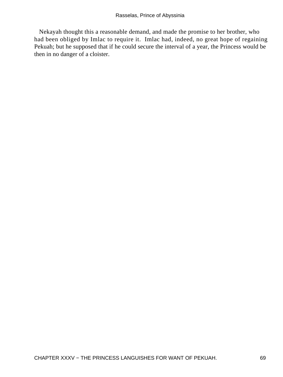Nekayah thought this a reasonable demand, and made the promise to her brother, who had been obliged by Imlac to require it. Imlac had, indeed, no great hope of regaining Pekuah; but he supposed that if he could secure the interval of a year, the Princess would be then in no danger of a cloister.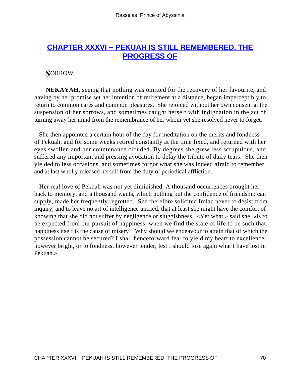## **[CHAPTER XXXVI − PEKUAH IS STILL REMEMBERED. THE](#page-101-0) [PROGRESS OF](#page-101-0)**

#### *S*ORROW.

**NEKAYAH,** seeing that nothing was omitted for the recovery of her favourite, and having by her promise set her intention of retirement at a distance, began imperceptibly to return to common cares and common pleasures. She rejoiced without her own consent at the suspension of her sorrows, and sometimes caught herself with indignation in the act of turning away her mind from the remembrance of her whom yet she resolved never to forget.

 She then appointed a certain hour of the day for meditation on the merits and fondness of Pekuah, and for some weeks retired constantly at the time fixed, and returned with her eyes swollen and her countenance clouded. By degrees she grew less scrupulous, and suffered any important and pressing avocation to delay the tribute of daily tears. She then yielded to less occasions, and sometimes forgot what she was indeed afraid to remember, and at last wholly released herself from the duty of periodical affliction.

 Her real love of Pekuah was not yet diminished. A thousand occurrences brought her back to memory, and a thousand wants, which nothing but the confidence of friendship can supply, made her frequently regretted. She therefore solicited Imlac never to desist from inquiry, and to leave no art of intelligence untried, that at least she might have the comfort of knowing that she did not suffer by negligence or sluggishness. «Yet what,» said she, «is to be expected from our pursuit of happiness, when we find the state of life to be such that happiness itself is the cause of misery? Why should we endeavour to attain that of which the possession cannot be secured? I shall henceforward fear to yield my heart to excellence, however bright, or to fondness, however tender, lest I should lose again what I have lost in Pekuah.»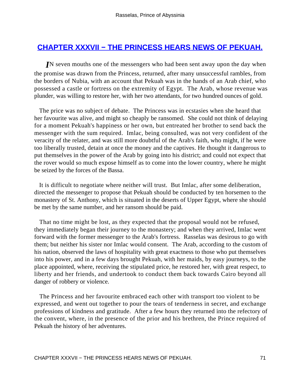#### **[CHAPTER XXXVII − THE PRINCESS HEARS NEWS OF PEKUAH.](#page-101-0)**

*I*N seven mouths one of the messengers who had been sent away upon the day when the promise was drawn from the Princess, returned, after many unsuccessful rambles, from the borders of Nubia, with an account that Pekuah was in the hands of an Arab chief, who possessed a castle or fortress on the extremity of Egypt. The Arab, whose revenue was plunder, was willing to restore her, with her two attendants, for two hundred ounces of gold.

 The price was no subject of debate. The Princess was in ecstasies when she heard that her favourite was alive, and might so cheaply be ransomed. She could not think of delaying for a moment Pekuah's happiness or her own, but entreated her brother to send back the messenger with the sum required. Imlac, being consulted, was not very confident of the veracity of the relater, and was still more doubtful of the Arab's faith, who might, if he were too liberally trusted, detain at once the money and the captives. He thought it dangerous to put themselves in the power of the Arab by going into his district; and could not expect that the rover would so much expose himself as to come into the lower country, where he might be seized by the forces of the Bassa.

 It is difficult to negotiate where neither will trust. But Imlac, after some deliberation, directed the messenger to propose that Pekuah should be conducted by ten horsemen to the monastery of St. Anthony, which is situated in the deserts of Upper Egypt, where she should be met by the same number, and her ransom should be paid.

 That no time might be lost, as they expected that the proposal would not be refused, they immediately began their journey to the monastery; and when they arrived, Imlac went forward with the former messenger to the Arab's fortress. Rasselas was desirous to go with them; but neither his sister nor Imlac would consent. The Arab, according to the custom of his nation, observed the laws of hospitality with great exactness to those who put themselves into his power, and in a few days brought Pekuah, with her maids, by easy journeys, to the place appointed, where, receiving the stipulated price, he restored her, with great respect, to liberty and her friends, and undertook to conduct them back towards Cairo beyond all danger of robbery or violence.

 The Princess and her favourite embraced each other with transport too violent to be expressed, and went out together to pour the tears of tenderness in secret, and exchange professions of kindness and gratitude. After a few hours they returned into the refectory of the convent, where, in the presence of the prior and his brethren, the Prince required of Pekuah the history of her adventures.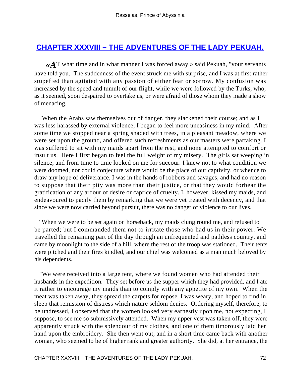### <span id="page-72-0"></span>**CHAPTER XXXVIII – THE ADVENTURES OF THE LADY PEKUAH.**

*«A*T what time and in what manner I was forced away,» said Pekuah, "your servants have told you. The suddenness of the event struck me with surprise, and I was at first rather stupefied than agitated with any passion of either fear or sorrow. My confusion was increased by the speed and tumult of our flight, while we were followed by the Turks, who, as it seemed, soon despaired to overtake us, or were afraid of those whom they made a show of menacing.

 "When the Arabs saw themselves out of danger, they slackened their course; and as I was less harassed by external violence, I began to feel more uneasiness in my mind. After some time we stopped near a spring shaded with trees, in a pleasant meadow, where we were set upon the ground, and offered such refreshments as our masters were partaking. I was suffered to sit with my maids apart from the rest, and none attempted to comfort or insult us. Here I first began to feel the full weight of my misery. The girls sat weeping in silence, and from time to time looked on me for succour. I knew not to what condition we were doomed, nor could conjecture where would be the place of our captivity, or whence to draw any hope of deliverance. I was in the hands of robbers and savages, and had no reason to suppose that their pity was more than their justice, or that they would forbear the gratification of any ardour of desire or caprice of cruelty. I, however, kissed my maids, and endeavoured to pacify them by remarking that we were yet treated with decency, and that since we were now carried beyond pursuit, there was no danger of violence to our lives.

 "When we were to be set again on horseback, my maids clung round me, and refused to be parted; but I commanded them not to irritate those who had us in their power. We travelled the remaining part of the day through an unfrequented and pathless country, and came by moonlight to the side of a hill, where the rest of the troop was stationed. Their tents were pitched and their fires kindled, and our chief was welcomed as a man much beloved by his dependents.

 "We were received into a large tent, where we found women who had attended their husbands in the expedition. They set before us the supper which they had provided, and I ate it rather to encourage my maids than to comply with any appetite of my own. When the meat was taken away, they spread the carpets for repose. I was weary, and hoped to find in sleep that remission of distress which nature seldom denies. Ordering myself, therefore, to be undressed, I observed that the women looked very earnestly upon me, not expecting, I suppose, to see me so submissively attended. When my upper vest was taken off, they were apparently struck with the splendour of my clothes, and one of them timorously laid her hand upon the embroidery. She then went out, and in a short time came back with another woman, who seemed to be of higher rank and greater authority. She did, at her entrance, the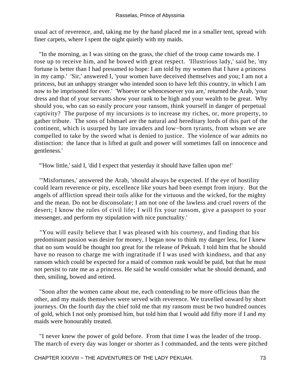usual act of reverence, and, taking me by the hand placed me in a smaller tent, spread with finer carpets, where I spent the night quietly with my maids.

 "In the morning, as I was sitting on the grass, the chief of the troop came towards me. I rose up to receive him, and he bowed with great respect. 'Illustrious lady,' said he, 'my fortune is better than I had presumed to hope: I am told by my women that I have a princess in my camp.' 'Sir,' answered I, 'your women have deceived themselves and you; I am not a princess, but an unhappy stranger who intended soon to have left this country, in which I am now to be imprisoned for ever.' 'Whoever or whencesoever you are,' returned the Arab, 'your dress and that of your servants show your rank to be high and your wealth to be great. Why should you, who can so easily procure your ransom, think yourself in danger of perpetual captivity? The purpose of my incursions is to increase my riches, or, more property, to gather tribute. The sons of Ishmael are the natural and hereditary lords of this part of the continent, which is usurped by late invaders and low−born tyrants, from whom we are compelled to take by the sword what is denied to justice. The violence of war admits no distinction: the lance that is lifted at guilt and power will sometimes fall on innocence and gentleness.'

"'How little,' said I, 'did I expect that yesterday it should have fallen upon me!'

 "'Misfortunes,' answered the Arab, 'should always be expected. If the eye of hostility could learn reverence or pity, excellence like yours had been exempt from injury. But the angels of affliction spread their toils alike for the virtuous and the wicked, for the mighty and the mean. Do not be disconsolate; I am not one of the lawless and cruel rovers of the desert; I know the rules of civil life; I will fix your ransom, give a passport to your messenger, and perform my stipulation with nice punctuality.'

 "You will easily believe that I was pleased with his courtesy, and finding that his predominant passion was desire for money, I began now to think my danger less, for I knew that no sum would be thought too great for the release of Pekuah. I told him that he should have no reason to charge me with ingratitude if I was used with kindness, and that any ransom which could be expected for a maid of common rank would be paid, but that he must not persist to rate me as a princess. He said he would consider what he should demand, and then, smiling, bowed and retired.

 "Soon after the women came about me, each contending to be more officious than the other, and my maids themselves were served with reverence. We travelled onward by short journeys. On the fourth day the chief told me that my ransom must be two hundred ounces of gold, which I not only promised him, but told him that I would add fifty more if I and my maids were honourably treated.

 "I never knew the power of gold before. From that time I was the leader of the troop. The march of every day was longer or shorter as I commanded, and the tents were pitched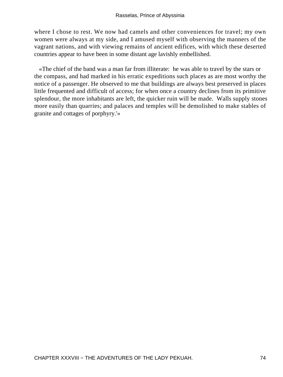where I chose to rest. We now had camels and other conveniences for travel; my own women were always at my side, and I amused myself with observing the manners of the vagrant nations, and with viewing remains of ancient edifices, with which these deserted countries appear to have been in some distant age lavishly embellished.

 «The chief of the band was a man far from illiterate: he was able to travel by the stars or the compass, and had marked in his erratic expeditions such places as are most worthy the notice of a passenger. He observed to me that buildings are always best preserved in places little frequented and difficult of access; for when once a country declines from its primitive splendour, the more inhabitants are left, the quicker ruin will be made. Walls supply stones more easily than quarries; and palaces and temples will be demolished to make stables of granite and cottages of porphyry.'»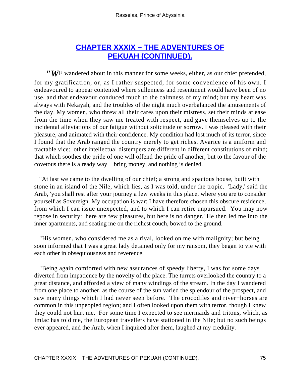## **[CHAPTER XXXIX − THE ADVENTURES OF](#page-102-0) [PEKUAH \(CONTINUED\).](#page-102-0)**

<span id="page-75-0"></span>*"W*E wandered about in this manner for some weeks, either, as our chief pretended, for my gratification, or, as I rather suspected, for some convenience of his own. I endeavoured to appear contented where sullenness and resentment would have been of no use, and that endeavour conduced much to the calmness of my mind; but my heart was always with Nekayah, and the troubles of the night much overbalanced the amusements of the day. My women, who threw all their cares upon their mistress, set their minds at ease from the time when they saw me treated with respect, and gave themselves up to the incidental alleviations of our fatigue without solicitude or sorrow. I was pleased with their pleasure, and animated with their confidence. My condition had lost much of its terror, since I found that the Arab ranged the country merely to get riches. Avarice is a uniform and tractable vice: other intellectual distempers are different in different constitutions of mind; that which soothes the pride of one will offend the pride of another; but to the favour of the covetous there is a ready way − bring money, and nothing is denied.

 "At last we came to the dwelling of our chief; a strong and spacious house, built with stone in an island of the Nile, which lies, as I was told, under the tropic. 'Lady,' said the Arab, 'you shall rest after your journey a few weeks in this place, where you are to consider yourself as Sovereign. My occupation is war: I have therefore chosen this obscure residence, from which I can issue unexpected, and to which I can retire unpursued. You may now repose in security: here are few pleasures, but here is no danger.' He then led me into the inner apartments, and seating me on the richest couch, bowed to the ground.

 "His women, who considered me as a rival, looked on me with malignity; but being soon informed that I was a great lady detained only for my ransom, they began to vie with each other in obsequiousness and reverence.

 "Being again comforted with new assurances of speedy liberty, I was for some days diverted from impatience by the novelty of the place. The turrets overlooked the country to a great distance, and afforded a view of many windings of the stream. In the day I wandered from one place to another, as the course of the sun varied the splendour of the prospect, and saw many things which I had never seen before. The crocodiles and river−horses are common in this unpeopled region; and I often looked upon them with terror, though I knew they could not hurt me. For some time I expected to see mermaids and tritons, which, as Imlac has told me, the European travellers have stationed in the Nile; but no such beings ever appeared, and the Arab, when I inquired after them, laughed at my credulity.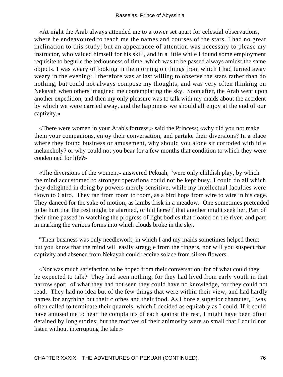«At night the Arab always attended me to a tower set apart for celestial observations, where he endeavoured to teach me the names and courses of the stars. I had no great inclination to this study; but an appearance of attention was necessary to please my instructor, who valued himself for his skill, and in a little while I found some employment requisite to beguile the tediousness of time, which was to be passed always amidst the same objects. I was weary of looking in the morning on things from which I had turned away weary in the evening: I therefore was at last willing to observe the stars rather than do nothing, but could not always compose my thoughts, and was very often thinking on Nekayah when others imagined me contemplating the sky. Soon after, the Arab went upon another expedition, and then my only pleasure was to talk with my maids about the accident by which we were carried away, and the happiness we should all enjoy at the end of our captivity.»

 «There were women in your Arab's fortress,» said the Princess; «why did you not make them your companions, enjoy their conversation, and partake their diversions? In a place where they found business or amusement, why should you alone sit corroded with idle melancholy? or why could not you bear for a few months that condition to which they were condemned for life?»

 «The diversions of the women,» answered Pekuah, "were only childish play, by which the mind accustomed to stronger operations could not be kept busy. I could do all which they delighted in doing by powers merely sensitive, while my intellectual faculties were flown to Cairo. They ran from room to room, as a bird hops from wire to wire in his cage. They danced for the sake of motion, as lambs frisk in a meadow. One sometimes pretended to be hurt that the rest might be alarmed, or hid herself that another might seek her. Part of their time passed in watching the progress of light bodies that floated on the river, and part in marking the various forms into which clouds broke in the sky.

 "Their business was only needlework, in which I and my maids sometimes helped them; but you know that the mind will easily straggle from the fingers, nor will you suspect that captivity and absence from Nekayah could receive solace from silken flowers.

 «Nor was much satisfaction to be hoped from their conversation: for of what could they be expected to talk? They had seen nothing, for they had lived from early youth in that narrow spot: of what they had not seen they could have no knowledge, for they could not read. They had no idea but of the few things that were within their view, and had hardly names for anything but their clothes and their food. As I bore a superior character, I was often called to terminate their quarrels, which I decided as equitably as I could. If it could have amused me to hear the complaints of each against the rest, I might have been often detained by long stories; but the motives of their animosity were so small that I could not listen without interrupting the tale.»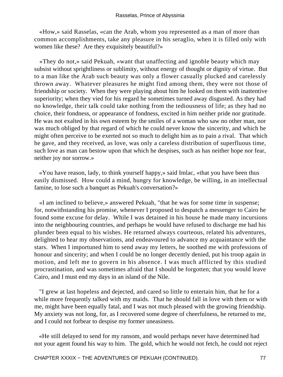«How,» said Rasselas, «can the Arab, whom you represented as a man of more than common accomplishments, take any pleasure in his seraglio, when it is filled only with women like these? Are they exquisitely beautiful?»

 «They do not,» said Pekuah, «want that unaffecting and ignoble beauty which may subsist without sprightliness or sublimity, without energy of thought or dignity of virtue. But to a man like the Arab such beauty was only a flower casually plucked and carelessly thrown away. Whatever pleasures he might find among them, they were not those of friendship or society. When they were playing about him he looked on them with inattentive superiority; when they vied for his regard he sometimes turned away disgusted. As they had no knowledge, their talk could take nothing from the tediousness of life; as they had no choice, their fondness, or appearance of fondness, excited in him neither pride nor gratitude. He was not exalted in his own esteem by the smiles of a woman who saw no other man, nor was much obliged by that regard of which he could never know the sincerity, and which he might often perceive to be exerted not so much to delight him as to pain a rival. That which he gave, and they received, as love, was only a careless distribution of superfluous time, such love as man can bestow upon that which he despises, such as has neither hope nor fear, neither joy nor sorrow.»

 «You have reason, lady, to think yourself happy,» said Imlac, «that you have been thus easily dismissed. How could a mind, hungry for knowledge, be willing, in an intellectual famine, to lose such a banquet as Pekuah's conversation?»

 «I am inclined to believe,» answered Pekuah, "that he was for some time in suspense; for, notwithstanding his promise, whenever I proposed to despatch a messenger to Cairo he found some excuse for delay. While I was detained in his house he made many incursions into the neighbouring countries, and perhaps he would have refused to discharge me had his plunder been equal to his wishes. He returned always courteous, related his adventures, delighted to hear my observations, and endeavoured to advance my acquaintance with the stars. When I importuned him to send away my letters, he soothed me with professions of honour and sincerity; and when I could be no longer decently denied, put his troop again in motion, and left me to govern in his absence. I was much afflicted by this studied procrastination, and was sometimes afraid that I should be forgotten; that you would leave Cairo, and I must end my days in an island of the Nile.

 "I grew at last hopeless and dejected, and cared so little to entertain him, that he for a while more frequently talked with my maids. That he should fall in love with them or with me, might have been equally fatal, and I was not much pleased with the growing friendship. My anxiety was not long, for, as I recovered some degree of cheerfulness, he returned to me, and I could not forbear to despise my former uneasiness.

 «He still delayed to send for my ransom, and would perhaps never have determined had not your agent found his way to him. The gold, which he would not fetch, he could not reject

CHAPTER XXXIX – THE ADVENTURES OF PEKUAH (CONTINUED). 77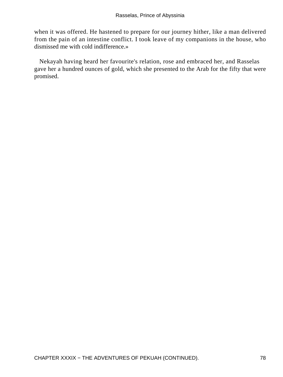when it was offered. He hastened to prepare for our journey hither, like a man delivered from the pain of an intestine conflict. I took leave of my companions in the house, who dismissed me with cold indifference.»

 Nekayah having heard her favourite's relation, rose and embraced her, and Rasselas gave her a hundred ounces of gold, which she presented to the Arab for the fifty that were promised.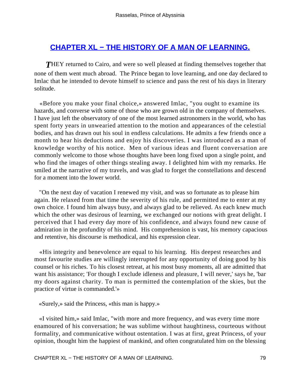## <span id="page-79-0"></span>**[CHAPTER XL − THE HISTORY OF A MAN OF LEARNING.](#page-102-0)**

**THEY** returned to Cairo, and were so well pleased at finding themselves together that none of them went much abroad. The Prince began to love learning, and one day declared to Imlac that he intended to devote himself to science and pass the rest of his days in literary solitude.

 «Before you make your final choice,» answered Imlac, "you ought to examine its hazards, and converse with some of those who are grown old in the company of themselves. I have just left the observatory of one of the most learned astronomers in the world, who has spent forty years in unwearied attention to the motion and appearances of the celestial bodies, and has drawn out his soul in endless calculations. He admits a few friends once a month to hear his deductions and enjoy his discoveries. I was introduced as a man of knowledge worthy of his notice. Men of various ideas and fluent conversation are commonly welcome to those whose thoughts have been long fixed upon a single point, and who find the images of other things stealing away. I delighted him with my remarks. He smiled at the narrative of my travels, and was glad to forget the constellations and descend for a moment into the lower world.

 "On the next day of vacation I renewed my visit, and was so fortunate as to please him again. He relaxed from that time the severity of his rule, and permitted me to enter at my own choice. I found him always busy, and always glad to be relieved. As each knew much which the other was desirous of learning, we exchanged our notions with great delight. I perceived that I had every day more of his confidence, and always found new cause of admiration in the profundity of his mind. His comprehension is vast, his memory capacious and retentive, his discourse is methodical, and his expression clear.

 «His integrity and benevolence are equal to his learning. His deepest researches and most favourite studies are willingly interrupted for any opportunity of doing good by his counsel or his riches. To his closest retreat, at his most busy moments, all are admitted that want his assistance; 'For though I exclude idleness and pleasure, I will never,' says he, 'bar my doors against charity. To man is permitted the contemplation of the skies, but the practice of virtue is commanded.'»

«Surely,» said the Princess, «this man is happy.»

 «I visited him,» said Imlac, "with more and more frequency, and was every time more enamoured of his conversation; he was sublime without haughtiness, courteous without formality, and communicative without ostentation. I was at first, great Princess, of your opinion, thought him the happiest of mankind, and often congratulated him on the blessing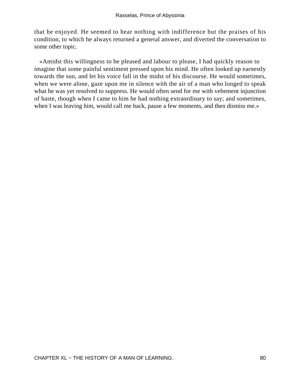that he enjoyed. He seemed to hear nothing with indifference but the praises of his condition, to which he always returned a general answer, and diverted the conversation to some other topic.

 «Amidst this willingness to be pleased and labour to please, I had quickly reason to imagine that some painful sentiment pressed upon his mind. He often looked up earnestly towards the sun, and let his voice fall in the midst of his discourse. He would sometimes, when we were alone, gaze upon me in silence with the air of a man who longed to speak what he was yet resolved to suppress. He would often send for me with vehement injunction of haste, though when I came to him he had nothing extraordinary to say; and sometimes, when I was leaving him, would call me back, pause a few moments, and then dismiss me.»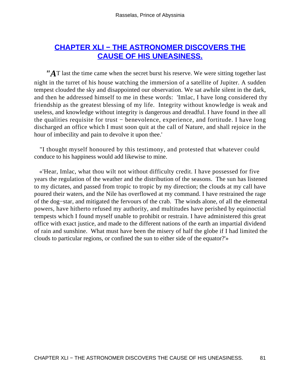## <span id="page-81-0"></span>**[CHAPTER XLI − THE ASTRONOMER DISCOVERS THE](#page-102-0) [CAUSE OF HIS UNEASINESS.](#page-102-0)**

*"A*T last the time came when the secret burst his reserve. We were sitting together last night in the turret of his house watching the immersion of a satellite of Jupiter. A sudden tempest clouded the sky and disappointed our observation. We sat awhile silent in the dark, and then he addressed himself to me in these words: 'Imlac, I have long considered thy friendship as the greatest blessing of my life. Integrity without knowledge is weak and useless, and knowledge without integrity is dangerous and dreadful. I have found in thee all the qualities requisite for trust − benevolence, experience, and fortitude. I have long discharged an office which I must soon quit at the call of Nature, and shall rejoice in the hour of imbecility and pain to devolve it upon thee.'

 "I thought myself honoured by this testimony, and protested that whatever could conduce to his happiness would add likewise to mine.

 «'Hear, Imlac, what thou wilt not without difficulty credit. I have possessed for five years the regulation of the weather and the distribution of the seasons. The sun has listened to my dictates, and passed from tropic to tropic by my direction; the clouds at my call have poured their waters, and the Nile has overflowed at my command. I have restrained the rage of the dog−star, and mitigated the fervours of the crab. The winds alone, of all the elemental powers, have hitherto refused my authority, and multitudes have perished by equinoctial tempests which I found myself unable to prohibit or restrain. I have administered this great office with exact justice, and made to the different nations of the earth an impartial dividend of rain and sunshine. What must have been the misery of half the globe if I had limited the clouds to particular regions, or confined the sun to either side of the equator?'»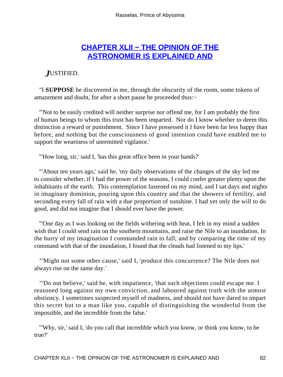### **[CHAPTER XLII − THE OPINION OF THE](#page-102-0) [ASTRONOMER IS EXPLAINED AND](#page-102-0)**

#### <span id="page-82-0"></span>*J*USTIFIED.

 "I **SUPPOSE** he discovered in me, through the obscurity of the room, some tokens of amazement and doubt, for after a short pause he proceeded thus:−

 "'Not to be easily credited will neither surprise nor offend me, for I am probably the first of human beings to whom this trust has been imparted. Nor do I know whether to deem this distinction a reward or punishment. Since I have possessed it I have been far less happy than before, and nothing but the consciousness of good intention could have enabled me to support the weariness of unremitted vigilance.'

"'How long, sir,' said I, 'has this great office been in your hands?'

 "'About ten years ago,' said he, 'my daily observations of the changes of the sky led me to consider whether, if I had the power of the seasons, I could confer greater plenty upon the inhabitants of the earth. This contemplation fastened on my mind, and I sat days and nights in imaginary dominion, pouring upon this country and that the showers of fertility, and seconding every fall of rain with a due proportion of sunshine. I had yet only the will to do good, and did not imagine that I should ever have the power.

 "'One day as I was looking on the fields withering with heat, I felt in my mind a sudden wish that I could send rain on the southern mountains, and raise the Nile to an inundation. In the hurry of my imagination I commanded rain to fall; and by comparing the time of my command with that of the inundation, I found that the clouds had listened to my lips.'

 "'Might not some other cause,' said I, 'produce this concurrence? The Nile does not always rise on the same day.'

 "'Do not believe,' said he, with impatience, 'that such objections could escape me. I reasoned long against my own conviction, and laboured against truth with the utmost obstinacy. I sometimes suspected myself of madness, and should not have dared to impart this secret but to a man like you, capable of distinguishing the wonderful from the impossible, and the incredible from the false.'

 "'Why, sir,' said I, 'do you call that incredible which you know, or think you know, to be true?'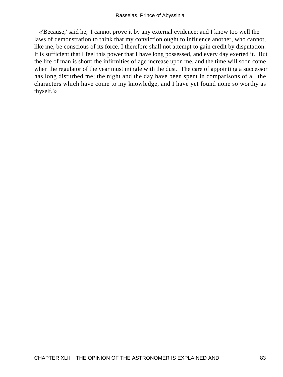«'Because,' said he, 'I cannot prove it by any external evidence; and I know too well the laws of demonstration to think that my conviction ought to influence another, who cannot, like me, be conscious of its force. I therefore shall not attempt to gain credit by disputation. It is sufficient that I feel this power that I have long possessed, and every day exerted it. But the life of man is short; the infirmities of age increase upon me, and the time will soon come when the regulator of the year must mingle with the dust. The care of appointing a successor has long disturbed me; the night and the day have been spent in comparisons of all the characters which have come to my knowledge, and I have yet found none so worthy as thyself.'»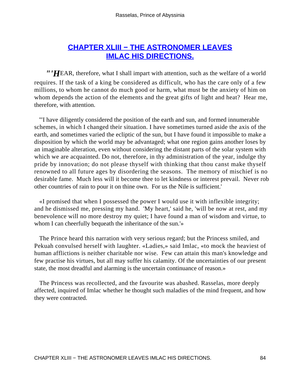## **[CHAPTER XLIII − THE ASTRONOMER LEAVES](#page-102-0) [IMLAC HIS DIRECTIONS.](#page-102-0)**

<span id="page-84-0"></span>*"'H*EAR, therefore, what I shall impart with attention, such as the welfare of a world requires. If the task of a king be considered as difficult, who has the care only of a few millions, to whom he cannot do much good or harm, what must be the anxiety of him on whom depends the action of the elements and the great gifts of light and heat? Hear me, therefore, with attention.

 "'I have diligently considered the position of the earth and sun, and formed innumerable schemes, in which I changed their situation. I have sometimes turned aside the axis of the earth, and sometimes varied the ecliptic of the sun, but I have found it impossible to make a disposition by which the world may be advantaged; what one region gains another loses by an imaginable alteration, even without considering the distant parts of the solar system with which we are acquainted. Do not, therefore, in thy administration of the year, indulge thy pride by innovation; do not please thyself with thinking that thou canst make thyself renowned to all future ages by disordering the seasons. The memory of mischief is no desirable fame. Much less will it become thee to let kindness or interest prevail. Never rob other countries of rain to pour it on thine own. For us the Nile is sufficient.'

 «I promised that when I possessed the power I would use it with inflexible integrity; and he dismissed me, pressing my hand. 'My heart,' said he, 'will be now at rest, and my benevolence will no more destroy my quiet; I have found a man of wisdom and virtue, to whom I can cheerfully bequeath the inheritance of the sun.'»

 The Prince heard this narration with very serious regard; but the Princess smiled, and Pekuah convulsed herself with laughter. «Ladies,» said Imlac, «to mock the heaviest of human afflictions is neither charitable nor wise. Few can attain this man's knowledge and few practise his virtues, but all may suffer his calamity. Of the uncertainties of our present state, the most dreadful and alarming is the uncertain continuance of reason.»

 The Princess was recollected, and the favourite was abashed. Rasselas, more deeply affected, inquired of Imlac whether he thought such maladies of the mind frequent, and how they were contracted.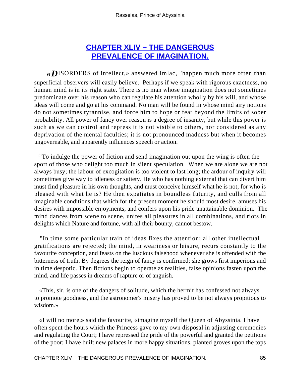## **[CHAPTER XLIV − THE DANGEROUS](#page-102-0) [PREVALENCE OF IMAGINATION.](#page-102-0)**

<span id="page-85-0"></span>*«D*ISORDERS of intellect,» answered Imlac, "happen much more often than superficial observers will easily believe. Perhaps if we speak with rigorous exactness, no human mind is in its right state. There is no man whose imagination does not sometimes predominate over his reason who can regulate his attention wholly by his will, and whose ideas will come and go at his command. No man will be found in whose mind airy notions do not sometimes tyrannise, and force him to hope or fear beyond the limits of sober probability. All power of fancy over reason is a degree of insanity, but while this power is such as we can control and repress it is not visible to others, nor considered as any deprivation of the mental faculties; it is not pronounced madness but when it becomes ungovernable, and apparently influences speech or action.

 "To indulge the power of fiction and send imagination out upon the wing is often the sport of those who delight too much in silent speculation. When we are alone we are not always busy; the labour of excogitation is too violent to last long; the ardour of inquiry will sometimes give way to idleness or satiety. He who has nothing external that can divert him must find pleasure in his own thoughts, and must conceive himself what he is not; for who is pleased with what he is? He then expatiates in boundless futurity, and culls from all imaginable conditions that which for the present moment he should most desire, amuses his desires with impossible enjoyments, and confers upon his pride unattainable dominion. The mind dances from scene to scene, unites all pleasures in all combinations, and riots in delights which Nature and fortune, with all their bounty, cannot bestow.

 "In time some particular train of ideas fixes the attention; all other intellectual gratifications are rejected; the mind, in weariness or leisure, recurs constantly to the favourite conception, and feasts on the luscious falsehood whenever she is offended with the bitterness of truth. By degrees the reign of fancy is confirmed; she grows first imperious and in time despotic. Then fictions begin to operate as realities, false opinions fasten upon the mind, and life passes in dreams of rapture or of anguish.

 «This, sir, is one of the dangers of solitude, which the hermit has confessed not always to promote goodness, and the astronomer's misery has proved to be not always propitious to wisdom.»

 «I will no more,» said the favourite, «imagine myself the Queen of Abyssinia. I have often spent the hours which the Princess gave to my own disposal in adjusting ceremonies and regulating the Court; I have repressed the pride of the powerful and granted the petitions of the poor; I have built new palaces in more happy situations, planted groves upon the tops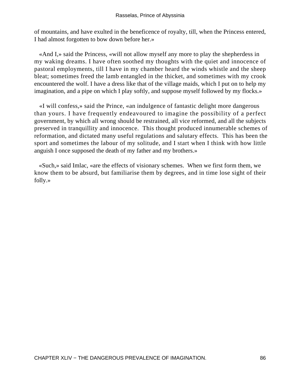of mountains, and have exulted in the beneficence of royalty, till, when the Princess entered, I had almost forgotten to bow down before her.»

 «And I,» said the Princess, «will not allow myself any more to play the shepherdess in my waking dreams. I have often soothed my thoughts with the quiet and innocence of pastoral employments, till I have in my chamber heard the winds whistle and the sheep bleat; sometimes freed the lamb entangled in the thicket, and sometimes with my crook encountered the wolf. I have a dress like that of the village maids, which I put on to help my imagination, and a pipe on which I play softly, and suppose myself followed by my flocks.»

 «I will confess,» said the Prince, «an indulgence of fantastic delight more dangerous than yours. I have frequently endeavoured to imagine the possibility of a perfect government, by which all wrong should be restrained, all vice reformed, and all the subjects preserved in tranquillity and innocence. This thought produced innumerable schemes of reformation, and dictated many useful regulations and salutary effects. This has been the sport and sometimes the labour of my solitude, and I start when I think with how little anguish I once supposed the death of my father and my brothers.»

 «Such,» said Imlac, «are the effects of visionary schemes. When we first form them, we know them to be absurd, but familiarise them by degrees, and in time lose sight of their folly.»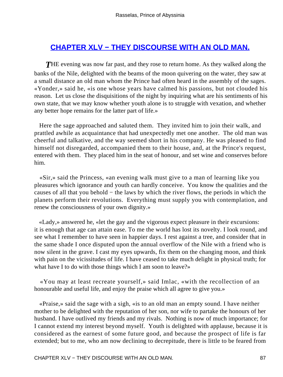## <span id="page-87-0"></span>**[CHAPTER XLV − THEY DISCOURSE WITH AN OLD MAN.](#page-102-0)**

**THE** evening was now far past, and they rose to return home. As they walked along the banks of the Nile, delighted with the beams of the moon quivering on the water, they saw at a small distance an old man whom the Prince had often heard in the assembly of the sages. «Yonder,» said he, «is one whose years have calmed his passions, but not clouded his reason. Let us close the disquisitions of the night by inquiring what are his sentiments of his own state, that we may know whether youth alone is to struggle with vexation, and whether any better hope remains for the latter part of life.»

 Here the sage approached and saluted them. They invited him to join their walk, and prattled awhile as acquaintance that had unexpectedly met one another. The old man was cheerful and talkative, and the way seemed short in his company. He was pleased to find himself not disregarded, accompanied them to their house, and, at the Prince's request, entered with them. They placed him in the seat of honour, and set wine and conserves before him.

 «Sir,» said the Princess, «an evening walk must give to a man of learning like you pleasures which ignorance and youth can hardly conceive. You know the qualities and the causes of all that you behold − the laws by which the river flows, the periods in which the planets perform their revolutions. Everything must supply you with contemplation, and renew the consciousness of your own dignity.»

 «Lady,» answered he, «let the gay and the vigorous expect pleasure in their excursions: it is enough that age can attain ease. To me the world has lost its novelty. I look round, and see what I remember to have seen in happier days. I rest against a tree, and consider that in the same shade I once disputed upon the annual overflow of the Nile with a friend who is now silent in the grave. I cast my eyes upwards, fix them on the changing moon, and think with pain on the vicissitudes of life. I have ceased to take much delight in physical truth; for what have I to do with those things which I am soon to leave?»

 «You may at least recreate yourself,» said Imlac, «with the recollection of an honourable and useful life, and enjoy the praise which all agree to give you.»

 «Praise,» said the sage with a sigh, «is to an old man an empty sound. I have neither mother to be delighted with the reputation of her son, nor wife to partake the honours of her husband. I have outlived my friends and my rivals. Nothing is now of much importance; for I cannot extend my interest beyond myself. Youth is delighted with applause, because it is considered as the earnest of some future good, and because the prospect of life is far extended; but to me, who am now declining to decrepitude, there is little to be feared from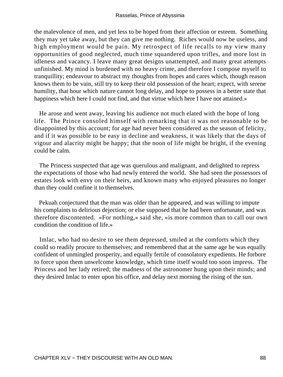the malevolence of men, and yet less to be hoped from their affection or esteem. Something they may yet take away, but they can give me nothing. Riches would now be useless, and high employment would be pain. My retrospect of life recalls to my view many opportunities of good neglected, much time squandered upon trifles, and more lost in idleness and vacancy. I leave many great designs unattempted, and many great attempts unfinished. My mind is burdened with no heavy crime, and therefore I compose myself to tranquillity; endeavour to abstract my thoughts from hopes and cares which, though reason knows them to be vain, still try to keep their old possession of the heart; expect, with serene humility, that hour which nature cannot long delay, and hope to possess in a better state that happiness which here I could not find, and that virtue which here I have not attained.»

 He arose and went away, leaving his audience not much elated with the hope of long life. The Prince consoled himself with remarking that it was not reasonable to be disappointed by this account; for age had never been considered as the season of felicity, and if it was possible to be easy in decline and weakness, it was likely that the days of vigour and alacrity might be happy; that the noon of life might be bright, if the evening could be calm.

 The Princess suspected that age was querulous and malignant, and delighted to repress the expectations of those who had newly entered the world. She had seen the possessors of estates look with envy on their heirs, and known many who enjoyed pleasures no longer than they could confine it to themselves.

 Pekuah conjectured that the man was older than he appeared, and was willing to impute his complaints to delirious dejection; or else supposed that he had been unfortunate, and was therefore discontented. «For nothing,» said she, «is more common than to call our own condition the condition of life.»

 Imlac, who had no desire to see them depressed, smiled at the comforts which they could so readily procure to themselves; and remembered that at the same age he was equally confident of unmingled prosperity, and equally fertile of consolatory expedients. He forbore to force upon them unwelcome knowledge, which time itself would too soon impress. The Princess and her lady retired; the madness of the astronomer hung upon their minds; and they desired Imlac to enter upon his office, and delay next morning the rising of the sun.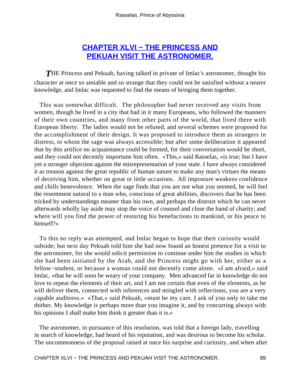### **[CHAPTER XLVI − THE PRINCESS AND](#page-102-0) [PEKUAH VISIT THE ASTRONOMER.](#page-102-0)**

<span id="page-89-0"></span>**THE Princess and Pekuah, having talked in private of Imlac's astronomer, thought his** character at once so amiable and so strange that they could not be satisfied without a nearer knowledge, and Imlac was requested to find the means of bringing them together.

 This was somewhat difficult. The philosopher had never received any visits from women, though he lived in a city that had in it many Europeans, who followed the manners of their own countries, and many from other parts of the world, that lived there with European liberty. The ladies would not be refused, and several schemes were proposed for the accomplishment of their design. It was proposed to introduce them as strangers in distress, to whom the sage was always accessible; but after some deliberation it appeared that by this artifice no acquaintance could be formed, for their conversation would be short, and they could not decently importune him often. «This,» said Rasselas, «is true; but I have yet a stronger objection against the misrepresentation of your state. I have always considered it as treason against the great republic of human nature to make any man's virtues the means of deceiving him, whether on great or little occasions. All imposture weakens confidence and chills benevolence. When the sage finds that you are not what you seemed, he will feel the resentment natural to a man who, conscious of great abilities, discovers that he has been tricked by understandings meaner than his own, and perhaps the distrust which he can never afterwards wholly lay aside may stop the voice of counsel and close the hand of charity; and where will you find the power of restoring his benefactions to mankind, or his peace to himself?»

 To this no reply was attempted, and Imlac began to hope that their curiosity would subside; but next day Pekuah told him she had now found an honest pretence for a visit to the astronomer, for she would solicit permission to continue under him the studies in which she had been initiated by the Arab, and the Princess might go with her, either as a fellow−student, or because a woman could not decently come alone. «I am afraid,» said Imlac, «that he will soon be weary of your company. Men advanced far in knowledge do not love to repeat the elements of their art, and I am not certain that even of the elements, as he will deliver them, connected with inferences and mingled with reflections, you are a very capable auditress.» «That,» said Pekuah, «must be my care. I ask of you only to take me thither. My knowledge is perhaps more than you imagine it, and by concurring always with his opinions I shall make him think it greater than it is.»

 The astronomer, in pursuance of this resolution, was told that a foreign lady, travelling in search of knowledge, had heard of his reputation, and was desirous to become his scholar. The uncommonness of the proposal raised at once his surprise and curiosity, and when after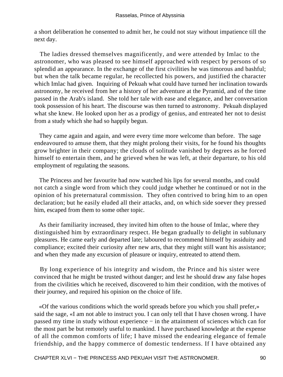a short deliberation he consented to admit her, he could not stay without impatience till the next day.

 The ladies dressed themselves magnificently, and were attended by Imlac to the astronomer, who was pleased to see himself approached with respect by persons of so splendid an appearance. In the exchange of the first civilities he was timorous and bashful; but when the talk became regular, he recollected his powers, and justified the character which Imlac had given. Inquiring of Pekuah what could have turned her inclination towards astronomy, he received from her a history of her adventure at the Pyramid, and of the time passed in the Arab's island. She told her tale with ease and elegance, and her conversation took possession of his heart. The discourse was then turned to astronomy. Pekuah displayed what she knew. He looked upon her as a prodigy of genius, and entreated her not to desist from a study which she had so happily begun.

 They came again and again, and were every time more welcome than before. The sage endeavoured to amuse them, that they might prolong their visits, for he found his thoughts grow brighter in their company; the clouds of solitude vanished by degrees as he forced himself to entertain them, and he grieved when he was left, at their departure, to his old employment of regulating the seasons.

 The Princess and her favourite had now watched his lips for several months, and could not catch a single word from which they could judge whether he continued or not in the opinion of his preternatural commission. They often contrived to bring him to an open declaration; but he easily eluded all their attacks, and, on which side soever they pressed him, escaped from them to some other topic.

 As their familiarity increased, they invited him often to the house of Imlac, where they distinguished him by extraordinary respect. He began gradually to delight in sublunary pleasures. He came early and departed late; laboured to recommend himself by assiduity and compliance; excited their curiosity after new arts, that they might still want his assistance; and when they made any excursion of pleasure or inquiry, entreated to attend them.

 By long experience of his integrity and wisdom, the Prince and his sister were convinced that he might be trusted without danger; and lest he should draw any false hopes from the civilities which he received, discovered to him their condition, with the motives of their journey, and required his opinion on the choice of life.

 «Of the various conditions which the world spreads before you which you shall prefer,» said the sage, «I am not able to instruct you. I can only tell that I have chosen wrong. I have passed my time in study without experience − in the attainment of sciences which can for the most part be but remotely useful to mankind. I have purchased knowledge at the expense of all the common comforts of life; I have missed the endearing elegance of female friendship, and the happy commerce of domestic tenderness. If I have obtained any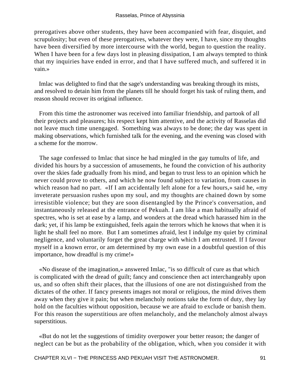prerogatives above other students, they have been accompanied with fear, disquiet, and scrupulosity; but even of these prerogatives, whatever they were, I have, since my thoughts have been diversified by more intercourse with the world, begun to question the reality. When I have been for a few days lost in pleasing dissipation, I am always tempted to think that my inquiries have ended in error, and that I have suffered much, and suffered it in vain.»

 Imlac was delighted to find that the sage's understanding was breaking through its mists, and resolved to detain him from the planets till he should forget his task of ruling them, and reason should recover its original influence.

 From this time the astronomer was received into familiar friendship, and partook of all their projects and pleasures; his respect kept him attentive, and the activity of Rasselas did not leave much time unengaged. Something was always to be done; the day was spent in making observations, which furnished talk for the evening, and the evening was closed with a scheme for the morrow.

 The sage confessed to Imlac that since he had mingled in the gay tumults of life, and divided his hours by a succession of amusements, he found the conviction of his authority over the skies fade gradually from his mind, and began to trust less to an opinion which he never could prove to others, and which he now found subject to variation, from causes in which reason had no part. «If I am accidentally left alone for a few hours,» said he, «my inveterate persuasion rushes upon my soul, and my thoughts are chained down by some irresistible violence; but they are soon disentangled by the Prince's conversation, and instantaneously released at the entrance of Pekuah. I am like a man habitually afraid of spectres, who is set at ease by a lamp, and wonders at the dread which harassed him in the dark; yet, if his lamp be extinguished, feels again the terrors which he knows that when it is light he shall feel no more. But I am sometimes afraid, lest I indulge my quiet by criminal negligence, and voluntarily forget the great charge with which I am entrusted. If I favour myself in a known error, or am determined by my own ease in a doubtful question of this importance, how dreadful is my crime!»

 «No disease of the imagination,» answered Imlac, "is so difficult of cure as that which is complicated with the dread of guilt; fancy and conscience then act interchangeably upon us, and so often shift their places, that the illusions of one are not distinguished from the dictates of the other. If fancy presents images not moral or religious, the mind drives them away when they give it pain; but when melancholy notions take the form of duty, they lay hold on the faculties without opposition, because we are afraid to exclude or banish them. For this reason the superstitious are often melancholy, and the melancholy almost always superstitious.

 «But do not let the suggestions of timidity overpower your better reason; the danger of neglect can be but as the probability of the obligation, which, when you consider it with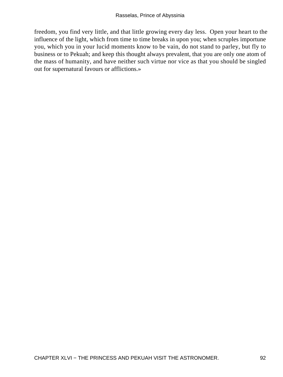freedom, you find very little, and that little growing every day less. Open your heart to the influence of the light, which from time to time breaks in upon you; when scruples importune you, which you in your lucid moments know to be vain, do not stand to parley, but fly to business or to Pekuah; and keep this thought always prevalent, that you are only one atom of the mass of humanity, and have neither such virtue nor vice as that you should be singled out for supernatural favours or afflictions.»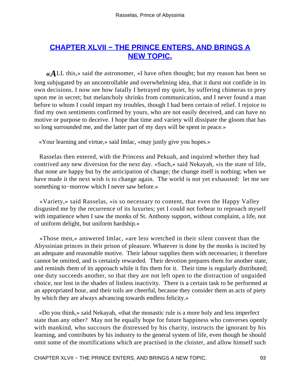## <span id="page-93-0"></span>**[CHAPTER XLVII − THE PRINCE ENTERS, AND BRINGS A](#page-102-0) [NEW TOPIC.](#page-102-0)**

*«A*LL this,» said the astronomer, «I have often thought; but my reason has been so long subjugated by an uncontrollable and overwhelming idea, that it durst not confide in its own decisions. I now see how fatally I betrayed my quiet, by suffering chimeras to prey upon me in secret; but melancholy shrinks from communication, and I never found a man before to whom I could impart my troubles, though I had been certain of relief. I rejoice to find my own sentiments confirmed by yours, who are not easily deceived, and can have no motive or purpose to deceive. I hope that time and variety will dissipate the gloom that has so long surrounded me, and the latter part of my days will be spent in peace.»

«Your learning and virtue,» said Imlac, «may justly give you hopes.»

 Rasselas then entered, with the Princess and Pekuah, and inquired whether they had contrived any new diversion for the next day. «Such,» said Nekayah, «is the state of life, that none are happy but by the anticipation of change; the change itself is nothing; when we have made it the next wish is to change again. The world is not yet exhausted: let me see something to−morrow which I never saw before.»

 «Variety,» said Rasselas, «is so necessary to content, that even the Happy Valley disgusted me by the recurrence of its luxuries; yet I could not forbear to reproach myself with impatience when I saw the monks of St. Anthony support, without complaint, a life, not of uniform delight, but uniform hardship.»

 «Those men,» answered Imlac, «are less wretched in their silent convent than the Abyssinian princes in their prison of pleasure. Whatever is done by the monks is incited by an adequate and reasonable motive. Their labour supplies them with necessaries; it therefore cannot be omitted, and is certainly rewarded. Their devotion prepares them for another state, and reminds them of its approach while it fits them for it. Their time is regularly distributed; one duty succeeds another, so that they are not left open to the distraction of unguided choice, nor lost in the shades of listless inactivity. There is a certain task to be performed at an appropriated hour, and their toils are cheerful, because they consider them as acts of piety by which they are always advancing towards endless felicity.»

 «Do you think,» said Nekayah, «that the monastic rule is a more holy and less imperfect state than any other? May not he equally hope for future happiness who converses openly with mankind, who succours the distressed by his charity, instructs the ignorant by his learning, and contributes by his industry to the general system of life, even though he should omit some of the mortifications which are practised in the cloister, and allow himself such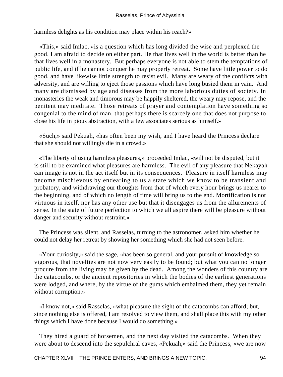harmless delights as his condition may place within his reach?»

 «This,» said Imlac, «is a question which has long divided the wise and perplexed the good. I am afraid to decide on either part. He that lives well in the world is better than he that lives well in a monastery. But perhaps everyone is not able to stem the temptations of public life, and if he cannot conquer he may properly retreat. Some have little power to do good, and have likewise little strength to resist evil. Many are weary of the conflicts with adversity, and are willing to eject those passions which have long busied them in vain. And many are dismissed by age and diseases from the more laborious duties of society. In monasteries the weak and timorous may be happily sheltered, the weary may repose, and the penitent may meditate. Those retreats of prayer and contemplation have something so congenial to the mind of man, that perhaps there is scarcely one that does not purpose to close his life in pious abstraction, with a few associates serious as himself.»

 «Such,» said Pekuah, «has often been my wish, and I have heard the Princess declare that she should not willingly die in a crowd.»

 «The liberty of using harmless pleasures,» proceeded Imlac, «will not be disputed, but it is still to be examined what pleasures are harmless. The evil of any pleasure that Nekayah can image is not in the act itself but in its consequences. Pleasure in itself harmless may become mischievous by endearing to us a state which we know to be transient and probatory, and withdrawing our thoughts from that of which every hour brings us nearer to the beginning, and of which no length of time will bring us to the end. Mortification is not virtuous in itself, nor has any other use but that it disengages us from the allurements of sense. In the state of future perfection to which we all aspire there will be pleasure without danger and security without restraint.»

 The Princess was silent, and Rasselas, turning to the astronomer, asked him whether he could not delay her retreat by showing her something which she had not seen before.

 «Your curiosity,» said the sage, «has been so general, and your pursuit of knowledge so vigorous, that novelties are not now very easily to be found; but what you can no longer procure from the living may be given by the dead. Among the wonders of this country are the catacombs, or the ancient repositories in which the bodies of the earliest generations were lodged, and where, by the virtue of the gums which embalmed them, they yet remain without corruption.»

 «I know not,» said Rasselas, «what pleasure the sight of the catacombs can afford; but, since nothing else is offered, I am resolved to view them, and shall place this with my other things which I have done because I would do something.»

 They hired a guard of horsemen, and the next day visited the catacombs. When they were about to descend into the sepulchral caves, «Pekuah,» said the Princess, «we are now

CHAPTER XLVII – THE PRINCE ENTERS, AND BRINGS A NEW TOPIC. 94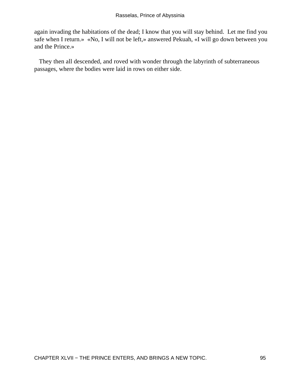again invading the habitations of the dead; I know that you will stay behind. Let me find you safe when I return.» «No, I will not be left,» answered Pekuah, «I will go down between you and the Prince.»

 They then all descended, and roved with wonder through the labyrinth of subterraneous passages, where the bodies were laid in rows on either side.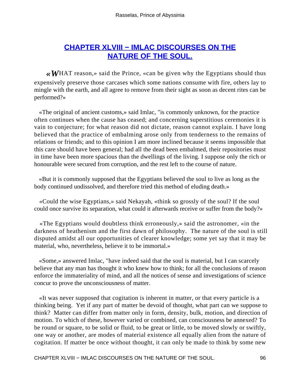## <span id="page-96-0"></span>**[CHAPTER XLVIII − IMLAC DISCOURSES ON THE](#page-102-0) [NATURE OF THE SOUL.](#page-102-0)**

*«W*HAT reason,» said the Prince, «can be given why the Egyptians should thus expensively preserve those carcases which some nations consume with fire, others lay to mingle with the earth, and all agree to remove from their sight as soon as decent rites can be performed?»

 «The original of ancient customs,» said Imlac, "is commonly unknown, for the practice often continues when the cause has ceased; and concerning superstitious ceremonies it is vain to conjecture; for what reason did not dictate, reason cannot explain. I have long believed that the practice of embalming arose only from tenderness to the remains of relations or friends; and to this opinion I am more inclined because it seems impossible that this care should have been general; had all the dead been embalmed, their repositories must in time have been more spacious than the dwellings of the living. I suppose only the rich or honourable were secured from corruption, and the rest left to the course of nature.

 «But it is commonly supposed that the Egyptians believed the soul to live as long as the body continued undissolved, and therefore tried this method of eluding death.»

 «Could the wise Egyptians,» said Nekayah, «think so grossly of the soul? If the soul could once survive its separation, what could it afterwards receive or suffer from the body?»

 «The Egyptians would doubtless think erroneously,» said the astronomer, «in the darkness of heathenism and the first dawn of philosophy. The nature of the soul is still disputed amidst all our opportunities of clearer knowledge; some yet say that it may be material, who, nevertheless, believe it to be immortal.»

 «Some,» answered Imlac, "have indeed said that the soul is material, but I can scarcely believe that any man has thought it who knew how to think; for all the conclusions of reason enforce the immateriality of mind, and all the notices of sense and investigations of science concur to prove the unconsciousness of matter.

 «It was never supposed that cogitation is inherent in matter, or that every particle is a thinking being. Yet if any part of matter be devoid of thought, what part can we suppose to think? Matter can differ from matter only in form, density, bulk, motion, and direction of motion. To which of these, however varied or combined, can consciousness be annexed? To be round or square, to be solid or fluid, to be great or little, to be moved slowly or swiftly, one way or another, are modes of material existence all equally alien from the nature of cogitation. If matter be once without thought, it can only be made to think by some new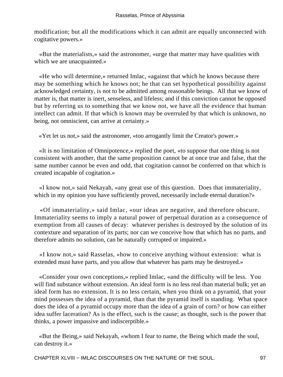modification; but all the modifications which it can admit are equally unconnected with cogitative powers.»

 «But the materialists,» said the astronomer, «urge that matter may have qualities with which we are unacquainted.»

 «He who will determine,» returned Imlac, «against that which he knows because there may be something which he knows not; he that can set hypothetical possibility against acknowledged certainty, is not to be admitted among reasonable beings. All that we know of matter is, that matter is inert, senseless, and lifeless; and if this conviction cannot he opposed but by referring us to something that we know not, we have all the evidence that human intellect can admit. If that which is known may be overruled by that which is unknown, no being, not omniscient, can arrive at certainty.»

«Yet let us not,» said the astronomer, «too arrogantly limit the Creator's power.»

 «It is no limitation of Omnipotence,» replied the poet, «to suppose that one thing is not consistent with another, that the same proposition cannot be at once true and false, that the same number cannot be even and odd, that cogitation cannot be conferred on that which is created incapable of cogitation.»

 «I know not,» said Nekayah, «any great use of this question. Does that immateriality, which in my opinion you have sufficiently proved, necessarily include eternal duration?»

 «Of immateriality,» said Imlac, «our ideas are negative, and therefore obscure. Immateriality seems to imply a natural power of perpetual duration as a consequence of exemption from all causes of decay: whatever perishes is destroyed by the solution of its contexture and separation of its parts; nor can we conceive how that which has no parts, and therefore admits no solution, can be naturally corrupted or impaired.»

 «I know not,» said Rasselas, «how to conceive anything without extension: what is extended must have parts, and you allow that whatever has parts may be destroyed.»

 «Consider your own conceptions,» replied Imlac, «and the difficulty will be less. You will find substance without extension. An ideal form is no less real than material bulk; yet an ideal form has no extension. It is no less certain, when you think on a pyramid, that your mind possesses the idea of a pyramid, than that the pyramid itself is standing. What space does the idea of a pyramid occupy more than the idea of a grain of corn? or how can either idea suffer laceration? As is the effect, such is the cause; as thought, such is the power that thinks, a power impassive and indiscerptible.»

 «But the Being,» said Nekayah, «whom I fear to name, the Being which made the soul, can destroy it.»

CHAPTER XLVIII – IMLAC DISCOURSES ON THE NATURE OF THE SOUL. 97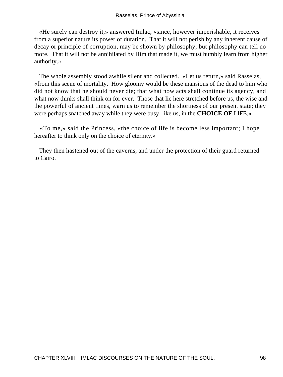«He surely can destroy it,» answered Imlac, «since, however imperishable, it receives from a superior nature its power of duration. That it will not perish by any inherent cause of decay or principle of corruption, may be shown by philosophy; but philosophy can tell no more. That it will not be annihilated by Him that made it, we must humbly learn from higher authority.»

 The whole assembly stood awhile silent and collected. «Let us return,» said Rasselas, «from this scene of mortality. How gloomy would be these mansions of the dead to him who did not know that he should never die; that what now acts shall continue its agency, and what now thinks shall think on for ever. Those that lie here stretched before us, the wise and the powerful of ancient times, warn us to remember the shortness of our present state; they were perhaps snatched away while they were busy, like us, in the **CHOICE OF** LIFE.»

 «To me,» said the Princess, «the choice of life is become less important; I hope hereafter to think only on the choice of eternity.»

 They then hastened out of the caverns, and under the protection of their guard returned to Cairo.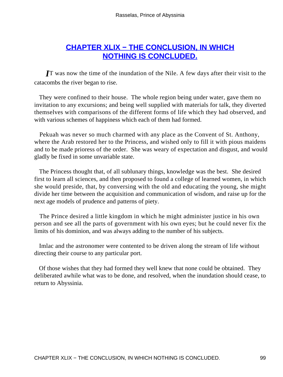## **[CHAPTER XLIX − THE CONCLUSION, IN WHICH](#page-102-0) [NOTHING IS CONCLUDED.](#page-102-0)**

<span id="page-99-0"></span>*I*T was now the time of the inundation of the Nile. A few days after their visit to the catacombs the river began to rise.

 They were confined to their house. The whole region being under water, gave them no invitation to any excursions; and being well supplied with materials for talk, they diverted themselves with comparisons of the different forms of life which they had observed, and with various schemes of happiness which each of them had formed.

 Pekuah was never so much charmed with any place as the Convent of St. Anthony, where the Arab restored her to the Princess, and wished only to fill it with pious maidens and to be made prioress of the order. She was weary of expectation and disgust, and would gladly be fixed in some unvariable state.

 The Princess thought that, of all sublunary things, knowledge was the best. She desired first to learn all sciences, and then proposed to found a college of learned women, in which she would preside, that, by conversing with the old and educating the young, she might divide her time between the acquisition and communication of wisdom, and raise up for the next age models of prudence and patterns of piety.

 The Prince desired a little kingdom in which he might administer justice in his own person and see all the parts of government with his own eyes; but he could never fix the limits of his dominion, and was always adding to the number of his subjects.

 Imlac and the astronomer were contented to be driven along the stream of life without directing their course to any particular port.

 Of those wishes that they had formed they well knew that none could be obtained. They deliberated awhile what was to be done, and resolved, when the inundation should cease, to return to Abyssinia.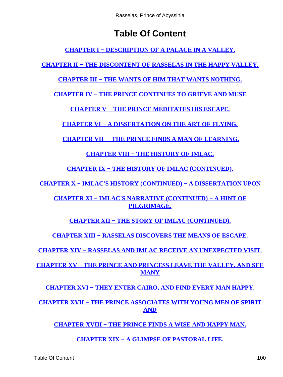# **Table Of Content**

**[CHAPTER I − DESCRIPTION OF A PALACE IN A VALLEY.](#page-3-0)**

**[CHAPTER II − THE DISCONTENT OF RASSELAS IN THE HAPPY VALLEY.](#page-5-0)**

**[CHAPTER III − THE WANTS OF HIM THAT WANTS NOTHING.](#page-7-0)**

**[CHAPTER IV − THE PRINCE CONTINUES TO GRIEVE AND MUSE](#page-8-0)**

**[CHAPTER V − THE PRINCE MEDITATES HIS ESCAPE.](#page-11-0)**

**[CHAPTER VI − A DISSERTATION ON THE ART OF FLYING.](#page-12-0)**

**[CHAPTER VII − THE PRINCE FINDS A MAN OF LEARNING.](#page-15-0)**

**[CHAPTER VIII − THE HISTORY OF IMLAC.](#page-16-0)**

**[CHAPTER IX − THE HISTORY OF IMLAC \(CONTINUED\).](#page-19-0)**

**[CHAPTER X − IMLAC'S HISTORY \(CONTINUED\) − A DISSERTATION UPON](#page-21-0)**

**[CHAPTER XI − IMLAC'S NARRATIVE \(CONTINUED\) − A HINT OF](#page-23-0) [PILGRIMAGE.](#page-23-0)**

**[CHAPTER XII − THE STORY OF IMLAC \(CONTINUED\).](#page-26-0)**

**[CHAPTER XIII − RASSELAS DISCOVERS THE MEANS OF ESCAPE.](#page-29-0)**

**[CHAPTER XIV − RASSELAS AND IMLAC RECEIVE AN UNEXPECTED VISIT.](#page-31-0)**

**[CHAPTER XV − THE PRINCE AND PRINCESS LEAVE THE VALLEY, AND SEE](#page-32-0) [MANY](#page-32-0)**

**[CHAPTER XVI − THEY ENTER CAIRO, AND FIND EVERY MAN HAPPY.](#page-34-0)**

**[CHAPTER XVII − THE PRINCE ASSOCIATES WITH YOUNG MEN OF SPIRIT](#page-37-0) [AND](#page-37-0)**

**[CHAPTER XVIII − THE PRINCE FINDS A WISE AND HAPPY MAN.](#page-38-0)**

**[CHAPTER XIX − A GLIMPSE OF PASTORAL LIFE.](#page-40-0)**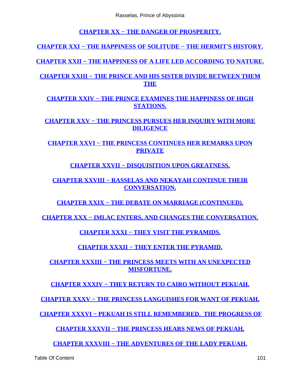**[CHAPTER XX − THE DANGER OF PROSPERITY.](#page-41-0)**

<span id="page-101-0"></span>**[CHAPTER XXI − THE HAPPINESS OF SOLITUDE − THE HERMIT'S HISTORY.](#page-42-0)**

**[CHAPTER XXII − THE HAPPINESS OF A LIFE LED ACCORDING TO NATURE.](#page-44-0)**

**[CHAPTER XXIII − THE PRINCE AND HIS SISTER DIVIDE BETWEEN THEM](#page-46-0) [THE](#page-46-0)**

**[CHAPTER XXIV − THE PRINCE EXAMINES THE HAPPINESS OF HIGH](#page-47-0) [STATIONS.](#page-47-0)**

**[CHAPTER XXV − THE PRINCESS PURSUES HER INQUIRY WITH MORE](#page-48-0) [DILIGENCE](#page-48-0)**

**[CHAPTER XXVI − THE PRINCESS CONTINUES HER REMARKS UPON](#page-50-0) [PRIVATE](#page-50-0)**

**[CHAPTER XXVII − DISQUISITION UPON GREATNESS.](#page-52-0)**

**[CHAPTER XXVIII − RASSELAS AND NEKAYAH CONTINUE THEIR](#page-54-0) [CONVERSATION.](#page-54-0)**

**[CHAPTER XXIX − THE DEBATE ON MARRIAGE \(CONTINUED\).](#page-56-0)**

**[CHAPTER XXX − IMLAC ENTERS, AND CHANGES THE CONVERSATION.](#page-59-0)**

**[CHAPTER XXXI − THEY VISIT THE PYRAMIDS.](#page-61-0)**

**[CHAPTER XXXII − THEY ENTER THE PYRAMID.](#page-63-0)**

**[CHAPTER XXXIII − THE PRINCESS MEETS WITH AN UNEXPECTED](#page-64-0) [MISFORTUNE.](#page-64-0)**

**[CHAPTER XXXIV − THEY RETURN TO CAIRO WITHOUT PEKUAH.](#page-65-0)**

**[CHAPTER XXXV − THE PRINCESS LANGUISHES FOR WANT OF PEKUAH.](#page-67-0)**

**[CHAPTER XXXVI − PEKUAH IS STILL REMEMBERED. THE PROGRESS OF](#page-70-0)**

**[CHAPTER XXXVII − THE PRINCESS HEARS NEWS OF PEKUAH.](#page-71-0)**

**[CHAPTER XXXVIII − THE ADVENTURES OF THE LADY PEKUAH.](#page-72-0)**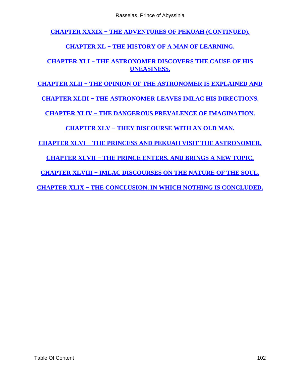<span id="page-102-0"></span>**[CHAPTER XXXIX − THE ADVENTURES OF PEKUAH \(CONTINUED\).](#page-75-0)**

#### **[CHAPTER XL − THE HISTORY OF A MAN OF LEARNING.](#page-79-0)**

#### **[CHAPTER XLI − THE ASTRONOMER DISCOVERS THE CAUSE OF HIS](#page-81-0) [UNEASINESS.](#page-81-0)**

#### **[CHAPTER XLII − THE OPINION OF THE ASTRONOMER IS EXPLAINED AND](#page-82-0)**

**[CHAPTER XLIII − THE ASTRONOMER LEAVES IMLAC HIS DIRECTIONS.](#page-84-0)**

**[CHAPTER XLIV − THE DANGEROUS PREVALENCE OF IMAGINATION.](#page-85-0)**

#### **[CHAPTER XLV − THEY DISCOURSE WITH AN OLD MAN.](#page-87-0)**

**[CHAPTER XLVI − THE PRINCESS AND PEKUAH VISIT THE ASTRONOMER.](#page-89-0)**

**[CHAPTER XLVII − THE PRINCE ENTERS, AND BRINGS A NEW TOPIC.](#page-93-0)**

**[CHAPTER XLVIII − IMLAC DISCOURSES ON THE NATURE OF THE SOUL.](#page-96-0)**

**[CHAPTER XLIX − THE CONCLUSION, IN WHICH NOTHING IS CONCLUDED.](#page-99-0)**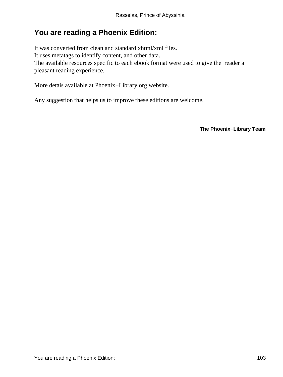## **You are reading a Phoenix Edition:**

It was converted from clean and standard xhtml/xml files. It uses metatags to identify content, and other data. The available resources specific to each ebook format were used to give the reader a pleasant reading experience.

More detais available at Phoenix−Library.org website.

Any suggestion that helps us to improve these editions are welcome.

**The Phoenix−Library Team**